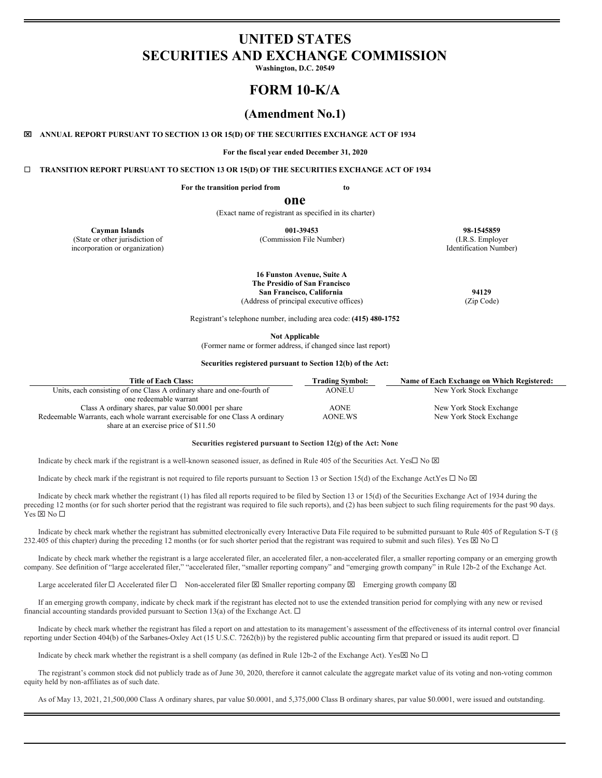# **UNITED STATES SECURITIES AND EXCHANGE COMMISSION**

**Washington, D.C. 20549**

# **FORM 10-K/A**

# **(Amendment No.1)**

x **ANNUAL REPORT PURSUANT TO SECTION 13 OR 15(D) OF THE SECURITIES EXCHANGE ACT OF 1934**

**For the fiscal year ended December 31, 2020**

¨ **TRANSITION REPORT PURSUANT TO SECTION 13 OR 15(D) OF THE SECURITIES EXCHANGE ACT OF 1934**

**For the transition period from to**

**one**

(Exact name of registrant as specified in its charter)

(State or other jurisdiction of

incorporation or organization)

(Commission File Number)

**Cayman Islands**<br> **Commission File Number** (**Commission File Number**) **1.R.S. Employer** (**I.R.S. Employer**) Identification Number)

> **16 Funston Avenue, Suite A The Presidio of San Francisco San Francisco, California 94129**<br> **Parameters Propose the Contract of Security Contract in the Contract of Cip Code)** (Address of principal executive offices)

Registrant's telephone number, including area code: **(415) 480-1752**

**Not Applicable**

(Former name or former address, if changed since last report)

# **Securities registered pursuant to Section 12(b) of the Act:**

| <b>Title of Each Class:</b>                                                  | Trading Symbol: | Name of Each Exchange on Which Registered: |
|------------------------------------------------------------------------------|-----------------|--------------------------------------------|
| Units, each consisting of one Class A ordinary share and one-fourth of       | AONE.U          | New York Stock Exchange                    |
| one redeemable warrant                                                       |                 |                                            |
| Class A ordinary shares, par value \$0,0001 per share                        | <b>AONE</b>     | New York Stock Exchange                    |
| Redeemable Warrants, each whole warrant exercisable for one Class A ordinary | <b>AONE.WS</b>  | New York Stock Exchange                    |
| share at an exercise price of \$11.50                                        |                 |                                            |

#### **Securities registered pursuant to Section 12(g) of the Act: None**

Indicate by check mark if the registrant is a well-known seasoned issuer, as defined in Rule 405 of the Securities Act. Yes $\Box$  No  $\boxtimes$ 

Indicate by check mark if the registrant is not required to file reports pursuant to Section 13 or Section 15(d) of the Exchange Act.Yes  $\Box$  No  $\boxtimes$ 

Indicate by check mark whether the registrant (1) has filed all reports required to be filed by Section 13 or 15(d) of the Securities Exchange Act of 1934 during the preceding 12 months (or for such shorter period that the registrant was required to file such reports), and (2) has been subject to such filing requirements for the past 90 days.  $Yes \boxtimes No \square$ 

Indicate by check mark whether the registrant has submitted electronically every Interactive Data File required to be submitted pursuant to Rule 405 of Regulation S-T (§ 232.405 of this chapter) during the preceding 12 months (or for such shorter period that the registrant was required to submit and such files). Yes  $\boxtimes$  No  $\Box$ 

Indicate by check mark whether the registrant is a large accelerated filer, an accelerated filer, a non-accelerated filer, a smaller reporting company or an emerging growth company. See definition of "large accelerated filer," "accelerated filer, "smaller reporting company" and "emerging growth company" in Rule 12b-2 of the Exchange Act.

Large accelerated filer  $\Box$  Accelerated filer  $\Box$  Non-accelerated filer  $\boxtimes$  Smaller reporting company  $\boxtimes$  Emerging growth company  $\boxtimes$ 

If an emerging growth company, indicate by check mark if the registrant has elected not to use the extended transition period for complying with any new or revised financial accounting standards provided pursuant to Section 13(a) of the Exchange Act.  $\Box$ 

Indicate by check mark whether the registrant has filed a report on and attestation to its management's assessment of the effectiveness of its internal control over financial reporting under Section 404(b) of the Sarbanes-Oxley Act (15 U.S.C. 7262(b)) by the registered public accounting firm that prepared or issued its audit report.  $\Box$ 

Indicate by check mark whether the registrant is a shell company (as defined in Rule 12b-2 of the Exchange Act). Yes $\boxtimes$  No  $\Box$ 

The registrant's common stock did not publicly trade as of June 30, 2020, therefore it cannot calculate the aggregate market value of its voting and non-voting common equity held by non-affiliates as of such date.

As of May 13, 2021, 21,500,000 Class A ordinary shares, par value \$0.0001, and 5,375,000 Class B ordinary shares, par value \$0.0001, were issued and outstanding.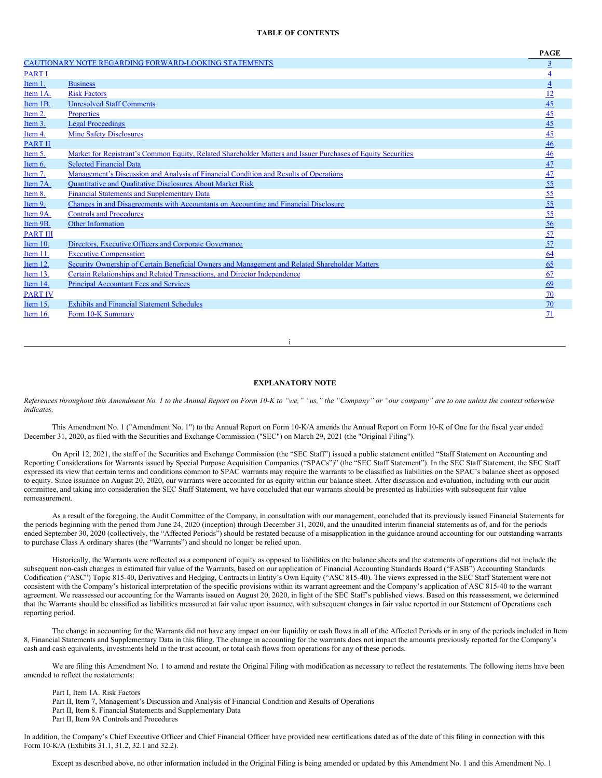### **TABLE OF CONTENTS**

|                 |                                                                                                              | <b>PAGE</b>                        |
|-----------------|--------------------------------------------------------------------------------------------------------------|------------------------------------|
|                 | CAUTIONARY NOTE REGARDING FORWARD-LOOKING STATEMENTS                                                         | $\overline{3}$                     |
| <b>PARTI</b>    |                                                                                                              | $\overline{4}$                     |
| Item 1.         | <b>Business</b>                                                                                              | $\overline{4}$                     |
| Item 1A.        | <b>Risk Factors</b>                                                                                          | 12                                 |
| Item 1B.        | <b>Unresolved Staff Comments</b>                                                                             | $\overline{45}$                    |
| Item 2.         | Properties                                                                                                   | $\frac{45}{45}$                    |
| Item 3.         | <b>Legal Proceedings</b>                                                                                     |                                    |
| Item 4.         | <b>Mine Safety Disclosures</b>                                                                               | $\overline{45}$                    |
| <b>PART II</b>  |                                                                                                              | $\frac{46}{5}$                     |
| Item 5.         | Market for Registrant's Common Equity, Related Shareholder Matters and Issuer Purchases of Equity Securities | $\frac{46}{5}$                     |
| Item 6.         | <b>Selected Financial Data</b>                                                                               | $\frac{47}{1}$                     |
| Item 7.         | Management's Discussion and Analysis of Financial Condition and Results of Operations                        | $\frac{47}{55}$<br>$\frac{55}{55}$ |
| Item 7A.        | Quantitative and Qualitative Disclosures About Market Risk                                                   |                                    |
| Item 8.         | <b>Financial Statements and Supplementary Data</b>                                                           |                                    |
| Item 9.         | Changes in and Disagreements with Accountants on Accounting and Financial Disclosure                         |                                    |
| Item 9A.        | <b>Controls and Procedures</b>                                                                               | 55                                 |
| Item 9B.        | <b>Other Information</b>                                                                                     | $\frac{56}{57}$                    |
| <b>PART III</b> |                                                                                                              |                                    |
| Item 10.        | Directors, Executive Officers and Corporate Governance                                                       | 57                                 |
| Item 11.        | <b>Executive Compensation</b>                                                                                | 64                                 |
| Item 12.        | Security Ownership of Certain Beneficial Owners and Management and Related Shareholder Matters               | 65                                 |
| Item 13.        | Certain Relationships and Related Transactions, and Director Independence                                    | 67                                 |
| Item 14.        | <b>Principal Accountant Fees and Services</b>                                                                | 69                                 |
| <b>PART IV</b>  |                                                                                                              | $\underline{70}$                   |
| Item $15.$      | <b>Exhibits and Financial Statement Schedules</b>                                                            | 70                                 |
| Item $16$ .     | Form 10-K Summary                                                                                            | 71                                 |

### i

#### **EXPLANATORY NOTE**

References throughout this Amendment No. 1 to the Annual Report on Form 10-K to "we," "us," the "Company" or "our company" are to one unless the context otherwise *indicates.*

This Amendment No. 1 ("Amendment No. 1") to the Annual Report on Form 10-K/A amends the Annual Report on Form 10-K of One for the fiscal year ended December 31, 2020, as filed with the Securities and Exchange Commission ("SEC") on March 29, 2021 (the "Original Filing").

On April 12, 2021, the staff of the Securities and Exchange Commission (the "SEC Staff") issued a public statement entitled "Staff Statement on Accounting and Reporting Considerations for Warrants issued by Special Purpose Acquisition Companies ("SPACs")" (the "SEC Staff Statement"). In the SEC Staff Statement, the SEC Staff expressed its view that certain terms and conditions common to SPAC warrants may require the warrants to be classified as liabilities on the SPAC's balance sheet as opposed to equity. Since issuance on August 20, 2020, our warrants were accounted for as equity within our balance sheet. After discussion and evaluation, including with our audit committee, and taking into consideration the SEC Staff Statement, we have concluded that our warrants should be presented as liabilities with subsequent fair value remeasurement.

As a result of the foregoing, the Audit Committee of the Company, in consultation with our management, concluded that its previously issued Financial Statements for the periods beginning with the period from June 24, 2020 (inception) through December 31, 2020, and the unaudited interim financial statements as of, and for the periods ended September 30, 2020 (collectively, the "Affected Periods") should be restated because of a misapplication in the guidance around accounting for our outstanding warrants to purchase Class A ordinary shares (the "Warrants") and should no longer be relied upon.

Historically, the Warrants were reflected as a component of equity as opposed to liabilities on the balance sheets and the statements of operations did not include the subsequent non-cash changes in estimated fair value of the Warrants, based on our application of Financial Accounting Standards Board ("FASB") Accounting Standards Codification ("ASC") Topic 815-40, Derivatives and Hedging, Contracts in Entity's Own Equity ("ASC 815-40). The views expressed in the SEC Staff Statement were not consistent with the Company's historical interpretation of the specific provisions within its warrant agreement and the Company's application of ASC 815-40 to the warrant agreement. We reassessed our accounting for the Warrants issued on August 20, 2020, in light of the SEC Staff's published views. Based on this reassessment, we determined that the Warrants should be classified as liabilities measured at fair value upon issuance, with subsequent changes in fair value reported in our Statement of Operations each reporting period.

The change in accounting for the Warrants did not have any impact on our liquidity or cash flows in all of the Affected Periods or in any of the periods included in Item 8, Financial Statements and Supplementary Data in this filing. The change in accounting for the warrants does not impact the amounts previously reported for the Company's cash and cash equivalents, investments held in the trust account, or total cash flows from operations for any of these periods.

We are filing this Amendment No. 1 to amend and restate the Original Filing with modification as necessary to reflect the restatements. The following items have been amended to reflect the restatements:

Part I, Item 1A. Risk Factors Part II, Item 7, Management's Discussion and Analysis of Financial Condition and Results of Operations Part II, Item 8. Financial Statements and Supplementary Data Part II, Item 9A Controls and Procedures

In addition, the Company's Chief Executive Officer and Chief Financial Officer have provided new certifications dated as of the date of this filing in connection with this Form 10-K/A (Exhibits 31.1, 31.2, 32.1 and 32.2).

Except as described above, no other information included in the Original Filing is being amended or updated by this Amendment No. 1 and this Amendment No. 1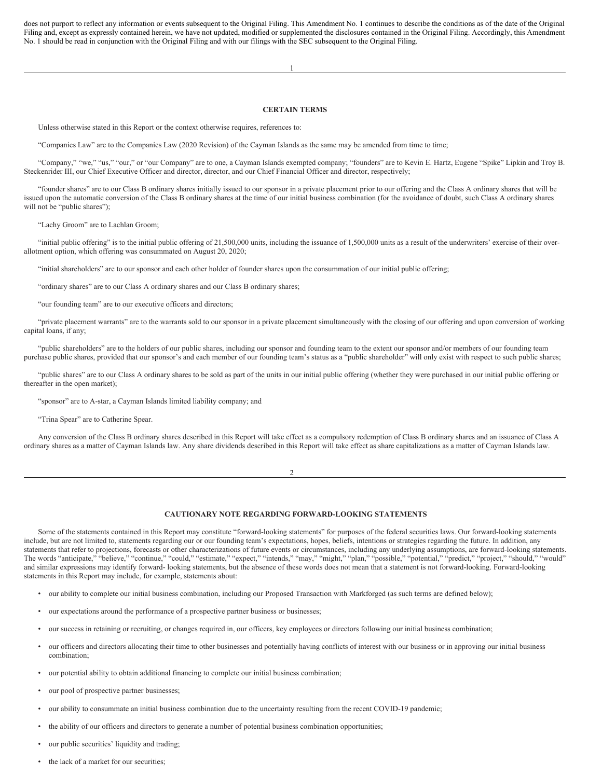does not purport to reflect any information or events subsequent to the Original Filing. This Amendment No. 1 continues to describe the conditions as of the date of the Original Filing and, except as expressly contained herein, we have not updated, modified or supplemented the disclosures contained in the Original Filing. Accordingly, this Amendment No. 1 should be read in conjunction with the Original Filing and with our filings with the SEC subsequent to the Original Filing.

1

### **CERTAIN TERMS**

Unless otherwise stated in this Report or the context otherwise requires, references to:

"Companies Law" are to the Companies Law (2020 Revision) of the Cayman Islands as the same may be amended from time to time;

"Company," "we," "us," "our," or "our Company" are to one, a Cayman Islands exempted company; "founders" are to Kevin E. Hartz, Eugene "Spike" Lipkin and Troy B. Steckenrider III, our Chief Executive Officer and director, director, and our Chief Financial Officer and director, respectively;

"founder shares" are to our Class B ordinary shares initially issued to our sponsor in a private placement prior to our offering and the Class A ordinary shares that will be issued upon the automatic conversion of the Class B ordinary shares at the time of our initial business combination (for the avoidance of doubt, such Class A ordinary shares will not be "public shares");

"Lachy Groom" are to Lachlan Groom;

"initial public offering" is to the initial public offering of 21,500,000 units, including the issuance of 1,500,000 units as a result of the underwriters' exercise of their overallotment option, which offering was consummated on August 20, 2020;

"initial shareholders" are to our sponsor and each other holder of founder shares upon the consummation of our initial public offering;

"ordinary shares" are to our Class A ordinary shares and our Class B ordinary shares;

"our founding team" are to our executive officers and directors;

"private placement warrants" are to the warrants sold to our sponsor in a private placement simultaneously with the closing of our offering and upon conversion of working capital loans, if any;

"public shareholders" are to the holders of our public shares, including our sponsor and founding team to the extent our sponsor and/or members of our founding team purchase public shares, provided that our sponsor's and each member of our founding team's status as a "public shareholder" will only exist with respect to such public shares;

"public shares" are to our Class A ordinary shares to be sold as part of the units in our initial public offering (whether they were purchased in our initial public offering or thereafter in the open market);

"sponsor" are to A-star, a Cayman Islands limited liability company; and

"Trina Spear" are to Catherine Spear.

Any conversion of the Class B ordinary shares described in this Report will take effect as a compulsory redemption of Class B ordinary shares and an issuance of Class A ordinary shares as a matter of Cayman Islands law. Any share dividends described in this Report will take effect as share capitalizations as a matter of Cayman Islands law.

# <span id="page-2-0"></span>**CAUTIONARY NOTE REGARDING FORWARD-LOOKING STATEMENTS**

Some of the statements contained in this Report may constitute "forward-looking statements" for purposes of the federal securities laws. Our forward-looking statements include, but are not limited to, statements regarding our or our founding team's expectations, hopes, beliefs, intentions or strategies regarding the future. In addition, any statements that refer to projections, forecasts or other characterizations of future events or circumstances, including any underlying assumptions, are forward-looking statements. The words "anticipate," "believe," "continue," "could," "estimate," "expect," "intends," "may," "might," "plan," "possible," "potential," "predict," "project," "should," "would" and similar expressions may identify forward- looking statements, but the absence of these words does not mean that a statement is not forward-looking. Forward-looking statements in this Report may include, for example, statements about:

- our ability to complete our initial business combination, including our Proposed Transaction with Markforged (as such terms are defined below);
- our expectations around the performance of a prospective partner business or businesses;
- our success in retaining or recruiting, or changes required in, our officers, key employees or directors following our initial business combination;
- our officers and directors allocating their time to other businesses and potentially having conflicts of interest with our business or in approving our initial business combination;
- our potential ability to obtain additional financing to complete our initial business combination;
- our pool of prospective partner businesses;
- our ability to consummate an initial business combination due to the uncertainty resulting from the recent COVID-19 pandemic;
- the ability of our officers and directors to generate a number of potential business combination opportunities;
- our public securities' liquidity and trading;
- the lack of a market for our securities: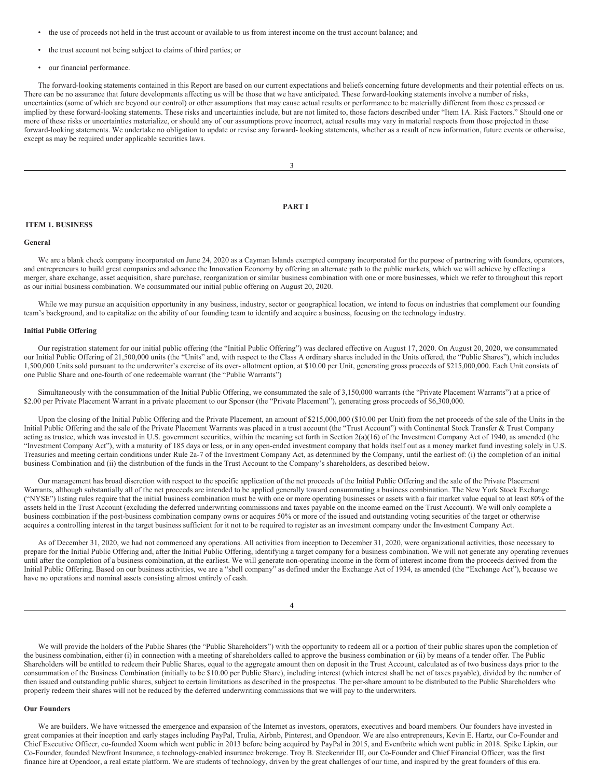- the use of proceeds not held in the trust account or available to us from interest income on the trust account balance; and
- the trust account not being subject to claims of third parties; or
- our financial performance.

The forward-looking statements contained in this Report are based on our current expectations and beliefs concerning future developments and their potential effects on us. There can be no assurance that future developments affecting us will be those that we have anticipated. These forward-looking statements involve a number of risks, uncertainties (some of which are beyond our control) or other assumptions that may cause actual results or performance to be materially different from those expressed or implied by these forward-looking statements. These risks and uncertainties include, but are not limited to, those factors described under "Item 1A. Risk Factors." Should one or more of these risks or uncertainties materialize, or should any of our assumptions prove incorrect, actual results may vary in material respects from those projected in these forward-looking statements. We undertake no obligation to update or revise any forward- looking statements, whether as a result of new information, future events or otherwise, except as may be required under applicable securities laws.

#### <span id="page-3-0"></span>**PART I**

### <span id="page-3-1"></span>**ITEM 1. BUSINESS**

#### **General**

We are a blank check company incorporated on June 24, 2020 as a Cayman Islands exempted company incorporated for the purpose of partnering with founders, operators, and entrepreneurs to build great companies and advance the Innovation Economy by offering an alternate path to the public markets, which we will achieve by effecting a merger, share exchange, asset acquisition, share purchase, reorganization or similar business combination with one or more businesses, which we refer to throughout this report as our initial business combination. We consummated our initial public offering on August 20, 2020.

While we may pursue an acquisition opportunity in any business, industry, sector or geographical location, we intend to focus on industries that complement our founding team's background, and to capitalize on the ability of our founding team to identify and acquire a business, focusing on the technology industry.

#### **Initial Public Offering**

Our registration statement for our initial public offering (the "Initial Public Offering") was declared effective on August 17, 2020. On August 20, 2020, we consummated our Initial Public Offering of 21,500,000 units (the "Units" and, with respect to the Class A ordinary shares included in the Units offered, the "Public Shares"), which includes 1,500,000 Units sold pursuant to the underwriter's exercise of its over- allotment option, at \$10.00 per Unit, generating gross proceeds of \$215,000,000. Each Unit consists of one Public Share and one-fourth of one redeemable warrant (the "Public Warrants")

Simultaneously with the consummation of the Initial Public Offering, we consummated the sale of 3,150,000 warrants (the "Private Placement Warrants") at a price of \$2.00 per Private Placement Warrant in a private placement to our Sponsor (the "Private Placement"), generating gross proceeds of \$6,300,000.

Upon the closing of the Initial Public Offering and the Private Placement, an amount of \$215,000,000 (\$10.00 per Unit) from the net proceeds of the sale of the Units in the Initial Public Offering and the sale of the Private Placement Warrants was placed in a trust account (the "Trust Account") with Continental Stock Transfer & Trust Company acting as trustee, which was invested in U.S. government securities, within the meaning set forth in Section 2(a)(16) of the Investment Company Act of 1940, as amended (the "Investment Company Act"), with a maturity of 185 days or less, or in any open-ended investment company that holds itself out as a money market fund investing solely in U.S. Treasuries and meeting certain conditions under Rule 2a-7 of the Investment Company Act, as determined by the Company, until the earliest of: (i) the completion of an initial business Combination and (ii) the distribution of the funds in the Trust Account to the Company's shareholders, as described below.

Our management has broad discretion with respect to the specific application of the net proceeds of the Initial Public Offering and the sale of the Private Placement Warrants, although substantially all of the net proceeds are intended to be applied generally toward consummating a business combination. The New York Stock Exchange ("NYSE") listing rules require that the initial business combination must be with one or more operating businesses or assets with a fair market value equal to at least 80% of the assets held in the Trust Account (excluding the deferred underwriting commissions and taxes payable on the income earned on the Trust Account). We will only complete a business combination if the post-business combination company owns or acquires 50% or more of the issued and outstanding voting securities of the target or otherwise acquires a controlling interest in the target business sufficient for it not to be required to register as an investment company under the Investment Company Act.

As of December 31, 2020, we had not commenced any operations. All activities from inception to December 31, 2020, were organizational activities, those necessary to prepare for the Initial Public Offering and, after the Initial Public Offering, identifying a target company for a business combination. We will not generate any operating revenues until after the completion of a business combination, at the earliest. We will generate non-operating income in the form of interest income from the proceeds derived from the Initial Public Offering. Based on our business activities, we are a "shell company" as defined under the Exchange Act of 1934, as amended (the "Exchange Act"), because we have no operations and nominal assets consisting almost entirely of cash.

| ٦ |  |
|---|--|
|   |  |
|   |  |

We will provide the holders of the Public Shares (the "Public Shareholders") with the opportunity to redeem all or a portion of their public shares upon the completion of the business combination, either (i) in connection with a meeting of shareholders called to approve the business combination or (ii) by means of a tender offer. The Public Shareholders will be entitled to redeem their Public Shares, equal to the aggregate amount then on deposit in the Trust Account, calculated as of two business days prior to the consummation of the Business Combination (initially to be \$10.00 per Public Share), including interest (which interest shall be net of taxes payable), divided by the number of then issued and outstanding public shares, subject to certain limitations as described in the prospectus. The per-share amount to be distributed to the Public Shareholders who properly redeem their shares will not be reduced by the deferred underwriting commissions that we will pay to the underwriters.

### **Our Founders**

We are builders. We have witnessed the emergence and expansion of the Internet as investors, operators, executives and board members. Our founders have invested in great companies at their inception and early stages including PayPal, Trulia, Airbnb, Pinterest, and Opendoor. We are also entrepreneurs, Kevin E. Hartz, our Co-Founder and Chief Executive Officer, co-founded Xoom which went public in 2013 before being acquired by PayPal in 2015, and Eventbrite which went public in 2018. Spike Lipkin, our Co-Founder, founded Newfront Insurance, a technology-enabled insurance brokerage. Troy B. Steckenrider III, our Co-Founder and Chief Financial Officer, was the first finance hire at Opendoor, a real estate platform. We are students of technology, driven by the great challenges of our time, and inspired by the great founders of this era.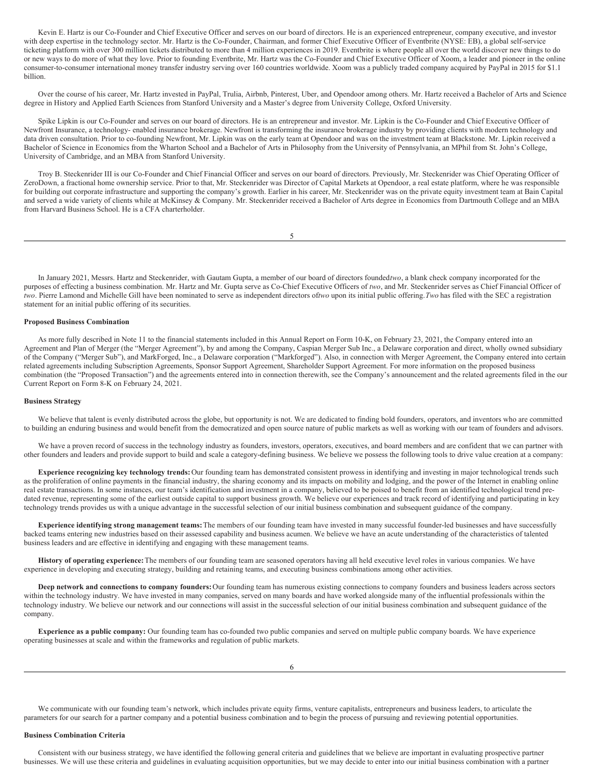Kevin E. Hartz is our Co-Founder and Chief Executive Officer and serves on our board of directors. He is an experienced entrepreneur, company executive, and investor with deep expertise in the technology sector. Mr. Hartz is the Co-Founder, Chairman, and former Chief Executive Officer of Eventbrite (NYSE: EB), a global self-service ticketing platform with over 300 million tickets distributed to more than 4 million experiences in 2019. Eventbrite is where people all over the world discover new things to do or new ways to do more of what they love. Prior to founding Eventbrite, Mr. Hartz was the Co-Founder and Chief Executive Officer of Xoom, a leader and pioneer in the online consumer-to-consumer international money transfer industry serving over 160 countries worldwide. Xoom was a publicly traded company acquired by PayPal in 2015 for \$1.1 billion.

Over the course of his career, Mr. Hartz invested in PayPal, Trulia, Airbnb, Pinterest, Uber, and Opendoor among others. Mr. Hartz received a Bachelor of Arts and Science degree in History and Applied Earth Sciences from Stanford University and a Master's degree from University College, Oxford University.

Spike Lipkin is our Co-Founder and serves on our board of directors. He is an entrepreneur and investor. Mr. Lipkin is the Co-Founder and Chief Executive Officer of Newfront Insurance, a technology- enabled insurance brokerage. Newfront is transforming the insurance brokerage industry by providing clients with modern technology and data driven consultation. Prior to co-founding Newfront, Mr. Lipkin was on the early team at Opendoor and was on the investment team at Blackstone. Mr. Lipkin received a Bachelor of Science in Economics from the Wharton School and a Bachelor of Arts in Philosophy from the University of Pennsylvania, an MPhil from St. John's College, University of Cambridge, and an MBA from Stanford University.

Troy B. Steckenrider III is our Co-Founder and Chief Financial Officer and serves on our board of directors. Previously, Mr. Steckenrider was Chief Operating Officer of ZeroDown, a fractional home ownership service. Prior to that, Mr. Steckenrider was Director of Capital Markets at Opendoor, a real estate platform, where he was responsible for building out corporate infrastructure and supporting the company's growth. Earlier in his career, Mr. Steckenrider was on the private equity investment team at Bain Capital and served a wide variety of clients while at McKinsey & Company. Mr. Steckenrider received a Bachelor of Arts degree in Economics from Dartmouth College and an MBA from Harvard Business School. He is a CFA charterholder.

5

In January 2021, Messrs. Hartz and Steckenrider, with Gautam Gupta, a member of our board of directors founded*two*, a blank check company incorporated for the purposes of effecting a business combination. Mr. Hartz and Mr. Gupta serve as Co-Chief Executive Officers of *two*, and Mr. Steckenrider serves as Chief Financial Officer of *two*. Pierre Lamond and Michelle Gill have been nominated to serve as independent directors of*two* upon its initial public offering.*Two* has filed with the SEC a registration statement for an initial public offering of its securities.

#### **Proposed Business Combination**

As more fully described in Note 11 to the financial statements included in this Annual Report on Form 10-K, on February 23, 2021, the Company entered into an Agreement and Plan of Merger (the "Merger Agreement"), by and among the Company, Caspian Merger Sub Inc., a Delaware corporation and direct, wholly owned subsidiary of the Company ("Merger Sub"), and MarkForged, Inc., a Delaware corporation ("Markforged"). Also, in connection with Merger Agreement, the Company entered into certain related agreements including Subscription Agreements, Sponsor Support Agreement, Shareholder Support Agreement. For more information on the proposed business combination (the "Proposed Transaction") and the agreements entered into in connection therewith, see the Company's announcement and the related agreements filed in the our Current Report on Form 8-K on February 24, 2021.

### **Business Strategy**

We believe that talent is evenly distributed across the globe, but opportunity is not. We are dedicated to finding bold founders, operators, and inventors who are committed to building an enduring business and would benefit from the democratized and open source nature of public markets as well as working with our team of founders and advisors.

We have a proven record of success in the technology industry as founders, investors, operators, executives, and board members and are confident that we can partner with other founders and leaders and provide support to build and scale a category-defining business. We believe we possess the following tools to drive value creation at a company:

**Experience recognizing key technology trends:**Our founding team has demonstrated consistent prowess in identifying and investing in major technological trends such as the proliferation of online payments in the financial industry, the sharing economy and its impacts on mobility and lodging, and the power of the Internet in enabling online real estate transactions. In some instances, our team's identification and investment in a company, believed to be poised to benefit from an identified technological trend predated revenue, representing some of the earliest outside capital to support business growth. We believe our experiences and track record of identifying and participating in key technology trends provides us with a unique advantage in the successful selection of our initial business combination and subsequent guidance of the company.

**Experience identifying strong management teams:**The members of our founding team have invested in many successful founder-led businesses and have successfully backed teams entering new industries based on their assessed capability and business acumen. We believe we have an acute understanding of the characteristics of talented business leaders and are effective in identifying and engaging with these management teams.

**History of operating experience:**The members of our founding team are seasoned operators having all held executive level roles in various companies. We have experience in developing and executing strategy, building and retaining teams, and executing business combinations among other activities.

**Deep network and connections to company founders:**Our founding team has numerous existing connections to company founders and business leaders across sectors within the technology industry. We have invested in many companies, served on many boards and have worked alongside many of the influential professionals within the technology industry. We believe our network and our connections will assist in the successful selection of our initial business combination and subsequent guidance of the company.

**Experience as a public company:** Our founding team has co-founded two public companies and served on multiple public company boards. We have experience operating businesses at scale and within the frameworks and regulation of public markets.

6

We communicate with our founding team's network, which includes private equity firms, venture capitalists, entrepreneurs and business leaders, to articulate the parameters for our search for a partner company and a potential business combination and to begin the process of pursuing and reviewing potential opportunities.

#### **Business Combination Criteria**

Consistent with our business strategy, we have identified the following general criteria and guidelines that we believe are important in evaluating prospective partner businesses. We will use these criteria and guidelines in evaluating acquisition opportunities, but we may decide to enter into our initial business combination with a partner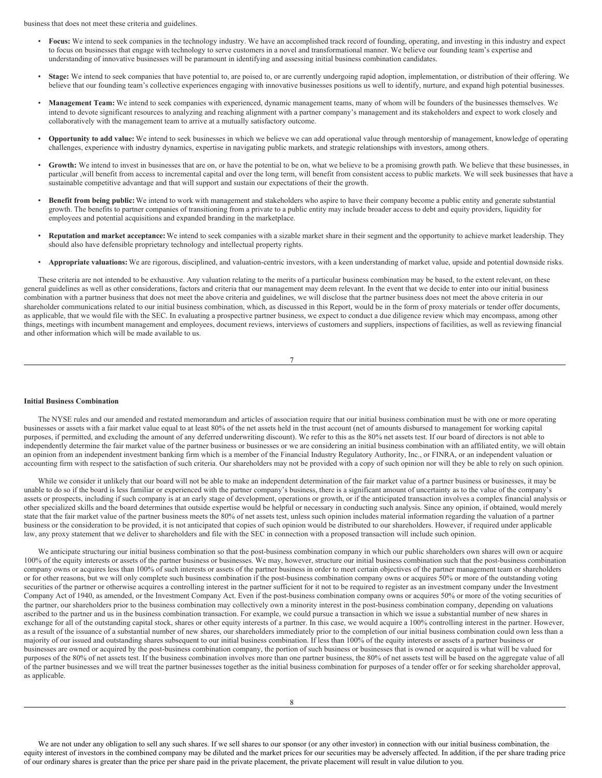business that does not meet these criteria and guidelines.

- **Focus:** We intend to seek companies in the technology industry. We have an accomplished track record of founding, operating, and investing in this industry and expect to focus on businesses that engage with technology to serve customers in a novel and transformational manner. We believe our founding team's expertise and understanding of innovative businesses will be paramount in identifying and assessing initial business combination candidates.
- **Stage:** We intend to seek companies that have potential to, are poised to, or are currently undergoing rapid adoption, implementation, or distribution of their offering. We believe that our founding team's collective experiences engaging with innovative businesses positions us well to identify, nurture, and expand high potential businesses.
- **Management Team:** We intend to seek companies with experienced, dynamic management teams, many of whom will be founders of the businesses themselves. We intend to devote significant resources to analyzing and reaching alignment with a partner company's management and its stakeholders and expect to work closely and collaboratively with the management team to arrive at a mutually satisfactory outcome.
- **Opportunity to add value:** We intend to seek businesses in which we believe we can add operational value through mentorship of management, knowledge of operating challenges, experience with industry dynamics, expertise in navigating public markets, and strategic relationships with investors, among others.
- Growth: We intend to invest in businesses that are on, or have the potential to be on, what we believe to be a promising growth path. We believe that these businesses, in particular ,will benefit from access to incremental capital and over the long term, will benefit from consistent access to public markets. We will seek businesses that have a sustainable competitive advantage and that will support and sustain our expectations of their the growth.
- **Benefit from being public:**We intend to work with management and stakeholders who aspire to have their company become a public entity and generate substantial growth. The benefits to partner companies of transitioning from a private to a public entity may include broader access to debt and equity providers, liquidity for employees and potential acquisitions and expanded branding in the marketplace.
- **Reputation and market acceptance:**We intend to seek companies with a sizable market share in their segment and the opportunity to achieve market leadership. They should also have defensible proprietary technology and intellectual property rights.
- **Appropriate valuations:** We are rigorous, disciplined, and valuation-centric investors, with a keen understanding of market value, upside and potential downside risks.

These criteria are not intended to be exhaustive. Any valuation relating to the merits of a particular business combination may be based, to the extent relevant, on these general guidelines as well as other considerations, factors and criteria that our management may deem relevant. In the event that we decide to enter into our initial business combination with a partner business that does not meet the above criteria and guidelines, we will disclose that the partner business does not meet the above criteria in our shareholder communications related to our initial business combination, which, as discussed in this Report, would be in the form of proxy materials or tender offer documents, as applicable, that we would file with the SEC. In evaluating a prospective partner business, we expect to conduct a due diligence review which may encompass, among other things, meetings with incumbent management and employees, document reviews, interviews of customers and suppliers, inspections of facilities, as well as reviewing financial and other information which will be made available to us.

#### **Initial Business Combination**

The NYSE rules and our amended and restated memorandum and articles of association require that our initial business combination must be with one or more operating businesses or assets with a fair market value equal to at least 80% of the net assets held in the trust account (net of amounts disbursed to management for working capital purposes, if permitted, and excluding the amount of any deferred underwriting discount). We refer to this as the 80% net assets test. If our board of directors is not able to independently determine the fair market value of the partner business or businesses or we are considering an initial business combination with an affiliated entity, we will obtain an opinion from an independent investment banking firm which is a member of the Financial Industry Regulatory Authority, Inc., or FINRA, or an independent valuation or accounting firm with respect to the satisfaction of such criteria. Our shareholders may not be provided with a copy of such opinion nor will they be able to rely on such opinion.

While we consider it unlikely that our board will not be able to make an independent determination of the fair market value of a partner business or businesses, it may be unable to do so if the board is less familiar or experienced with the partner company's business, there is a significant amount of uncertainty as to the value of the company's assets or prospects, including if such company is at an early stage of development, operations or growth, or if the anticipated transaction involves a complex financial analysis or other specialized skills and the board determines that outside expertise would be helpful or necessary in conducting such analysis. Since any opinion, if obtained, would merely state that the fair market value of the partner business meets the 80% of net assets test, unless such opinion includes material information regarding the valuation of a partner business or the consideration to be provided, it is not anticipated that copies of such opinion would be distributed to our shareholders. However, if required under applicable law, any proxy statement that we deliver to shareholders and file with the SEC in connection with a proposed transaction will include such opinion.

We anticipate structuring our initial business combination so that the post-business combination company in which our public shareholders own shares will own or acquire 100% of the equity interests or assets of the partner business or businesses. We may, however, structure our initial business combination such that the post-business combination company owns or acquires less than 100% of such interests or assets of the partner business in order to meet certain objectives of the partner management team or shareholders or for other reasons, but we will only complete such business combination if the post-business combination company owns or acquires 50% or more of the outstanding voting securities of the partner or otherwise acquires a controlling interest in the partner sufficient for it not to be required to register as an investment company under the Investment Company Act of 1940, as amended, or the Investment Company Act. Even if the post-business combination company owns or acquires 50% or more of the voting securities of the partner, our shareholders prior to the business combination may collectively own a minority interest in the post-business combination company, depending on valuations ascribed to the partner and us in the business combination transaction. For example, we could pursue a transaction in which we issue a substantial number of new shares in exchange for all of the outstanding capital stock, shares or other equity interests of a partner. In this case, we would acquire a 100% controlling interest in the partner. However, as a result of the issuance of a substantial number of new shares, our shareholders immediately prior to the completion of our initial business combination could own less than a majority of our issued and outstanding shares subsequent to our initial business combination. If less than 100% of the equity interests or assets of a partner business or businesses are owned or acquired by the post-business combination company, the portion of such business or businesses that is owned or acquired is what will be valued for purposes of the 80% of net assets test. If the business combination involves more than one partner business, the 80% of net assets test will be based on the aggregate value of all of the partner businesses and we will treat the partner businesses together as the initial business combination for purposes of a tender offer or for seeking shareholder approval, as applicable.

We are not under any obligation to sell any such shares. If we sell shares to our sponsor (or any other investor) in connection with our initial business combination, the equity interest of investors in the combined company may be diluted and the market prices for our securities may be adversely affected. In addition, if the per share trading price of our ordinary shares is greater than the price per share paid in the private placement, the private placement will result in value dilution to you.

<sup>7</sup>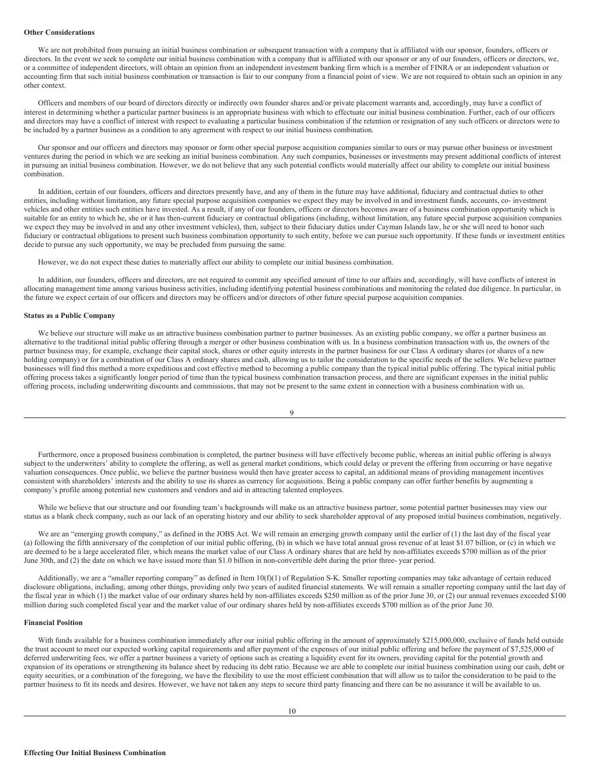#### **Other Considerations**

We are not prohibited from pursuing an initial business combination or subsequent transaction with a company that is affiliated with our sponsor, founders, officers or directors. In the event we seek to complete our initial business combination with a company that is affiliated with our sponsor or any of our founders, officers or directors, we, or a committee of independent directors, will obtain an opinion from an independent investment banking firm which is a member of FINRA or an independent valuation or accounting firm that such initial business combination or transaction is fair to our company from a financial point of view. We are not required to obtain such an opinion in any other context.

Officers and members of our board of directors directly or indirectly own founder shares and/or private placement warrants and, accordingly, may have a conflict of interest in determining whether a particular partner business is an appropriate business with which to effectuate our initial business combination. Further, each of our officers and directors may have a conflict of interest with respect to evaluating a particular business combination if the retention or resignation of any such officers or directors were to be included by a partner business as a condition to any agreement with respect to our initial business combination.

Our sponsor and our officers and directors may sponsor or form other special purpose acquisition companies similar to ours or may pursue other business or investment ventures during the period in which we are seeking an initial business combination. Any such companies, businesses or investments may present additional conflicts of interest in pursuing an initial business combination. However, we do not believe that any such potential conflicts would materially affect our ability to complete our initial business combination.

In addition, certain of our founders, officers and directors presently have, and any of them in the future may have additional, fiduciary and contractual duties to other entities, including without limitation, any future special purpose acquisition companies we expect they may be involved in and investment funds, accounts, co- investment vehicles and other entities such entities have invested. As a result, if any of our founders, officers or directors becomes aware of a business combination opportunity which is suitable for an entity to which he, she or it has then-current fiduciary or contractual obligations (including, without limitation, any future special purpose acquisition companies we expect they may be involved in and any other investment vehicles), then, subject to their fiduciary duties under Cayman Islands law, he or she will need to honor such fiduciary or contractual obligations to present such business combination opportunity to such entity, before we can pursue such opportunity. If these funds or investment entities decide to pursue any such opportunity, we may be precluded from pursuing the same.

However, we do not expect these duties to materially affect our ability to complete our initial business combination.

In addition, our founders, officers and directors, are not required to commit any specified amount of time to our affairs and, accordingly, will have conflicts of interest in allocating management time among various business activities, including identifying potential business combinations and monitoring the related due diligence. In particular, in the future we expect certain of our officers and directors may be officers and/or directors of other future special purpose acquisition companies.

#### **Status as a Public Company**

We believe our structure will make us an attractive business combination partner to partner businesses. As an existing public company, we offer a partner business an alternative to the traditional initial public offering through a merger or other business combination with us. In a business combination transaction with us, the owners of the partner business may, for example, exchange their capital stock, shares or other equity interests in the partner business for our Class A ordinary shares (or shares of a new holding company) or for a combination of our Class A ordinary shares and cash, allowing us to tailor the consideration to the specific needs of the sellers. We believe partner businesses will find this method a more expeditious and cost effective method to becoming a public company than the typical initial public offering. The typical initial public offering process takes a significantly longer period of time than the typical business combination transaction process, and there are significant expenses in the initial public offering process, including underwriting discounts and commissions, that may not be present to the same extent in connection with a business combination with us.

$$
9\\
$$

Furthermore, once a proposed business combination is completed, the partner business will have effectively become public, whereas an initial public offering is always subject to the underwriters' ability to complete the offering, as well as general market conditions, which could delay or prevent the offering from occurring or have negative valuation consequences. Once public, we believe the partner business would then have greater access to capital, an additional means of providing management incentives consistent with shareholders' interests and the ability to use its shares as currency for acquisitions. Being a public company can offer further benefits by augmenting a company's profile among potential new customers and vendors and aid in attracting talented employees.

While we believe that our structure and our founding team's backgrounds will make us an attractive business partner, some potential partner businesses may view our status as a blank check company, such as our lack of an operating history and our ability to seek shareholder approval of any proposed initial business combination, negatively.

We are an "emerging growth company," as defined in the JOBS Act. We will remain an emerging growth company until the earlier of (1) the last day of the fiscal year (a) following the fifth anniversary of the completion of our initial public offering, (b) in which we have total annual gross revenue of at least \$1.07 billion, or (c) in which we are deemed to be a large accelerated filer, which means the market value of our Class A ordinary shares that are held by non-affiliates exceeds \$700 million as of the prior June 30th, and (2) the date on which we have issued more than \$1.0 billion in non-convertible debt during the prior three- year period.

Additionally, we are a "smaller reporting company" as defined in Item 10(f)(1) of Regulation S-K. Smaller reporting companies may take advantage of certain reduced disclosure obligations, including, among other things, providing only two years of audited financial statements. We will remain a smaller reporting company until the last day of the fiscal year in which (1) the market value of our ordinary shares held by non-affiliates exceeds \$250 million as of the prior June 30, or (2) our annual revenues exceeded \$100 million during such completed fiscal year and the market value of our ordinary shares held by non-affiliates exceeds \$700 million as of the prior June 30.

### **Financial Position**

With funds available for a business combination immediately after our initial public offering in the amount of approximately \$215,000,000, exclusive of funds held outside the trust account to meet our expected working capital requirements and after payment of the expenses of our initial public offering and before the payment of \$7,525,000 of deferred underwriting fees, we offer a partner business a variety of options such as creating a liquidity event for its owners, providing capital for the potential growth and expansion of its operations or strengthening its balance sheet by reducing its debt ratio. Because we are able to complete our initial business combination using our cash, debt or equity securities, or a combination of the foregoing, we have the flexibility to use the most efficient combination that will allow us to tailor the consideration to be paid to the partner business to fit its needs and desires. However, we have not taken any steps to secure third party financing and there can be no assurance it will be available to us.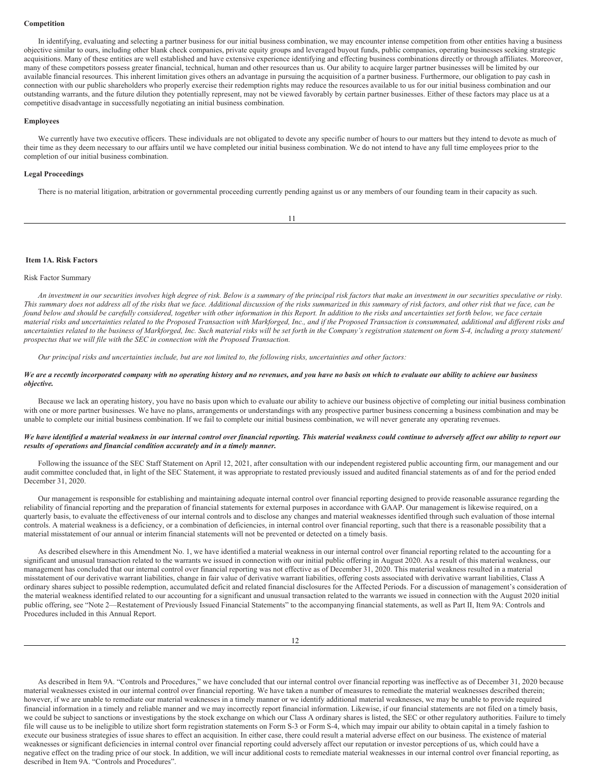#### **Competition**

In identifying, evaluating and selecting a partner business for our initial business combination, we may encounter intense competition from other entities having a business objective similar to ours, including other blank check companies, private equity groups and leveraged buyout funds, public companies, operating businesses seeking strategic acquisitions. Many of these entities are well established and have extensive experience identifying and effecting business combinations directly or through affiliates. Moreover, many of these competitors possess greater financial, technical, human and other resources than us. Our ability to acquire larger partner businesses will be limited by our available financial resources. This inherent limitation gives others an advantage in pursuing the acquisition of a partner business. Furthermore, our obligation to pay cash in connection with our public shareholders who properly exercise their redemption rights may reduce the resources available to us for our initial business combination and our outstanding warrants, and the future dilution they potentially represent, may not be viewed favorably by certain partner businesses. Either of these factors may place us at a competitive disadvantage in successfully negotiating an initial business combination.

#### **Employees**

We currently have two executive officers. These individuals are not obligated to devote any specific number of hours to our matters but they intend to devote as much of their time as they deem necessary to our affairs until we have completed our initial business combination. We do not intend to have any full time employees prior to the completion of our initial business combination.

# **Legal Proceedings**

There is no material litigation, arbitration or governmental proceeding currently pending against us or any members of our founding team in their capacity as such.

# <span id="page-7-0"></span>**Item 1A. Risk Factors**

#### Risk Factor Summary

An investment in our securities involves high degree of risk. Below is a summary of the principal risk factors that make an investment in our securities speculative or risky. This summary does not address all of the risks that we face. Additional discussion of the risks summarized in this summary of risk factors, and other risk that we face, can be found below and should be carefully considered, together with other information in this Report. In addition to the risks and uncertainties set forth below, we face certain material risks and uncertainties related to the Proposed Transaction with Markforged, Inc., and if the Proposed Transaction is consummated, additional and different risks and uncertainties related to the business of Markforged, Inc. Such material risks will be set forth in the Company's registration statement on form S-4, including a proxy statement/ *prospectus that we will file with the SEC in connection with the Proposed Transaction.*

Our principal risks and uncertainties include, but are not limited to, the following risks, uncertainties and other factors:

#### We are a recently incorporated company with no operating history and no revenues, and you have no basis on which to evaluate our ability to achieve our business *objective.*

Because we lack an operating history, you have no basis upon which to evaluate our ability to achieve our business objective of completing our initial business combination with one or more partner businesses. We have no plans, arrangements or understandings with any prospective partner business concerning a business combination and may be unable to complete our initial business combination. If we fail to complete our initial business combination, we will never generate any operating revenues.

### We have identified a material weakness in our internal control over financial reporting. This material weakness could continue to adversely affect our ability to report our *results of operations and financial condition accurately and in a timely manner.*

Following the issuance of the SEC Staff Statement on April 12, 2021, after consultation with our independent registered public accounting firm, our management and our audit committee concluded that, in light of the SEC Statement, it was appropriate to restated previously issued and audited financial statements as of and for the period ended December 31, 2020.

Our management is responsible for establishing and maintaining adequate internal control over financial reporting designed to provide reasonable assurance regarding the reliability of financial reporting and the preparation of financial statements for external purposes in accordance with GAAP. Our management is likewise required, on a quarterly basis, to evaluate the effectiveness of our internal controls and to disclose any changes and material weaknesses identified through such evaluation of those internal controls. A material weakness is a deficiency, or a combination of deficiencies, in internal control over financial reporting, such that there is a reasonable possibility that a material misstatement of our annual or interim financial statements will not be prevented or detected on a timely basis.

As described elsewhere in this Amendment No. 1, we have identified a material weakness in our internal control over financial reporting related to the accounting for a significant and unusual transaction related to the warrants we issued in connection with our initial public offering in August 2020. As a result of this material weakness, our management has concluded that our internal control over financial reporting was not effective as of December 31, 2020. This material weakness resulted in a material misstatement of our derivative warrant liabilities, change in fair value of derivative warrant liabilities, offering costs associated with derivative warrant liabilities, Class A ordinary shares subject to possible redemption, accumulated deficit and related financial disclosures for the Affected Periods. For a discussion of management's consideration of the material weakness identified related to our accounting for a significant and unusual transaction related to the warrants we issued in connection with the August 2020 initial public offering, see "Note 2—Restatement of Previously Issued Financial Statements" to the accompanying financial statements, as well as Part II, Item 9A: Controls and Procedures included in this Annual Report.

As described in Item 9A. "Controls and Procedures," we have concluded that our internal control over financial reporting was ineffective as of December 31, 2020 because material weaknesses existed in our internal control over financial reporting. We have taken a number of measures to remediate the material weaknesses described therein; however, if we are unable to remediate our material weaknesses in a timely manner or we identify additional material weaknesses, we may be unable to provide required financial information in a timely and reliable manner and we may incorrectly report financial information. Likewise, if our financial statements are not filed on a timely basis, we could be subject to sanctions or investigations by the stock exchange on which our Class A ordinary shares is listed, the SEC or other regulatory authorities. Failure to timely file will cause us to be ineligible to utilize short form registration statements on Form S-3 or Form S-4, which may impair our ability to obtain capital in a timely fashion to execute our business strategies of issue shares to effect an acquisition. In either case, there could result a material adverse effect on our business. The existence of material weaknesses or significant deficiencies in internal control over financial reporting could adversely affect our reputation or investor perceptions of us, which could have a negative effect on the trading price of our stock. In addition, we will incur additional costs to remediate material weaknesses in our internal control over financial reporting, as described in Item 9A. "Controls and Procedures".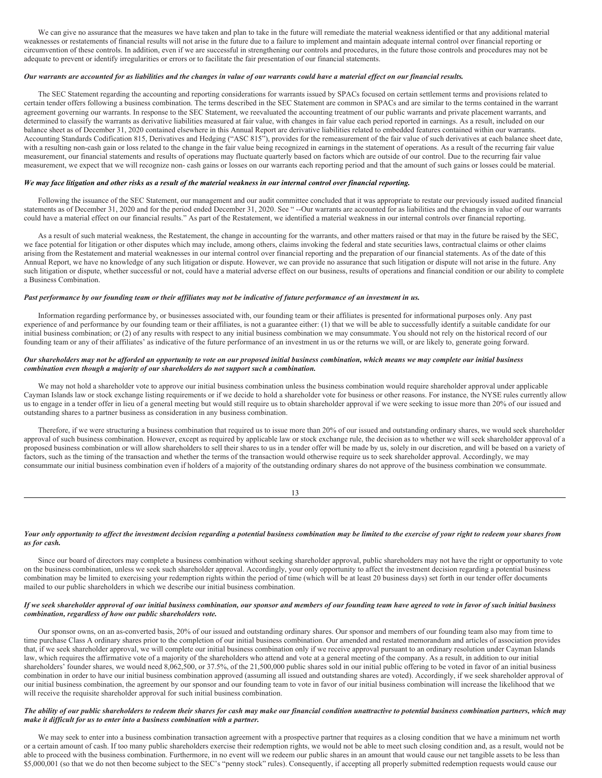We can give no assurance that the measures we have taken and plan to take in the future will remediate the material weakness identified or that any additional material weaknesses or restatements of financial results will not arise in the future due to a failure to implement and maintain adequate internal control over financial reporting or circumvention of these controls. In addition, even if we are successful in strengthening our controls and procedures, in the future those controls and procedures may not be adequate to prevent or identify irregularities or errors or to facilitate the fair presentation of our financial statements.

#### Our warrants are accounted for as liabilities and the changes in value of our warrants could have a material effect on our financial results.

The SEC Statement regarding the accounting and reporting considerations for warrants issued by SPACs focused on certain settlement terms and provisions related to certain tender offers following a business combination. The terms described in the SEC Statement are common in SPACs and are similar to the terms contained in the warrant agreement governing our warrants. In response to the SEC Statement, we reevaluated the accounting treatment of our public warrants and private placement warrants, and determined to classify the warrants as derivative liabilities measured at fair value, with changes in fair value each period reported in earnings. As a result, included on our balance sheet as of December 31, 2020 contained elsewhere in this Annual Report are derivative liabilities related to embedded features contained within our warrants. Accounting Standards Codification 815, Derivatives and Hedging ("ASC 815"), provides for the remeasurement of the fair value of such derivatives at each balance sheet date, with a resulting non-cash gain or loss related to the change in the fair value being recognized in earnings in the statement of operations. As a result of the recurring fair value measurement, our financial statements and results of operations may fluctuate quarterly based on factors which are outside of our control. Due to the recurring fair value measurement, we expect that we will recognize non- cash gains or losses on our warrants each reporting period and that the amount of such gains or losses could be material.

### We may face litigation and other risks as a result of the material weakness in our internal control over financial reporting.

Following the issuance of the SEC Statement, our management and our audit committee concluded that it was appropriate to restate our previously issued audited financial statements as of December 31, 2020 and for the period ended December 31, 2020. See " --Our warrants are accounted for as liabilities and the changes in value of our warrants could have a material effect on our financial results." As part of the Restatement, we identified a material weakness in our internal controls over financial reporting.

As a result of such material weakness, the Restatement, the change in accounting for the warrants, and other matters raised or that may in the future be raised by the SEC, we face potential for litigation or other disputes which may include, among others, claims invoking the federal and state securities laws, contractual claims or other claims arising from the Restatement and material weaknesses in our internal control over financial reporting and the preparation of our financial statements. As of the date of this Annual Report, we have no knowledge of any such litigation or dispute. However, we can provide no assurance that such litigation or dispute will not arise in the future. Any such litigation or dispute, whether successful or not, could have a material adverse effect on our business, results of operations and financial condition or our ability to complete a Business Combination.

### Past performance by our founding team or their affiliates may not be indicative of future performance of an investment in us.

Information regarding performance by, or businesses associated with, our founding team or their affiliates is presented for informational purposes only. Any past experience of and performance by our founding team or their affiliates, is not a guarantee either: (1) that we will be able to successfully identify a suitable candidate for our initial business combination; or (2) of any results with respect to any initial business combination we may consummate. You should not rely on the historical record of our founding team or any of their affiliates' as indicative of the future performance of an investment in us or the returns we will, or are likely to, generate going forward.

### Our shareholders may not be afforded an opportunity to vote on our proposed initial business combination, which means we may complete our initial business *combination even though a majority of our shareholders do not support such a combination.*

We may not hold a shareholder vote to approve our initial business combination unless the business combination would require shareholder approval under applicable Cayman Islands law or stock exchange listing requirements or if we decide to hold a shareholder vote for business or other reasons. For instance, the NYSE rules currently allow us to engage in a tender offer in lieu of a general meeting but would still require us to obtain shareholder approval if we were seeking to issue more than 20% of our issued and outstanding shares to a partner business as consideration in any business combination.

Therefore, if we were structuring a business combination that required us to issue more than 20% of our issued and outstanding ordinary shares, we would seek shareholder approval of such business combination. However, except as required by applicable law or stock exchange rule, the decision as to whether we will seek shareholder approval of a proposed business combination or will allow shareholders to sell their shares to us in a tender offer will be made by us, solely in our discretion, and will be based on a variety of factors, such as the timing of the transaction and whether the terms of the transaction would otherwise require us to seek shareholder approval. Accordingly, we may consummate our initial business combination even if holders of a majority of the outstanding ordinary shares do not approve of the business combination we consummate.

13

### Your only opportunity to affect the investment decision regarding a potential business combination may be limited to the exercise of your right to redeem your shares from *us for cash.*

Since our board of directors may complete a business combination without seeking shareholder approval, public shareholders may not have the right or opportunity to vote on the business combination, unless we seek such shareholder approval. Accordingly, your only opportunity to affect the investment decision regarding a potential business combination may be limited to exercising your redemption rights within the period of time (which will be at least 20 business days) set forth in our tender offer documents mailed to our public shareholders in which we describe our initial business combination.

# If we seek shareholder approval of our initial business combination, our sponsor and members of our founding team have agreed to vote in favor of such initial business *combination, regardless of how our public shareholders vote.*

Our sponsor owns, on an as-converted basis, 20% of our issued and outstanding ordinary shares. Our sponsor and members of our founding team also may from time to time purchase Class A ordinary shares prior to the completion of our initial business combination. Our amended and restated memorandum and articles of association provides that, if we seek shareholder approval, we will complete our initial business combination only if we receive approval pursuant to an ordinary resolution under Cayman Islands law, which requires the affirmative vote of a majority of the shareholders who attend and vote at a general meeting of the company. As a result, in addition to our initial shareholders' founder shares, we would need 8,062,500, or 37.5%, of the 21,500,000 public shares sold in our initial public offering to be voted in favor of an initial business combination in order to have our initial business combination approved (assuming all issued and outstanding shares are voted). Accordingly, if we seek shareholder approval of our initial business combination, the agreement by our sponsor and our founding team to vote in favor of our initial business combination will increase the likelihood that we will receive the requisite shareholder approval for such initial business combination.

### The ability of our public shareholders to redeem their shares for cash may make our financial condition unattractive to potential business combination partners, which may *make it dif icult for us to enter into a business combination with a partner.*

We may seek to enter into a business combination transaction agreement with a prospective partner that requires as a closing condition that we have a minimum net worth or a certain amount of cash. If too many public shareholders exercise their redemption rights, we would not be able to meet such closing condition and, as a result, would not be able to proceed with the business combination. Furthermore, in no event will we redeem our public shares in an amount that would cause our net tangible assets to be less than \$5,000,001 (so that we do not then become subject to the SEC's "penny stock" rules). Consequently, if accepting all properly submitted redemption requests would cause our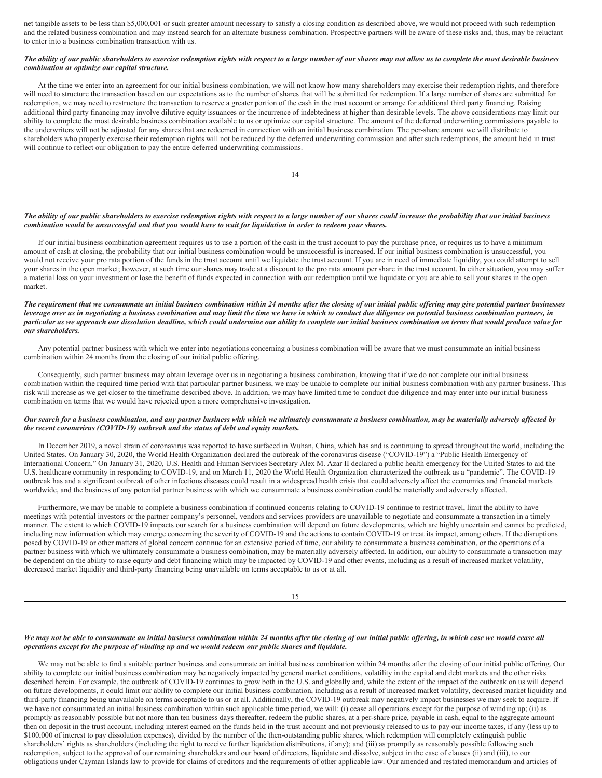net tangible assets to be less than \$5,000,001 or such greater amount necessary to satisfy a closing condition as described above, we would not proceed with such redemption and the related business combination and may instead search for an alternate business combination. Prospective partners will be aware of these risks and, thus, may be reluctant to enter into a business combination transaction with us.

### The ability of our public shareholders to exercise redemption rights with respect to a large number of our shares may not allow us to complete the most desirable business *combination or optimize our capital structure.*

At the time we enter into an agreement for our initial business combination, we will not know how many shareholders may exercise their redemption rights, and therefore will need to structure the transaction based on our expectations as to the number of shares that will be submitted for redemption. If a large number of shares are submitted for redemption, we may need to restructure the transaction to reserve a greater portion of the cash in the trust account or arrange for additional third party financing. Raising additional third party financing may involve dilutive equity issuances or the incurrence of indebtedness at higher than desirable levels. The above considerations may limit our ability to complete the most desirable business combination available to us or optimize our capital structure. The amount of the deferred underwriting commissions payable to the underwriters will not be adjusted for any shares that are redeemed in connection with an initial business combination. The per-share amount we will distribute to shareholders who properly exercise their redemption rights will not be reduced by the deferred underwriting commission and after such redemptions, the amount held in trust will continue to reflect our obligation to pay the entire deferred underwriting commissions.

### The ability of our public shareholders to exercise redemption rights with respect to a large number of our shares could increase the probability that our initial business combination would be unsuccessful and that you would have to wait for liquidation in order to redeem your shares.

If our initial business combination agreement requires us to use a portion of the cash in the trust account to pay the purchase price, or requires us to have a minimum amount of cash at closing, the probability that our initial business combination would be unsuccessful is increased. If our initial business combination is unsuccessful, you would not receive your pro rata portion of the funds in the trust account until we liquidate the trust account. If you are in need of immediate liquidity, you could attempt to sell your shares in the open market; however, at such time our shares may trade at a discount to the pro rata amount per share in the trust account. In either situation, you may suffer a material loss on your investment or lose the benefit of funds expected in connection with our redemption until we liquidate or you are able to sell your shares in the open market.

### The requirement that we consummate an initial business combination within 24 months after the closing of our initial public offering may give potential partner businesses leverage over us in negotiating a business combination and may limit the time we have in which to conduct due diligence on potential business combination partners, in particular as we approach our dissolution deadline, which could undermine our ability to complete our initial business combination on terms that would produce value for *our shareholders.*

Any potential partner business with which we enter into negotiations concerning a business combination will be aware that we must consummate an initial business combination within 24 months from the closing of our initial public offering.

Consequently, such partner business may obtain leverage over us in negotiating a business combination, knowing that if we do not complete our initial business combination within the required time period with that particular partner business, we may be unable to complete our initial business combination with any partner business. This risk will increase as we get closer to the timeframe described above. In addition, we may have limited time to conduct due diligence and may enter into our initial business combination on terms that we would have rejected upon a more comprehensive investigation.

### Our search for a business combination, and any partner business with which we ultimately consummate a business combination, may be materially adversely affected by *the recent coronavirus (COVID-19) outbreak and the status of debt and equity markets.*

In December 2019, a novel strain of coronavirus was reported to have surfaced in Wuhan, China, which has and is continuing to spread throughout the world, including the United States. On January 30, 2020, the World Health Organization declared the outbreak of the coronavirus disease ("COVID-19") a "Public Health Emergency of International Concern." On January 31, 2020, U.S. Health and Human Services Secretary Alex M. Azar II declared a public health emergency for the United States to aid the U.S. healthcare community in responding to COVID-19, and on March 11, 2020 the World Health Organization characterized the outbreak as a "pandemic". The COVID-19 outbreak has and a significant outbreak of other infectious diseases could result in a widespread health crisis that could adversely affect the economies and financial markets worldwide, and the business of any potential partner business with which we consummate a business combination could be materially and adversely affected.

Furthermore, we may be unable to complete a business combination if continued concerns relating to COVID-19 continue to restrict travel, limit the ability to have meetings with potential investors or the partner company's personnel, vendors and services providers are unavailable to negotiate and consummate a transaction in a timely manner. The extent to which COVID-19 impacts our search for a business combination will depend on future developments, which are highly uncertain and cannot be predicted, including new information which may emerge concerning the severity of COVID-19 and the actions to contain COVID-19 or treat its impact, among others. If the disruptions posed by COVID-19 or other matters of global concern continue for an extensive period of time, our ability to consummate a business combination, or the operations of a partner business with which we ultimately consummate a business combination, may be materially adversely affected. In addition, our ability to consummate a transaction may be dependent on the ability to raise equity and debt financing which may be impacted by COVID-19 and other events, including as a result of increased market volatility, decreased market liquidity and third-party financing being unavailable on terms acceptable to us or at all.

15

# We may not be able to consummate an initial business combination within 24 months after the closing of our initial public offering, in which case we would cease all *operations except for the purpose of winding up and we would redeem our public shares and liquidate.*

We may not be able to find a suitable partner business and consummate an initial business combination within 24 months after the closing of our initial public offering. Our ability to complete our initial business combination may be negatively impacted by general market conditions, volatility in the capital and debt markets and the other risks described herein. For example, the outbreak of COVID-19 continues to grow both in the U.S. and globally and, while the extent of the impact of the outbreak on us will depend on future developments, it could limit our ability to complete our initial business combination, including as a result of increased market volatility, decreased market liquidity and third-party financing being unavailable on terms acceptable to us or at all. Additionally, the COVID-19 outbreak may negatively impact businesses we may seek to acquire. If we have not consummated an initial business combination within such applicable time period, we will: (i) cease all operations except for the purpose of winding up; (ii) as promptly as reasonably possible but not more than ten business days thereafter, redeem the public shares, at a per-share price, payable in cash, equal to the aggregate amount then on deposit in the trust account, including interest earned on the funds held in the trust account and not previously released to us to pay our income taxes, if any (less up to \$100,000 of interest to pay dissolution expenses), divided by the number of the then-outstanding public shares, which redemption will completely extinguish public shareholders' rights as shareholders (including the right to receive further liquidation distributions, if any); and (iii) as promptly as reasonably possible following such redemption, subject to the approval of our remaining shareholders and our board of directors, liquidate and dissolve, subject in the case of clauses (ii) and (iii), to our obligations under Cayman Islands law to provide for claims of creditors and the requirements of other applicable law. Our amended and restated memorandum and articles of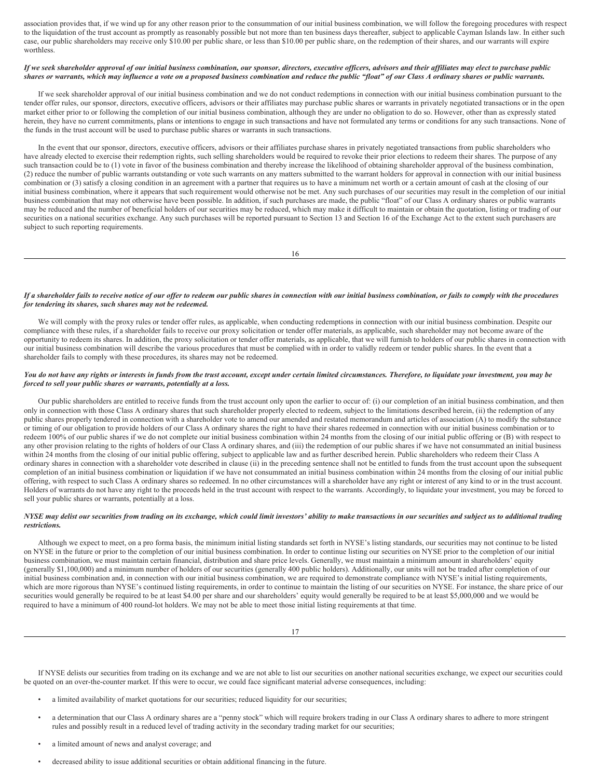association provides that, if we wind up for any other reason prior to the consummation of our initial business combination, we will follow the foregoing procedures with respect to the liquidation of the trust account as promptly as reasonably possible but not more than ten business days thereafter, subject to applicable Cayman Islands law. In either such case, our public shareholders may receive only \$10.00 per public share, or less than \$10.00 per public share, on the redemption of their shares, and our warrants will expire worthless.

### If we seek shareholder approval of our initial business combination, our sponsor, directors, executive officers, advisors and their affiliates may elect to purchase public shares or warrants, which may influence a vote on a proposed business combination and reduce the public "float" of our Class A ordinary shares or public warrants.

If we seek shareholder approval of our initial business combination and we do not conduct redemptions in connection with our initial business combination pursuant to the tender offer rules, our sponsor, directors, executive officers, advisors or their affiliates may purchase public shares or warrants in privately negotiated transactions or in the open market either prior to or following the completion of our initial business combination, although they are under no obligation to do so. However, other than as expressly stated herein, they have no current commitments, plans or intentions to engage in such transactions and have not formulated any terms or conditions for any such transactions. None of the funds in the trust account will be used to purchase public shares or warrants in such transactions.

In the event that our sponsor, directors, executive officers, advisors or their affiliates purchase shares in privately negotiated transactions from public shareholders who have already elected to exercise their redemption rights, such selling shareholders would be required to revoke their prior elections to redeem their shares. The purpose of any such transaction could be to (1) vote in favor of the business combination and thereby increase the likelihood of obtaining shareholder approval of the business combination, (2) reduce the number of public warrants outstanding or vote such warrants on any matters submitted to the warrant holders for approval in connection with our initial business combination or (3) satisfy a closing condition in an agreement with a partner that requires us to have a minimum net worth or a certain amount of cash at the closing of our initial business combination, where it appears that such requirement would otherwise not be met. Any such purchases of our securities may result in the completion of our initial business combination that may not otherwise have been possible. In addition, if such purchases are made, the public "float" of our Class A ordinary shares or public warrants may be reduced and the number of beneficial holders of our securities may be reduced, which may make it difficult to maintain or obtain the quotation, listing or trading of our securities on a national securities exchange. Any such purchases will be reported pursuant to Section 13 and Section 16 of the Exchange Act to the extent such purchasers are subject to such reporting requirements.

16

### If a shareholder fails to receive notice of our offer to redeem our public shares in connection with our initial business combination, or fails to comply with the procedures *for tendering its shares, such shares may not be redeemed.*

We will comply with the proxy rules or tender offer rules, as applicable, when conducting redemptions in connection with our initial business combination. Despite our compliance with these rules, if a shareholder fails to receive our proxy solicitation or tender offer materials, as applicable, such shareholder may not become aware of the opportunity to redeem its shares. In addition, the proxy solicitation or tender offer materials, as applicable, that we will furnish to holders of our public shares in connection with our initial business combination will describe the various procedures that must be complied with in order to validly redeem or tender public shares. In the event that a shareholder fails to comply with these procedures, its shares may not be redeemed.

# You do not have any rights or interests in funds from the trust account, except under certain limited circumstances. Therefore, to liquidate your investment, you may be *forced to sell your public shares or warrants, potentially at a loss.*

Our public shareholders are entitled to receive funds from the trust account only upon the earlier to occur of: (i) our completion of an initial business combination, and then only in connection with those Class A ordinary shares that such shareholder properly elected to redeem, subject to the limitations described herein, (ii) the redemption of any public shares properly tendered in connection with a shareholder vote to amend our amended and restated memorandum and articles of association (A) to modify the substance or timing of our obligation to provide holders of our Class A ordinary shares the right to have their shares redeemed in connection with our initial business combination or to redeem 100% of our public shares if we do not complete our initial business combination within 24 months from the closing of our initial public offering or (B) with respect to any other provision relating to the rights of holders of our Class A ordinary shares, and (iii) the redemption of our public shares if we have not consummated an initial business within 24 months from the closing of our initial public offering, subject to applicable law and as further described herein. Public shareholders who redeem their Class A ordinary shares in connection with a shareholder vote described in clause (ii) in the preceding sentence shall not be entitled to funds from the trust account upon the subsequent completion of an initial business combination or liquidation if we have not consummated an initial business combination within 24 months from the closing of our initial public offering, with respect to such Class A ordinary shares so redeemed. In no other circumstances will a shareholder have any right or interest of any kind to or in the trust account. Holders of warrants do not have any right to the proceeds held in the trust account with respect to the warrants. Accordingly, to liquidate your investment, you may be forced to sell your public shares or warrants, potentially at a loss.

# NYSE may delist our securities from trading on its exchange, which could limit investors' ability to make transactions in our securities and subject us to additional trading *restrictions.*

Although we expect to meet, on a pro forma basis, the minimum initial listing standards set forth in NYSE's listing standards, our securities may not continue to be listed on NYSE in the future or prior to the completion of our initial business combination. In order to continue listing our securities on NYSE prior to the completion of our initial business combination, we must maintain certain financial, distribution and share price levels. Generally, we must maintain a minimum amount in shareholders' equity (generally \$1,100,000) and a minimum number of holders of our securities (generally 400 public holders). Additionally, our units will not be traded after completion of our initial business combination and, in connection with our initial business combination, we are required to demonstrate compliance with NYSE's initial listing requirements, which are more rigorous than NYSE's continued listing requirements, in order to continue to maintain the listing of our securities on NYSE. For instance, the share price of our securities would generally be required to be at least \$4.00 per share and our shareholders' equity would generally be required to be at least \$5,000,000 and we would be required to have a minimum of 400 round-lot holders. We may not be able to meet those initial listing requirements at that time.

If NYSE delists our securities from trading on its exchange and we are not able to list our securities on another national securities exchange, we expect our securities could be quoted on an over-the-counter market. If this were to occur, we could face significant material adverse consequences, including:

- a limited availability of market quotations for our securities; reduced liquidity for our securities;
- a determination that our Class A ordinary shares are a "penny stock" which will require brokers trading in our Class A ordinary shares to adhere to more stringent rules and possibly result in a reduced level of trading activity in the secondary trading market for our securities;
- a limited amount of news and analyst coverage; and
- decreased ability to issue additional securities or obtain additional financing in the future.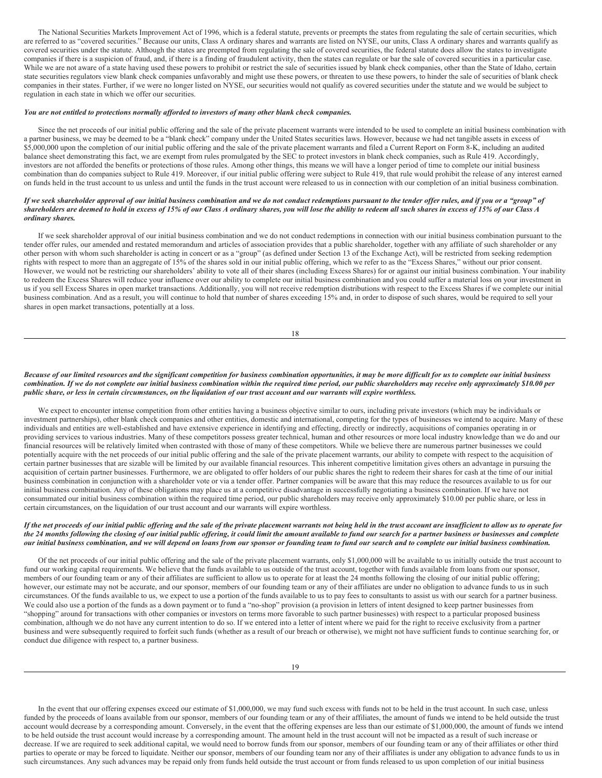The National Securities Markets Improvement Act of 1996, which is a federal statute, prevents or preempts the states from regulating the sale of certain securities, which are referred to as "covered securities." Because our units, Class A ordinary shares and warrants are listed on NYSE, our units, Class A ordinary shares and warrants qualify as covered securities under the statute. Although the states are preempted from regulating the sale of covered securities, the federal statute does allow the states to investigate companies if there is a suspicion of fraud, and, if there is a finding of fraudulent activity, then the states can regulate or bar the sale of covered securities in a particular case. While we are not aware of a state having used these powers to prohibit or restrict the sale of securities issued by blank check companies, other than the State of Idaho, certain state securities regulators view blank check companies unfavorably and might use these powers, or threaten to use these powers, to hinder the sale of securities of blank check companies in their states. Further, if we were no longer listed on NYSE, our securities would not qualify as covered securities under the statute and we would be subject to regulation in each state in which we offer our securities.

### *You are not entitled to protections normally af orded to investors of many other blank check companies.*

Since the net proceeds of our initial public offering and the sale of the private placement warrants were intended to be used to complete an initial business combination with a partner business, we may be deemed to be a "blank check" company under the United States securities laws. However, because we had net tangible assets in excess of \$5,000,000 upon the completion of our initial public offering and the sale of the private placement warrants and filed a Current Report on Form 8-K, including an audited balance sheet demonstrating this fact, we are exempt from rules promulgated by the SEC to protect investors in blank check companies, such as Rule 419. Accordingly, investors are not afforded the benefits or protections of those rules. Among other things, this means we will have a longer period of time to complete our initial business combination than do companies subject to Rule 419. Moreover, if our initial public offering were subject to Rule 419, that rule would prohibit the release of any interest earned on funds held in the trust account to us unless and until the funds in the trust account were released to us in connection with our completion of an initial business combination.

### If we seek shareholder approval of our initial business combination and we do not conduct redemptions pursuant to the tender offer rules, and if you or a "group" of shareholders are deemed to hold in excess of 15% of our Class A ordinary shares, you will lose the ability to redeem all such shares in excess of 15% of our Class A *ordinary shares.*

If we seek shareholder approval of our initial business combination and we do not conduct redemptions in connection with our initial business combination pursuant to the tender offer rules, our amended and restated memorandum and articles of association provides that a public shareholder, together with any affiliate of such shareholder or any other person with whom such shareholder is acting in concert or as a "group" (as defined under Section 13 of the Exchange Act), will be restricted from seeking redemption rights with respect to more than an aggregate of 15% of the shares sold in our initial public offering, which we refer to as the "Excess Shares," without our prior consent. However, we would not be restricting our shareholders' ability to vote all of their shares (including Excess Shares) for or against our initial business combination. Your inability to redeem the Excess Shares will reduce your influence over our ability to complete our initial business combination and you could suffer a material loss on your investment in us if you sell Excess Shares in open market transactions. Additionally, you will not receive redemption distributions with respect to the Excess Shares if we complete our initial business combination. And as a result, you will continue to hold that number of shares exceeding 15% and, in order to dispose of such shares, would be required to sell your shares in open market transactions, potentially at a loss.

18

### Because of our limited resources and the significant competition for business combination opportunities, it may be more difficult for us to complete our initial business combination. If we do not complete our initial business combination within the required time period, our public shareholders may receive only approximately \$10.00 per public share, or less in certain circumstances, on the liquidation of our trust account and our warrants will expire worthless.

We expect to encounter intense competition from other entities having a business objective similar to ours, including private investors (which may be individuals or investment partnerships), other blank check companies and other entities, domestic and international, competing for the types of businesses we intend to acquire. Many of these individuals and entities are well-established and have extensive experience in identifying and effecting, directly or indirectly, acquisitions of companies operating in or providing services to various industries. Many of these competitors possess greater technical, human and other resources or more local industry knowledge than we do and our financial resources will be relatively limited when contrasted with those of many of these competitors. While we believe there are numerous partner businesses we could potentially acquire with the net proceeds of our initial public offering and the sale of the private placement warrants, our ability to compete with respect to the acquisition of certain partner businesses that are sizable will be limited by our available financial resources. This inherent competitive limitation gives others an advantage in pursuing the acquisition of certain partner businesses. Furthermore, we are obligated to offer holders of our public shares the right to redeem their shares for cash at the time of our initial business combination in conjunction with a shareholder vote or via a tender offer. Partner companies will be aware that this may reduce the resources available to us for our initial business combination. Any of these obligations may place us at a competitive disadvantage in successfully negotiating a business combination. If we have not consummated our initial business combination within the required time period, our public shareholders may receive only approximately \$10.00 per public share, or less in certain circumstances, on the liquidation of our trust account and our warrants will expire worthless.

### If the net proceeds of our initial public offering and the sale of the private placement warrants not being held in the trust account are insufficient to allow us to operate for the 24 months following the closing of our initial public offering, it could limit the amount available to fund our search for a partner business or businesses and complete our initial business combination, and we will depend on loans from our sponsor or founding team to fund our search and to complete our initial business combination.

Of the net proceeds of our initial public offering and the sale of the private placement warrants, only \$1,000,000 will be available to us initially outside the trust account to fund our working capital requirements. We believe that the funds available to us outside of the trust account, together with funds available from loans from our sponsor, members of our founding team or any of their affiliates are sufficient to allow us to operate for at least the 24 months following the closing of our initial public offering; however, our estimate may not be accurate, and our sponsor, members of our founding team or any of their affiliates are under no obligation to advance funds to us in such circumstances. Of the funds available to us, we expect to use a portion of the funds available to us to pay fees to consultants to assist us with our search for a partner business. We could also use a portion of the funds as a down payment or to fund a "no-shop" provision (a provision in letters of intent designed to keep partner businesses from "shopping" around for transactions with other companies or investors on terms more favorable to such partner businesses) with respect to a particular proposed business combination, although we do not have any current intention to do so. If we entered into a letter of intent where we paid for the right to receive exclusivity from a partner business and were subsequently required to forfeit such funds (whether as a result of our breach or otherwise), we might not have sufficient funds to continue searching for, or conduct due diligence with respect to, a partner business.

In the event that our offering expenses exceed our estimate of \$1,000,000, we may fund such excess with funds not to be held in the trust account. In such case, unless funded by the proceeds of loans available from our sponsor, members of our founding team or any of their affiliates, the amount of funds we intend to be held outside the trust account would decrease by a corresponding amount. Conversely, in the event that the offering expenses are less than our estimate of \$1,000,000, the amount of funds we intend to be held outside the trust account would increase by a corresponding amount. The amount held in the trust account will not be impacted as a result of such increase or decrease. If we are required to seek additional capital, we would need to borrow funds from our sponsor, members of our founding team or any of their affiliates or other third parties to operate or may be forced to liquidate. Neither our sponsor, members of our founding team nor any of their affiliates is under any obligation to advance funds to us in such circumstances. Any such advances may be repaid only from funds held outside the trust account or from funds released to us upon completion of our initial business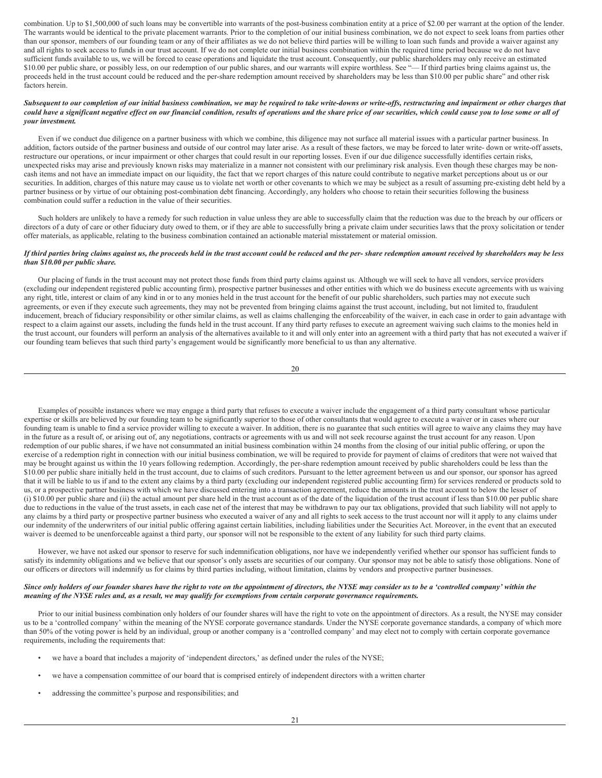combination. Up to \$1,500,000 of such loans may be convertible into warrants of the post-business combination entity at a price of \$2.00 per warrant at the option of the lender. The warrants would be identical to the private placement warrants. Prior to the completion of our initial business combination, we do not expect to seek loans from parties other than our sponsor, members of our founding team or any of their affiliates as we do not believe third parties will be willing to loan such funds and provide a waiver against any and all rights to seek access to funds in our trust account. If we do not complete our initial business combination within the required time period because we do not have sufficient funds available to us, we will be forced to cease operations and liquidate the trust account. Consequently, our public shareholders may only receive an estimated \$10.00 per public share, or possibly less, on our redemption of our public shares, and our warrants will expire worthless. See "—If third parties bring claims against us, the proceeds held in the trust account could be reduced and the per-share redemption amount received by shareholders may be less than \$10.00 per public share" and other risk factors herein.

### Subsequent to our completion of our initial business combination, we may be required to take write-downs or write-offs, restructuring and impairment or other charges that could have a significant negative effect on our financial condition, results of operations and the share price of our securities, which could cause you to lose some or all of *your investment.*

Even if we conduct due diligence on a partner business with which we combine, this diligence may not surface all material issues with a particular partner business. In addition, factors outside of the partner business and outside of our control may later arise. As a result of these factors, we may be forced to later write- down or write-off assets, restructure our operations, or incur impairment or other charges that could result in our reporting losses. Even if our due diligence successfully identifies certain risks, unexpected risks may arise and previously known risks may materialize in a manner not consistent with our preliminary risk analysis. Even though these charges may be noncash items and not have an immediate impact on our liquidity, the fact that we report charges of this nature could contribute to negative market perceptions about us or our securities. In addition, charges of this nature may cause us to violate net worth or other covenants to which we may be subject as a result of assuming pre-existing debt held by a partner business or by virtue of our obtaining post-combination debt financing. Accordingly, any holders who choose to retain their securities following the business combination could suffer a reduction in the value of their securities.

Such holders are unlikely to have a remedy for such reduction in value unless they are able to successfully claim that the reduction was due to the breach by our officers or directors of a duty of care or other fiduciary duty owed to them, or if they are able to successfully bring a private claim under securities laws that the proxy solicitation or tender offer materials, as applicable, relating to the business combination contained an actionable material misstatement or material omission.

### If third parties bring claims against us, the proceeds held in the trust account could be reduced and the per- share redemption amount received by shareholders may be less *than \$10.00 per public share.*

Our placing of funds in the trust account may not protect those funds from third party claims against us. Although we will seek to have all vendors, service providers (excluding our independent registered public accounting firm), prospective partner businesses and other entities with which we do business execute agreements with us waiving any right, title, interest or claim of any kind in or to any monies held in the trust account for the benefit of our public shareholders, such parties may not execute such agreements, or even if they execute such agreements, they may not be prevented from bringing claims against the trust account, including, but not limited to, fraudulent inducement, breach of fiduciary responsibility or other similar claims, as well as claims challenging the enforceability of the waiver, in each case in order to gain advantage with respect to a claim against our assets, including the funds held in the trust account. If any third party refuses to execute an agreement waiving such claims to the monies held in the trust account, our founders will perform an analysis of the alternatives available to it and will only enter into an agreement with a third party that has not executed a waiver if our founding team believes that such third party's engagement would be significantly more beneficial to us than any alternative.

```
20
```
Examples of possible instances where we may engage a third party that refuses to execute a waiver include the engagement of a third party consultant whose particular expertise or skills are believed by our founding team to be significantly superior to those of other consultants that would agree to execute a waiver or in cases where our founding team is unable to find a service provider willing to execute a waiver. In addition, there is no guarantee that such entities will agree to waive any claims they may have in the future as a result of, or arising out of, any negotiations, contracts or agreements with us and will not seek recourse against the trust account for any reason. Upon redemption of our public shares, if we have not consummated an initial business combination within 24 months from the closing of our initial public offering, or upon the exercise of a redemption right in connection with our initial business combination, we will be required to provide for payment of claims of creditors that were not waived that may be brought against us within the 10 years following redemption. Accordingly, the per-share redemption amount received by public shareholders could be less than the \$10.00 per public share initially held in the trust account, due to claims of such creditors. Pursuant to the letter agreement between us and our sponsor, our sponsor has agreed that it will be liable to us if and to the extent any claims by a third party (excluding our independent registered public accounting firm) for services rendered or products sold to us, or a prospective partner business with which we have discussed entering into a transaction agreement, reduce the amounts in the trust account to below the lesser of (i) \$10.00 per public share and (ii) the actual amount per share held in the trust account as of the date of the liquidation of the trust account if less than \$10.00 per public share due to reductions in the value of the trust assets, in each case net of the interest that may be withdrawn to pay our tax obligations, provided that such liability will not apply to any claims by a third party or prospective partner business who executed a waiver of any and all rights to seek access to the trust account nor will it apply to any claims under our indemnity of the underwriters of our initial public offering against certain liabilities, including liabilities under the Securities Act. Moreover, in the event that an executed waiver is deemed to be unenforceable against a third party, our sponsor will not be responsible to the extent of any liability for such third party claims.

However, we have not asked our sponsor to reserve for such indemnification obligations, nor have we independently verified whether our sponsor has sufficient funds to satisfy its indemnity obligations and we believe that our sponsor's only assets are securities of our company. Our sponsor may not be able to satisfy those obligations. None of our officers or directors will indemnify us for claims by third parties including, without limitation, claims by vendors and prospective partner businesses.

### Since only holders of our founder shares have the right to vote on the appointment of directors, the NYSE may consider us to be a 'controlled company' within the meaning of the NYSE rules and, as a result, we may qualify for exemptions from certain corporate governance requirements.

Prior to our initial business combination only holders of our founder shares will have the right to vote on the appointment of directors. As a result, the NYSE may consider us to be a 'controlled company' within the meaning of the NYSE corporate governance standards. Under the NYSE corporate governance standards, a company of which more than 50% of the voting power is held by an individual, group or another company is a 'controlled company' and may elect not to comply with certain corporate governance requirements, including the requirements that:

- we have a board that includes a majority of 'independent directors,' as defined under the rules of the NYSE;
- we have a compensation committee of our board that is comprised entirely of independent directors with a written charter
- addressing the committee's purpose and responsibilities; and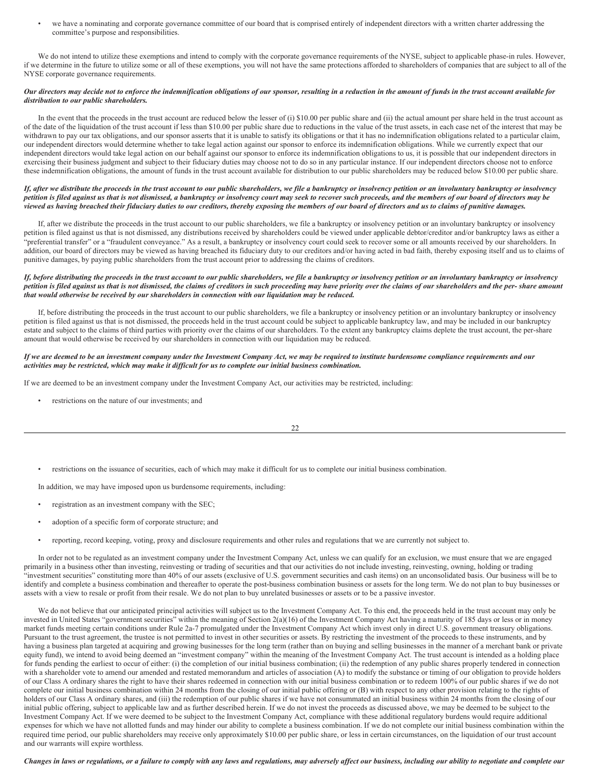• we have a nominating and corporate governance committee of our board that is comprised entirely of independent directors with a written charter addressing the committee's purpose and responsibilities.

We do not intend to utilize these exemptions and intend to comply with the corporate governance requirements of the NYSE, subject to applicable phase-in rules. However, if we determine in the future to utilize some or all of these exemptions, you will not have the same protections afforded to shareholders of companies that are subject to all of the NYSE corporate governance requirements.

### Our directors may decide not to enforce the indemnification obligations of our sponsor, resulting in a reduction in the amount of funds in the trust account available for *distribution to our public shareholders.*

In the event that the proceeds in the trust account are reduced below the lesser of (i) \$10.00 per public share and (ii) the actual amount per share held in the trust account as of the date of the liquidation of the trust account if less than \$10.00 per public share due to reductions in the value of the trust assets, in each case net of the interest that may be withdrawn to pay our tax obligations, and our sponsor asserts that it is unable to satisfy its obligations or that it has no indemnification obligations related to a particular claim, our independent directors would determine whether to take legal action against our sponsor to enforce its indemnification obligations. While we currently expect that our independent directors would take legal action on our behalf against our sponsor to enforce its indemnification obligations to us, it is possible that our independent directors in exercising their business judgment and subject to their fiduciary duties may choose not to do so in any particular instance. If our independent directors choose not to enforce these indemnification obligations, the amount of funds in the trust account available for distribution to our public shareholders may be reduced below \$10.00 per public share.

### If, after we distribute the proceeds in the trust account to our public shareholders, we file a bankruptcy or insolvency petition or an involuntary bankruptcy or insolvency petition is filed against us that is not dismissed, a bankruptcy or insolvency court may seek to recover such proceeds, and the members of our board of directors may be viewed as having breached their fiduciary duties to our creditors, thereby exposing the members of our board of directors and us to claims of punitive damages.

If, after we distribute the proceeds in the trust account to our public shareholders, we file a bankruptcy or insolvency petition or an involuntary bankruptcy or insolvency petition is filed against us that is not dismissed, any distributions received by shareholders could be viewed under applicable debtor/creditor and/or bankruptcy laws as either a "preferential transfer" or a "fraudulent conveyance." As a result, a bankruptcy or insolvency court could seek to recover some or all amounts received by our shareholders. In addition, our board of directors may be viewed as having breached its fiduciary duty to our creditors and/or having acted in bad faith, thereby exposing itself and us to claims of punitive damages, by paying public shareholders from the trust account prior to addressing the claims of creditors.

### If, before distributing the proceeds in the trust account to our public shareholders, we file a bankruptcy or insolvency petition or an involuntary bankruptcy or insolvency petition is filed against us that is not dismissed, the claims of creditors in such proceeding may have priority over the claims of our shareholders and the per-share amount *that would otherwise be received by our shareholders in connection with our liquidation may be reduced.*

If, before distributing the proceeds in the trust account to our public shareholders, we file a bankruptcy or insolvency petition or an involuntary bankruptcy or insolvency petition is filed against us that is not dismissed, the proceeds held in the trust account could be subject to applicable bankruptcy law, and may be included in our bankruptcy estate and subject to the claims of third parties with priority over the claims of our shareholders. To the extent any bankruptcy claims deplete the trust account, the per-share amount that would otherwise be received by our shareholders in connection with our liquidation may be reduced.

### If we are deemed to be an investment company under the Investment Company Act, we may be required to institute burdensome compliance requirements and our activities may be restricted, which may make it difficult for us to complete our initial business combination.

If we are deemed to be an investment company under the Investment Company Act, our activities may be restricted, including:

restrictions on the nature of our investments; and

22

• restrictions on the issuance of securities, each of which may make it difficult for us to complete our initial business combination.

In addition, we may have imposed upon us burdensome requirements, including:

- registration as an investment company with the SEC;
- adoption of a specific form of corporate structure; and
- reporting, record keeping, voting, proxy and disclosure requirements and other rules and regulations that we are currently not subject to.

In order not to be regulated as an investment company under the Investment Company Act, unless we can qualify for an exclusion, we must ensure that we are engaged primarily in a business other than investing, reinvesting or trading of securities and that our activities do not include investing, reinvesting, owning, holding or trading "investment securities" constituting more than 40% of our assets (exclusive of U.S. government securities and cash items) on an unconsolidated basis. Our business will be to identify and complete a business combination and thereafter to operate the post-business combination business or assets for the long term. We do not plan to buy businesses or assets with a view to resale or profit from their resale. We do not plan to buy unrelated businesses or assets or to be a passive investor.

We do not believe that our anticipated principal activities will subject us to the Investment Company Act. To this end, the proceeds held in the trust account may only be invested in United States "government securities" within the meaning of Section 2(a)(16) of the Investment Company Act having a maturity of 185 days or less or in money market funds meeting certain conditions under Rule 2a-7 promulgated under the Investment Company Act which invest only in direct U.S. government treasury obligations. Pursuant to the trust agreement, the trustee is not permitted to invest in other securities or assets. By restricting the investment of the proceeds to these instruments, and by having a business plan targeted at acquiring and growing businesses for the long term (rather than on buying and selling businesses in the manner of a merchant bank or private equity fund), we intend to avoid being deemed an "investment company" within the meaning of the Investment Company Act. The trust account is intended as a holding place for funds pending the earliest to occur of either: (i) the completion of our initial business combination; (ii) the redemption of any public shares properly tendered in connection with a shareholder vote to amend our amended and restated memorandum and articles of association (A) to modify the substance or timing of our obligation to provide holders of our Class A ordinary shares the right to have their shares redeemed in connection with our initial business combination or to redeem 100% of our public shares if we do not complete our initial business combination within 24 months from the closing of our initial public offering or (B) with respect to any other provision relating to the rights of holders of our Class A ordinary shares, and (iii) the redemption of our public shares if we have not consummated an initial business within 24 months from the closing of our initial public offering, subject to applicable law and as further described herein. If we do not invest the proceeds as discussed above, we may be deemed to be subject to the Investment Company Act. If we were deemed to be subject to the Investment Company Act, compliance with these additional regulatory burdens would require additional expenses for which we have not allotted funds and may hinder our ability to complete a business combination. If we do not complete our initial business combination within the required time period, our public shareholders may receive only approximately \$10.00 per public share, or less in certain circumstances, on the liquidation of our trust account and our warrants will expire worthless.

Changes in laws or regulations, or a failure to comply with any laws and regulations, may adversely affect our business, including our ability to negotiate and complete our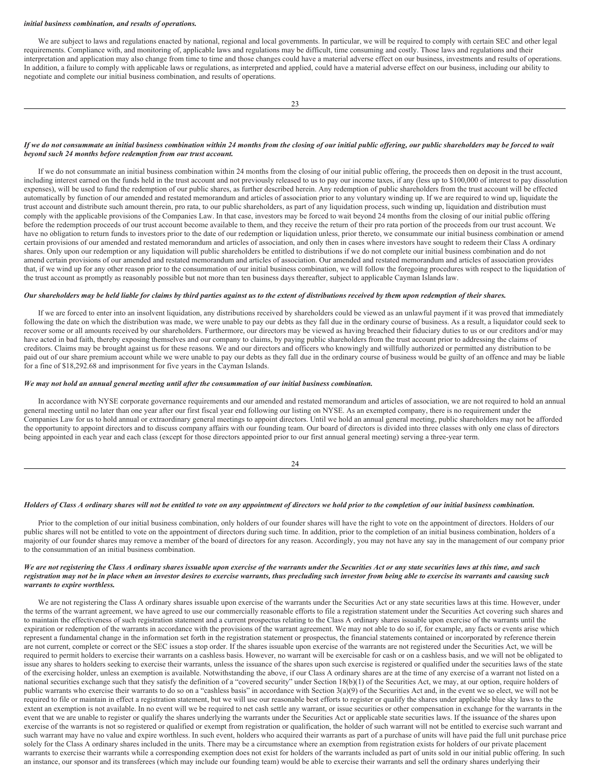#### *initial business combination, and results of operations.*

We are subject to laws and regulations enacted by national, regional and local governments. In particular, we will be required to comply with certain SEC and other legal requirements. Compliance with, and monitoring of, applicable laws and regulations may be difficult, time consuming and costly. Those laws and regulations and their interpretation and application may also change from time to time and those changes could have a material adverse effect on our business, investments and results of operations. In addition, a failure to comply with applicable laws or regulations, as interpreted and applied, could have a material adverse effect on our business, including our ability to negotiate and complete our initial business combination, and results of operations.

23

### If we do not consummate an initial business combination within 24 months from the closing of our initial public offering, our public shareholders may be forced to wait *beyond such 24 months before redemption from our trust account.*

If we do not consummate an initial business combination within 24 months from the closing of our initial public offering, the proceeds then on deposit in the trust account, including interest earned on the funds held in the trust account and not previously released to us to pay our income taxes, if any (less up to \$100,000 of interest to pay dissolution expenses), will be used to fund the redemption of our public shares, as further described herein. Any redemption of public shareholders from the trust account will be effected automatically by function of our amended and restated memorandum and articles of association prior to any voluntary winding up. If we are required to wind up, liquidate the trust account and distribute such amount therein, pro rata, to our public shareholders, as part of any liquidation process, such winding up, liquidation and distribution must comply with the applicable provisions of the Companies Law. In that case, investors may be forced to wait beyond 24 months from the closing of our initial public offering before the redemption proceeds of our trust account become available to them, and they receive the return of their pro rata portion of the proceeds from our trust account. We have no obligation to return funds to investors prior to the date of our redemption or liquidation unless, prior thereto, we consummate our initial business combination or amend certain provisions of our amended and restated memorandum and articles of association, and only then in cases where investors have sought to redeem their Class A ordinary shares. Only upon our redemption or any liquidation will public shareholders be entitled to distributions if we do not complete our initial business combination and do not amend certain provisions of our amended and restated memorandum and articles of association. Our amended and restated memorandum and articles of association provides that, if we wind up for any other reason prior to the consummation of our initial business combination, we will follow the foregoing procedures with respect to the liquidation of the trust account as promptly as reasonably possible but not more than ten business days thereafter, subject to applicable Cayman Islands law.

#### Our shareholders may be held liable for claims by third parties against us to the extent of distributions received by them upon redemption of their shares.

If we are forced to enter into an insolvent liquidation, any distributions received by shareholders could be viewed as an unlawful payment if it was proved that immediately following the date on which the distribution was made, we were unable to pay our debts as they fall due in the ordinary course of business. As a result, a liquidator could seek to recover some or all amounts received by our shareholders. Furthermore, our directors may be viewed as having breached their fiduciary duties to us or our creditors and/or may have acted in bad faith, thereby exposing themselves and our company to claims, by paying public shareholders from the trust account prior to addressing the claims of creditors. Claims may be brought against us for these reasons. We and our directors and officers who knowingly and willfully authorized or permitted any distribution to be paid out of our share premium account while we were unable to pay our debts as they fall due in the ordinary course of business would be guilty of an offence and may be liable for a fine of \$18,292.68 and imprisonment for five years in the Cayman Islands.

### We may not hold an annual general meeting until after the consummation of our initial business combination.

In accordance with NYSE corporate governance requirements and our amended and restated memorandum and articles of association, we are not required to hold an annual general meeting until no later than one year after our first fiscal year end following our listing on NYSE. As an exempted company, there is no requirement under the Companies Law for us to hold annual or extraordinary general meetings to appoint directors. Until we hold an annual general meeting, public shareholders may not be afforded the opportunity to appoint directors and to discuss company affairs with our founding team. Our board of directors is divided into three classes with only one class of directors being appointed in each year and each class (except for those directors appointed prior to our first annual general meeting) serving a three-year term.

### Holders of Class A ordinary shares will not be entitled to vote on any appointment of directors we hold prior to the completion of our initial business combination.

Prior to the completion of our initial business combination, only holders of our founder shares will have the right to vote on the appointment of directors. Holders of our public shares will not be entitled to vote on the appointment of directors during such time. In addition, prior to the completion of an initial business combination, holders of a majority of our founder shares may remove a member of the board of directors for any reason. Accordingly, you may not have any say in the management of our company prior to the consummation of an initial business combination.

#### We are not registering the Class A ordinary shares issuable upon exercise of the warrants under the Securities Act or any state securities laws at this time, and such registration may not be in place when an investor desires to exercise warrants, thus precluding such investor from being able to exercise its warrants and causing such *warrants to expire worthless.*

We are not registering the Class A ordinary shares issuable upon exercise of the warrants under the Securities Act or any state securities laws at this time. However, under the terms of the warrant agreement, we have agreed to use our commercially reasonable efforts to file a registration statement under the Securities Act covering such shares and to maintain the effectiveness of such registration statement and a current prospectus relating to the Class A ordinary shares issuable upon exercise of the warrants until the expiration or redemption of the warrants in accordance with the provisions of the warrant agreement. We may not able to do so if, for example, any facts or events arise which represent a fundamental change in the information set forth in the registration statement or prospectus, the financial statements contained or incorporated by reference therein are not current, complete or correct or the SEC issues a stop order. If the shares issuable upon exercise of the warrants are not registered under the Securities Act, we will be required to permit holders to exercise their warrants on a cashless basis. However, no warrant will be exercisable for cash or on a cashless basis, and we will not be obligated to issue any shares to holders seeking to exercise their warrants, unless the issuance of the shares upon such exercise is registered or qualified under the securities laws of the state of the exercising holder, unless an exemption is available. Notwithstanding the above, if our Class A ordinary shares are at the time of any exercise of a warrant not listed on a national securities exchange such that they satisfy the definition of a "covered security" under Section 18(b)(1) of the Securities Act, we may, at our option, require holders of public warrants who exercise their warrants to do so on a "cashless basis" in accordance with Section 3(a)(9) of the Securities Act and, in the event we so elect, we will not be required to file or maintain in effect a registration statement, but we will use our reasonable best efforts to register or qualify the shares under applicable blue sky laws to the extent an exemption is not available. In no event will we be required to net cash settle any warrant, or issue securities or other compensation in exchange for the warrants in the event that we are unable to register or qualify the shares underlying the warrants under the Securities Act or applicable state securities laws. If the issuance of the shares upon exercise of the warrants is not so registered or qualified or exempt from registration or qualification, the holder of such warrant will not be entitled to exercise such warrant and such warrant may have no value and expire worthless. In such event, holders who acquired their warrants as part of a purchase of units will have paid the full unit purchase price solely for the Class A ordinary shares included in the units. There may be a circumstance where an exemption from registration exists for holders of our private placement warrants to exercise their warrants while a corresponding exemption does not exist for holders of the warrants included as part of units sold in our initial public offering. In such an instance, our sponsor and its transferees (which may include our founding team) would be able to exercise their warrants and sell the ordinary shares underlying their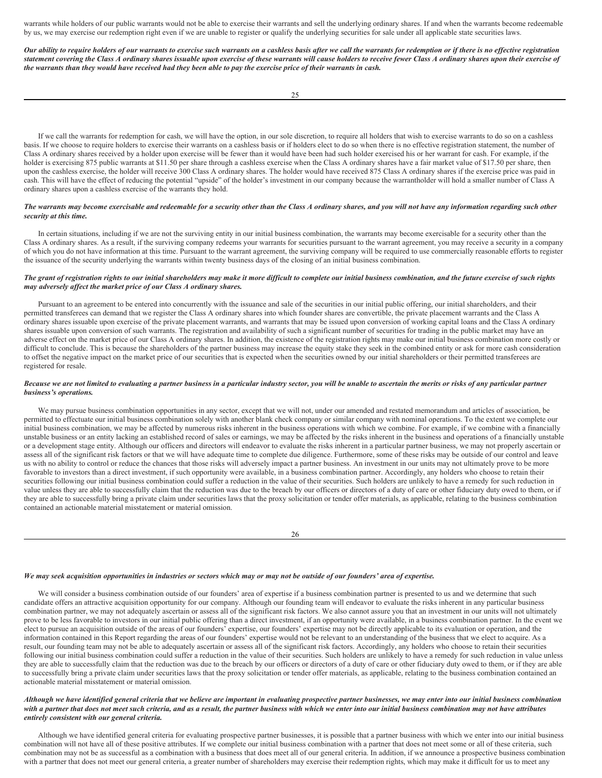warrants while holders of our public warrants would not be able to exercise their warrants and sell the underlying ordinary shares. If and when the warrants become redeemable by us, we may exercise our redemption right even if we are unable to register or qualify the underlying securities for sale under all applicable state securities laws.

Our ability to require holders of our warrants to exercise such warrants on a cashless basis after we call the warrants for redemption or if there is no effective registration statement covering the Class A ordinary shares issuable upon exercise of these warrants will cause holders to receive fewer Class A ordinary shares upon their exercise of the warrants than they would have received had they been able to pay the exercise price of their warrants in cash.

25

If we call the warrants for redemption for cash, we will have the option, in our sole discretion, to require all holders that wish to exercise warrants to do so on a cashless basis. If we choose to require holders to exercise their warrants on a cashless basis or if holders elect to do so when there is no effective registration statement, the number of Class A ordinary shares received by a holder upon exercise will be fewer than it would have been had such holder exercised his or her warrant for cash. For example, if the holder is exercising 875 public warrants at \$11.50 per share through a cashless exercise when the Class A ordinary shares have a fair market value of \$17.50 per share, then upon the cashless exercise, the holder will receive 300 Class A ordinary shares. The holder would have received 875 Class A ordinary shares if the exercise price was paid in cash. This will have the effect of reducing the potential "upside" of the holder's investment in our company because the warrantholder will hold a smaller number of Class A ordinary shares upon a cashless exercise of the warrants they hold.

### The warrants may become exercisable and redeemable for a security other than the Class A ordinary shares, and you will not have any information regarding such other *security at this time.*

In certain situations, including if we are not the surviving entity in our initial business combination, the warrants may become exercisable for a security other than the Class A ordinary shares. As a result, if the surviving company redeems your warrants for securities pursuant to the warrant agreement, you may receive a security in a company of which you do not have information at this time. Pursuant to the warrant agreement, the surviving company will be required to use commercially reasonable efforts to register the issuance of the security underlying the warrants within twenty business days of the closing of an initial business combination.

### The grant of registration rights to our initial shareholders may make it more difficult to complete our initial business combination, and the future exercise of such rights *may adversely af ect the market price of our Class A ordinary shares.*

Pursuant to an agreement to be entered into concurrently with the issuance and sale of the securities in our initial public offering, our initial shareholders, and their permitted transferees can demand that we register the Class A ordinary shares into which founder shares are convertible, the private placement warrants and the Class A ordinary shares issuable upon exercise of the private placement warrants, and warrants that may be issued upon conversion of working capital loans and the Class A ordinary shares issuable upon conversion of such warrants. The registration and availability of such a significant number of securities for trading in the public market may have an adverse effect on the market price of our Class A ordinary shares. In addition, the existence of the registration rights may make our initial business combination more costly or difficult to conclude. This is because the shareholders of the partner business may increase the equity stake they seek in the combined entity or ask for more cash consideration to offset the negative impact on the market price of our securities that is expected when the securities owned by our initial shareholders or their permitted transferees are registered for resale.

### Because we are not limited to evaluating a partner business in a particular industry sector, you will be unable to ascertain the merits or risks of any particular partner *business's operations.*

We may pursue business combination opportunities in any sector, except that we will not, under our amended and restated memorandum and articles of association, be permitted to effectuate our initial business combination solely with another blank check company or similar company with nominal operations. To the extent we complete our initial business combination, we may be affected by numerous risks inherent in the business operations with which we combine. For example, if we combine with a financially unstable business or an entity lacking an established record of sales or earnings, we may be affected by the risks inherent in the business and operations of a financially unstable or a development stage entity. Although our officers and directors will endeavor to evaluate the risks inherent in a particular partner business, we may not properly ascertain or assess all of the significant risk factors or that we will have adequate time to complete due diligence. Furthermore, some of these risks may be outside of our control and leave us with no ability to control or reduce the chances that those risks will adversely impact a partner business. An investment in our units may not ultimately prove to be more favorable to investors than a direct investment, if such opportunity were available, in a business combination partner. Accordingly, any holders who choose to retain their securities following our initial business combination could suffer a reduction in the value of their securities. Such holders are unlikely to have a remedy for such reduction in value unless they are able to successfully claim that the reduction was due to the breach by our officers or directors of a duty of care or other fiduciary duty owed to them, or if they are able to successfully bring a private claim under securities laws that the proxy solicitation or tender offer materials, as applicable, relating to the business combination contained an actionable material misstatement or material omission.

| I | ×<br>۰.<br>٧ |
|---|--------------|

# We may seek acquisition opportunities in industries or sectors which may or may not be outside of our founders' area of expertise.

We will consider a business combination outside of our founders' area of expertise if a business combination partner is presented to us and we determine that such candidate offers an attractive acquisition opportunity for our company. Although our founding team will endeavor to evaluate the risks inherent in any particular business combination partner, we may not adequately ascertain or assess all of the significant risk factors. We also cannot assure you that an investment in our units will not ultimately prove to be less favorable to investors in our initial public offering than a direct investment, if an opportunity were available, in a business combination partner. In the event we elect to pursue an acquisition outside of the areas of our founders' expertise, our founders' expertise may not be directly applicable to its evaluation or operation, and the information contained in this Report regarding the areas of our founders' expertise would not be relevant to an understanding of the business that we elect to acquire. As a result, our founding team may not be able to adequately ascertain or assess all of the significant risk factors. Accordingly, any holders who choose to retain their securities following our initial business combination could suffer a reduction in the value of their securities. Such holders are unlikely to have a remedy for such reduction in value unless they are able to successfully claim that the reduction was due to the breach by our officers or directors of a duty of care or other fiduciary duty owed to them, or if they are able to successfully bring a private claim under securities laws that the proxy solicitation or tender offer materials, as applicable, relating to the business combination contained an actionable material misstatement or material omission.

### Although we have identified general criteria that we believe are important in evaluating prospective partner businesses, we may enter into our initial business combination with a partner that does not meet such criteria, and as a result, the partner business with which we enter into our initial business combination may not have attributes *entirely consistent with our general criteria.*

Although we have identified general criteria for evaluating prospective partner businesses, it is possible that a partner business with which we enter into our initial business combination will not have all of these positive attributes. If we complete our initial business combination with a partner that does not meet some or all of these criteria, such combination may not be as successful as a combination with a business that does meet all of our general criteria. In addition, if we announce a prospective business combination with a partner that does not meet our general criteria, a greater number of shareholders may exercise their redemption rights, which may make it difficult for us to meet any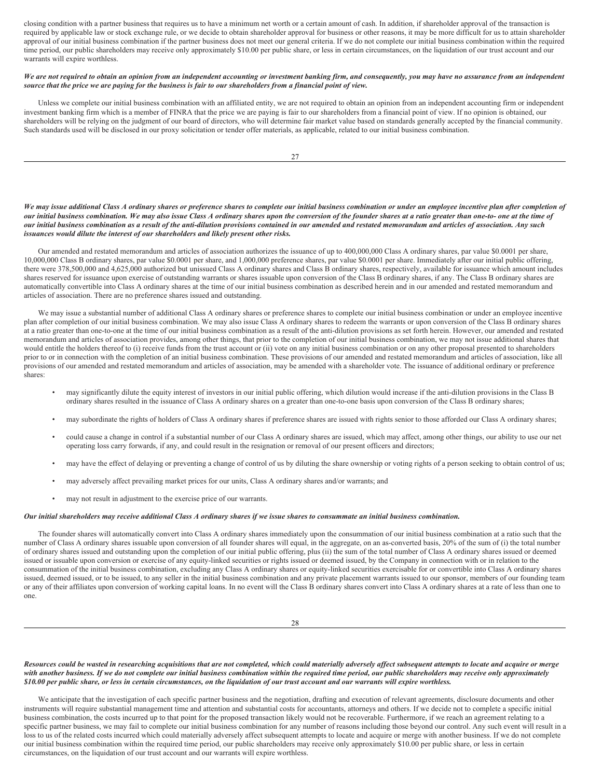closing condition with a partner business that requires us to have a minimum net worth or a certain amount of cash. In addition, if shareholder approval of the transaction is required by applicable law or stock exchange rule, or we decide to obtain shareholder approval for business or other reasons, it may be more difficult for us to attain shareholder approval of our initial business combination if the partner business does not meet our general criteria. If we do not complete our initial business combination within the required time period, our public shareholders may receive only approximately \$10.00 per public share, or less in certain circumstances, on the liquidation of our trust account and our warrants will expire worthless.

### We are not required to obtain an opinion from an independent accounting or investment banking firm, and consequently, you may have no assurance from an independent source that the price we are paying for the business is fair to our shareholders from a financial point of view.

Unless we complete our initial business combination with an affiliated entity, we are not required to obtain an opinion from an independent accounting firm or independent investment banking firm which is a member of FINRA that the price we are paying is fair to our shareholders from a financial point of view. If no opinion is obtained, our shareholders will be relying on the judgment of our board of directors, who will determine fair market value based on standards generally accepted by the financial community. Such standards used will be disclosed in our proxy solicitation or tender offer materials, as applicable, related to our initial business combination.

27

We may issue additional Class A ordinary shares or preference shares to complete our initial business combination or under an employee incentive plan after completion of our initial business combination. We may also issue Class A ordinary shares upon the conversion of the founder shares at a ratio greater than one-to- one at the time of our initial business combination as a result of the anti-dilution provisions contained in our amended and restated memorandum and articles of association. Any such *issuances would dilute the interest of our shareholders and likely present other risks.*

Our amended and restated memorandum and articles of association authorizes the issuance of up to 400,000,000 Class A ordinary shares, par value \$0.0001 per share, 10,000,000 Class B ordinary shares, par value \$0.0001 per share, and 1,000,000 preference shares, par value \$0.0001 per share. Immediately after our initial public offering, there were 378,500,000 and 4,625,000 authorized but unissued Class A ordinary shares and Class B ordinary shares, respectively, available for issuance which amount includes shares reserved for issuance upon exercise of outstanding warrants or shares issuable upon conversion of the Class B ordinary shares, if any. The Class B ordinary shares are automatically convertible into Class A ordinary shares at the time of our initial business combination as described herein and in our amended and restated memorandum and articles of association. There are no preference shares issued and outstanding.

We may issue a substantial number of additional Class A ordinary shares or preference shares to complete our initial business combination or under an employee incentive plan after completion of our initial business combination. We may also issue Class A ordinary shares to redeem the warrants or upon conversion of the Class B ordinary shares at a ratio greater than one-to-one at the time of our initial business combination as a result of the anti-dilution provisions as set forth herein. However, our amended and restated memorandum and articles of association provides, among other things, that prior to the completion of our initial business combination, we may not issue additional shares that would entitle the holders thereof to (i) receive funds from the trust account or (ii) vote on any initial business combination or on any other proposal presented to shareholders prior to or in connection with the completion of an initial business combination. These provisions of our amended and restated memorandum and articles of association, like all provisions of our amended and restated memorandum and articles of association, may be amended with a shareholder vote. The issuance of additional ordinary or preference shares:

- may significantly dilute the equity interest of investors in our initial public offering, which dilution would increase if the anti-dilution provisions in the Class B ordinary shares resulted in the issuance of Class A ordinary shares on a greater than one-to-one basis upon conversion of the Class B ordinary shares;
- may subordinate the rights of holders of Class A ordinary shares if preference shares are issued with rights senior to those afforded our Class A ordinary shares;
- could cause a change in control if a substantial number of our Class A ordinary shares are issued, which may affect, among other things, our ability to use our net operating loss carry forwards, if any, and could result in the resignation or removal of our present officers and directors;
- may have the effect of delaying or preventing a change of control of us by diluting the share ownership or voting rights of a person seeking to obtain control of us;
- may adversely affect prevailing market prices for our units, Class A ordinary shares and/or warrants; and
- may not result in adjustment to the exercise price of our warrants.

#### Our initial shareholders may receive additional Class A ordinary shares if we issue shares to consummate an initial business combination.

The founder shares will automatically convert into Class A ordinary shares immediately upon the consummation of our initial business combination at a ratio such that the number of Class A ordinary shares issuable upon conversion of all founder shares will equal, in the aggregate, on an as-converted basis, 20% of the sum of (i) the total number of ordinary shares issued and outstanding upon the completion of our initial public offering, plus (ii) the sum of the total number of Class A ordinary shares issued or deemed issued or issuable upon conversion or exercise of any equity-linked securities or rights issued or deemed issued, by the Company in connection with or in relation to the consummation of the initial business combination, excluding any Class A ordinary shares or equity-linked securities exercisable for or convertible into Class A ordinary shares issued, deemed issued, or to be issued, to any seller in the initial business combination and any private placement warrants issued to our sponsor, members of our founding team or any of their affiliates upon conversion of working capital loans. In no event will the Class B ordinary shares convert into Class A ordinary shares at a rate of less than one to one.

28

Resources could be wasted in researching acquisitions that are not completed, which could materially adversely affect subsequent attempts to locate and acquire or merge with another business. If we do not complete our initial business combination within the required time period, our public shareholders may receive only approximately \$10.00 per public share, or less in certain circumstances, on the liquidation of our trust account and our warrants will expire worthless.

We anticipate that the investigation of each specific partner business and the negotiation, drafting and execution of relevant agreements, disclosure documents and other instruments will require substantial management time and attention and substantial costs for accountants, attorneys and others. If we decide not to complete a specific initial business combination, the costs incurred up to that point for the proposed transaction likely would not be recoverable. Furthermore, if we reach an agreement relating to a specific partner business, we may fail to complete our initial business combination for any number of reasons including those beyond our control. Any such event will result in a loss to us of the related costs incurred which could materially adversely affect subsequent attempts to locate and acquire or merge with another business. If we do not complete our initial business combination within the required time period, our public shareholders may receive only approximately \$10.00 per public share, or less in certain circumstances, on the liquidation of our trust account and our warrants will expire worthless.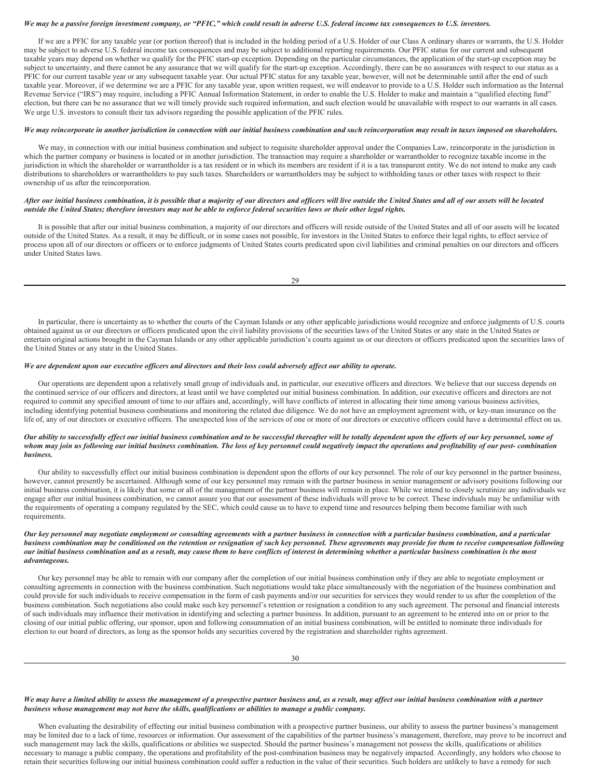### We may be a passive foreign investment company, or "PFIC," which could result in adverse U.S. federal income tax consequences to U.S. investors.

If we are a PFIC for any taxable year (or portion thereof) that is included in the holding period of a U.S. Holder of our Class A ordinary shares or warrants, the U.S. Holder may be subject to adverse U.S. federal income tax consequences and may be subject to additional reporting requirements. Our PFIC status for our current and subsequent taxable years may depend on whether we qualify for the PFIC start-up exception. Depending on the particular circumstances, the application of the start-up exception may be subject to uncertainty, and there cannot be any assurance that we will qualify for the start-up exception. Accordingly, there can be no assurances with respect to our status as a PFIC for our current taxable year or any subsequent taxable year. Our actual PFIC status for any taxable year, however, will not be determinable until after the end of such taxable year. Moreover, if we determine we are a PFIC for any taxable year, upon written request, we will endeavor to provide to a U.S. Holder such information as the Internal Revenue Service ("IRS") may require, including a PFIC Annual Information Statement, in order to enable the U.S. Holder to make and maintain a "qualified electing fund" election, but there can be no assurance that we will timely provide such required information, and such election would be unavailable with respect to our warrants in all cases. We urge U.S. investors to consult their tax advisors regarding the possible application of the PFIC rules.

### We may reincorporate in another jurisdiction in connection with our initial business combination and such reincorporation may result in taxes imposed on shareholders.

We may, in connection with our initial business combination and subject to requisite shareholder approval under the Companies Law, reincorporate in the jurisdiction in which the partner company or business is located or in another jurisdiction. The transaction may require a shareholder or warrantholder to recognize taxable income in the jurisdiction in which the shareholder or warrantholder is a tax resident or in which its members are resident if it is a tax transparent entity. We do not intend to make any cash distributions to shareholders or warrantholders to pay such taxes. Shareholders or warrantholders may be subject to withholding taxes or other taxes with respect to their ownership of us after the reincorporation.

### After our initial business combination, it is possible that a majority of our directors and officers will live outside the United States and all of our assets will be located outside the United States; therefore investors may not be able to enforce federal securities laws or their other legal rights.

It is possible that after our initial business combination, a majority of our directors and officers will reside outside of the United States and all of our assets will be located outside of the United States. As a result, it may be difficult, or in some cases not possible, for investors in the United States to enforce their legal rights, to effect service of process upon all of our directors or officers or to enforce judgments of United States courts predicated upon civil liabilities and criminal penalties on our directors and officers under United States laws.

 $29$ 

In particular, there is uncertainty as to whether the courts of the Cayman Islands or any other applicable jurisdictions would recognize and enforce judgments of U.S. courts obtained against us or our directors or officers predicated upon the civil liability provisions of the securities laws of the United States or any state in the United States or entertain original actions brought in the Cayman Islands or any other applicable jurisdiction's courts against us or our directors or officers predicated upon the securities laws of the United States or any state in the United States.

### We are dependent upon our executive officers and directors and their loss could adversely affect our ability to operate.

Our operations are dependent upon a relatively small group of individuals and, in particular, our executive officers and directors. We believe that our success depends on the continued service of our officers and directors, at least until we have completed our initial business combination. In addition, our executive officers and directors are not required to commit any specified amount of time to our affairs and, accordingly, will have conflicts of interest in allocating their time among various business activities, including identifying potential business combinations and monitoring the related due diligence. We do not have an employment agreement with, or key-man insurance on the life of, any of our directors or executive officers. The unexpected loss of the services of one or more of our directors or executive officers could have a detrimental effect on us.

### Our ability to successfully effect our initial business combination and to be successful thereafter will be totally dependent upon the efforts of our key personnel, some of whom may join us following our initial business combination. The loss of key personnel could negatively impact the operations and profitability of our post-combination *business.*

Our ability to successfully effect our initial business combination is dependent upon the efforts of our key personnel. The role of our key personnel in the partner business, however, cannot presently be ascertained. Although some of our key personnel may remain with the partner business in senior management or advisory positions following our initial business combination, it is likely that some or all of the management of the partner business will remain in place. While we intend to closely scrutinize any individuals we engage after our initial business combination, we cannot assure you that our assessment of these individuals will prove to be correct. These individuals may be unfamiliar with the requirements of operating a company regulated by the SEC, which could cause us to have to expend time and resources helping them become familiar with such requirements.

### Our key personnel may negotiate employment or consulting agreements with a partner business in connection with a particular business combination, and a particular business combination may be conditioned on the retention or resignation of such key personnel. These agreements may provide for them to receive compensation following our initial business combination and as a result, may cause them to have conflicts of interest in determining whether a particular business combination is the most *advantageous.*

Our key personnel may be able to remain with our company after the completion of our initial business combination only if they are able to negotiate employment or consulting agreements in connection with the business combination. Such negotiations would take place simultaneously with the negotiation of the business combination and could provide for such individuals to receive compensation in the form of cash payments and/or our securities for services they would render to us after the completion of the business combination. Such negotiations also could make such key personnel's retention or resignation a condition to any such agreement. The personal and financial interests of such individuals may influence their motivation in identifying and selecting a partner business. In addition, pursuant to an agreement to be entered into on or prior to the closing of our initial public offering, our sponsor, upon and following consummation of an initial business combination, will be entitled to nominate three individuals for election to our board of directors, as long as the sponsor holds any securities covered by the registration and shareholder rights agreement.

We may have a limited ability to assess the management of a prospective partner business and, as a result, may affect our initial business combination with a partner *business whose management may not have the skills, qualifications or abilities to manage a public company.*

When evaluating the desirability of effecting our initial business combination with a prospective partner business, our ability to assess the partner business's management may be limited due to a lack of time, resources or information. Our assessment of the capabilities of the partner business's management, therefore, may prove to be incorrect and such management may lack the skills, qualifications or abilities we suspected. Should the partner business's management not possess the skills, qualifications or abilities necessary to manage a public company, the operations and profitability of the post-combination business may be negatively impacted. Accordingly, any holders who choose to retain their securities following our initial business combination could suffer a reduction in the value of their securities. Such holders are unlikely to have a remedy for such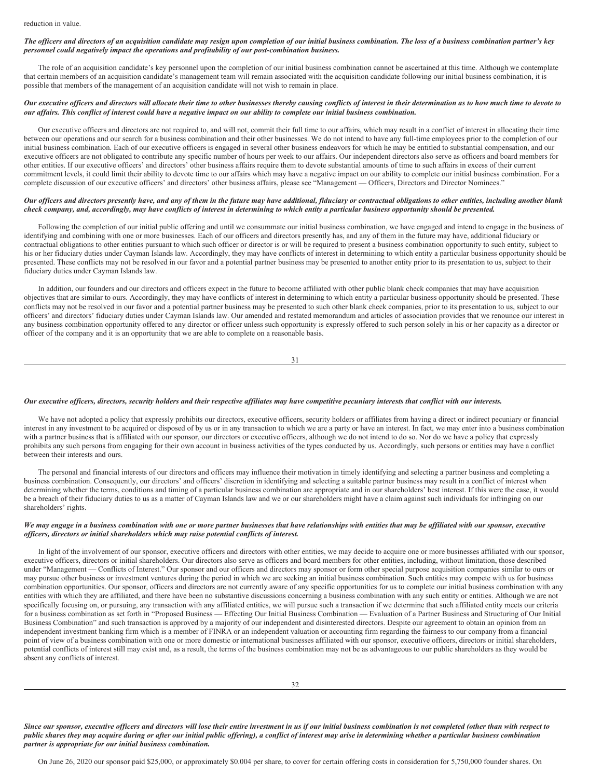### The officers and directors of an acquisition candidate may resign upon completion of our initial business combination. The loss of a business combination partner's key *personnel could negatively impact the operations and profitability of our post-combination business.*

The role of an acquisition candidate's key personnel upon the completion of our initial business combination cannot be ascertained at this time. Although we contemplate that certain members of an acquisition candidate's management team will remain associated with the acquisition candidate following our initial business combination, it is possible that members of the management of an acquisition candidate will not wish to remain in place.

### Our executive officers and directors will allocate their time to other businesses thereby causing conflicts of interest in their determination as to how much time to devote to our affairs. This conflict of interest could have a negative impact on our ability to complete our initial business combination.

Our executive officers and directors are not required to, and will not, commit their full time to our affairs, which may result in a conflict of interest in allocating their time between our operations and our search for a business combination and their other businesses. We do not intend to have any full-time employees prior to the completion of our initial business combination. Each of our executive officers is engaged in several other business endeavors for which he may be entitled to substantial compensation, and our executive officers are not obligated to contribute any specific number of hours per week to our affairs. Our independent directors also serve as officers and board members for other entities. If our executive officers' and directors' other business affairs require them to devote substantial amounts of time to such affairs in excess of their current commitment levels, it could limit their ability to devote time to our affairs which may have a negative impact on our ability to complete our initial business combination. For a complete discussion of our executive officers' and directors' other business affairs, please see "Management — Officers, Directors and Director Nominees."

### Our officers and directors presently have, and any of them in the future may have additional, fiduciary or contractual obligations to other entities, including another blank check company, and, accordingly, may have conflicts of interest in determining to which entity a particular business opportunity should be presented.

Following the completion of our initial public offering and until we consummate our initial business combination, we have engaged and intend to engage in the business of identifying and combining with one or more businesses. Each of our officers and directors presently has, and any of them in the future may have, additional fiduciary or contractual obligations to other entities pursuant to which such officer or director is or will be required to present a business combination opportunity to such entity, subject to his or her fiduciary duties under Cayman Islands law. Accordingly, they may have conflicts of interest in determining to which entity a particular business opportunity should be presented. These conflicts may not be resolved in our favor and a potential partner business may be presented to another entity prior to its presentation to us, subject to their fiduciary duties under Cayman Islands law.

In addition, our founders and our directors and officers expect in the future to become affiliated with other public blank check companies that may have acquisition objectives that are similar to ours. Accordingly, they may have conflicts of interest in determining to which entity a particular business opportunity should be presented. These conflicts may not be resolved in our favor and a potential partner business may be presented to such other blank check companies, prior to its presentation to us, subject to our officers' and directors' fiduciary duties under Cayman Islands law. Our amended and restated memorandum and articles of association provides that we renounce our interest in any business combination opportunity offered to any director or officer unless such opportunity is expressly offered to such person solely in his or her capacity as a director or officer of the company and it is an opportunity that we are able to complete on a reasonable basis.

31

### Our executive officers, directors, security holders and their respective affiliates may have competitive pecuniary interests that conflict with our interests.

We have not adopted a policy that expressly prohibits our directors, executive officers, security holders or affiliates from having a direct or indirect pecuniary or financial interest in any investment to be acquired or disposed of by us or in any transaction to which we are a party or have an interest. In fact, we may enter into a business combination with a partner business that is affiliated with our sponsor, our directors or executive officers, although we do not intend to do so. Nor do we have a policy that expressly prohibits any such persons from engaging for their own account in business activities of the types conducted by us. Accordingly, such persons or entities may have a conflict between their interests and ours.

The personal and financial interests of our directors and officers may influence their motivation in timely identifying and selecting a partner business and completing a business combination. Consequently, our directors' and officers' discretion in identifying and selecting a suitable partner business may result in a conflict of interest when determining whether the terms, conditions and timing of a particular business combination are appropriate and in our shareholders' best interest. If this were the case, it would be a breach of their fiduciary duties to us as a matter of Cayman Islands law and we or our shareholders might have a claim against such individuals for infringing on our shareholders' rights.

### We may engage in a business combination with one or more partner businesses that have relationships with entities that may be affiliated with our sponsor, executive *of icers, directors or initial shareholders which may raise potential conflicts of interest.*

In light of the involvement of our sponsor, executive officers and directors with other entities, we may decide to acquire one or more businesses affiliated with our sponsor, executive officers, directors or initial shareholders. Our directors also serve as officers and board members for other entities, including, without limitation, those described under "Management — Conflicts of Interest." Our sponsor and our officers and directors may sponsor or form other special purpose acquisition companies similar to ours or may pursue other business or investment ventures during the period in which we are seeking an initial business combination. Such entities may compete with us for business combination opportunities. Our sponsor, officers and directors are not currently aware of any specific opportunities for us to complete our initial business combination with any entities with which they are affiliated, and there have been no substantive discussions concerning a business combination with any such entity or entities. Although we are not specifically focusing on, or pursuing, any transaction with any affiliated entities, we will pursue such a transaction if we determine that such affiliated entity meets our criteria for a business combination as set forth in "Proposed Business — Effecting Our Initial Business Combination — Evaluation of a Partner Business and Structuring of Our Initial Business Combination" and such transaction is approved by a majority of our independent and disinterested directors. Despite our agreement to obtain an opinion from an independent investment banking firm which is a member of FINRA or an independent valuation or accounting firm regarding the fairness to our company from a financial point of view of a business combination with one or more domestic or international businesses affiliated with our sponsor, executive officers, directors or initial shareholders, potential conflicts of interest still may exist and, as a result, the terms of the business combination may not be as advantageous to our public shareholders as they would be absent any conflicts of interest.

Since our sponsor, executive officers and directors will lose their entire investment in us if our initial business combination is not completed (other than with respect to public shares they may acquire during or after our initial public offering), a conflict of interest may arise in determining whether a particular business combination *partner is appropriate for our initial business combination.*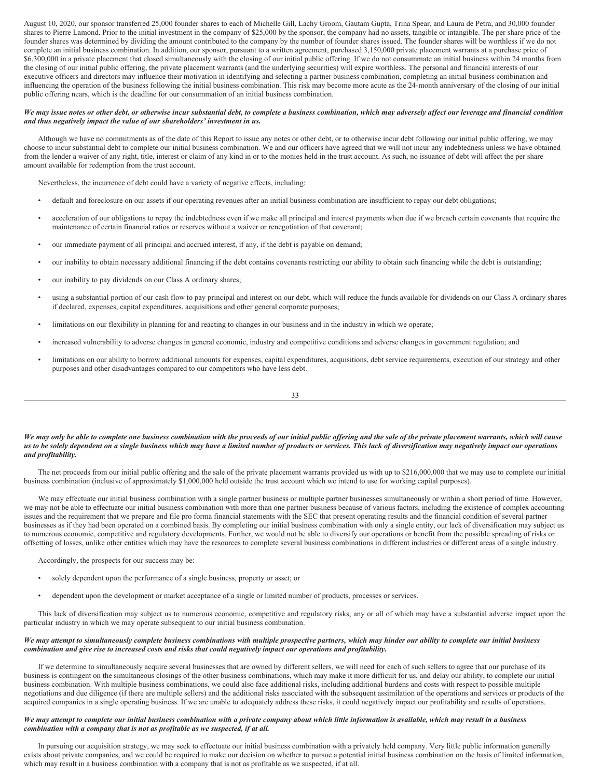August 10, 2020, our sponsor transferred 25,000 founder shares to each of Michelle Gill, Lachy Groom, Gautam Gupta, Trina Spear, and Laura de Petra, and 30,000 founder shares to Pierre Lamond. Prior to the initial investment in the company of \$25,000 by the sponsor, the company had no assets, tangible or intangible. The per share price of the founder shares was determined by dividing the amount contributed to the company by the number of founder shares issued. The founder shares will be worthless if we do not complete an initial business combination. In addition, our sponsor, pursuant to a written agreement, purchased 3,150,000 private placement warrants at a purchase price of \$6,300,000 in a private placement that closed simultaneously with the closing of our initial public offering. If we do not consummate an initial business within 24 months from the closing of our initial public offering, the private placement warrants (and the underlying securities) will expire worthless. The personal and financial interests of our executive officers and directors may influence their motivation in identifying and selecting a partner business combination, completing an initial business combination and influencing the operation of the business following the initial business combination. This risk may become more acute as the 24-month anniversary of the closing of our initial public offering nears, which is the deadline for our consummation of an initial business combination.

### We may issue notes or other debt, or otherwise incur substantial debt, to complete a business combination, which may adversely affect our leverage and financial condition *and thus negatively impact the value of our shareholders' investment in us.*

Although we have no commitments as of the date of this Report to issue any notes or other debt, or to otherwise incur debt following our initial public offering, we may choose to incur substantial debt to complete our initial business combination. We and our officers have agreed that we will not incur any indebtedness unless we have obtained from the lender a waiver of any right, title, interest or claim of any kind in or to the monies held in the trust account. As such, no issuance of debt will affect the per share amount available for redemption from the trust account.

Nevertheless, the incurrence of debt could have a variety of negative effects, including:

- default and foreclosure on our assets if our operating revenues after an initial business combination are insufficient to repay our debt obligations;
- acceleration of our obligations to repay the indebtedness even if we make all principal and interest payments when due if we breach certain covenants that require the maintenance of certain financial ratios or reserves without a waiver or renegotiation of that covenant;
- our immediate payment of all principal and accrued interest, if any, if the debt is payable on demand;
- our inability to obtain necessary additional financing if the debt contains covenants restricting our ability to obtain such financing while the debt is outstanding;
- our inability to pay dividends on our Class A ordinary shares;
- using a substantial portion of our cash flow to pay principal and interest on our debt, which will reduce the funds available for dividends on our Class A ordinary shares if declared, expenses, capital expenditures, acquisitions and other general corporate purposes;
- limitations on our flexibility in planning for and reacting to changes in our business and in the industry in which we operate;
- increased vulnerability to adverse changes in general economic, industry and competitive conditions and adverse changes in government regulation; and
- limitations on our ability to borrow additional amounts for expenses, capital expenditures, acquisitions, debt service requirements, execution of our strategy and other purposes and other disadvantages compared to our competitors who have less debt.

33

### We may only be able to complete one business combination with the proceeds of our initial public offering and the sale of the private placement warrants, which will cause us to be solely dependent on a single business which may have a limited number of products or services. This lack of diversification may negatively impact our operations *and profitability.*

The net proceeds from our initial public offering and the sale of the private placement warrants provided us with up to \$216,000,000 that we may use to complete our initial business combination (inclusive of approximately \$1,000,000 held outside the trust account which we intend to use for working capital purposes).

We may effectuate our initial business combination with a single partner business or multiple partner businesses simultaneously or within a short period of time. However, we may not be able to effectuate our initial business combination with more than one partner business because of various factors, including the existence of complex accounting issues and the requirement that we prepare and file pro forma financial statements with the SEC that present operating results and the financial condition of several partner businesses as if they had been operated on a combined basis. By completing our initial business combination with only a single entity, our lack of diversification may subject us to numerous economic, competitive and regulatory developments. Further, we would not be able to diversify our operations or benefit from the possible spreading of risks or offsetting of losses, unlike other entities which may have the resources to complete several business combinations in different industries or different areas of a single industry.

Accordingly, the prospects for our success may be:

- solely dependent upon the performance of a single business, property or asset; or
- dependent upon the development or market acceptance of a single or limited number of products, processes or services.

This lack of diversification may subject us to numerous economic, competitive and regulatory risks, any or all of which may have a substantial adverse impact upon the particular industry in which we may operate subsequent to our initial business combination.

### We may attempt to simultaneously complete business combinations with multiple prospective partners, which may hinder our ability to complete our initial business combination and give rise to increased costs and risks that could negatively impact our operations and profitability.

If we determine to simultaneously acquire several businesses that are owned by different sellers, we will need for each of such sellers to agree that our purchase of its business is contingent on the simultaneous closings of the other business combinations, which may make it more difficult for us, and delay our ability, to complete our initial business combination. With multiple business combinations, we could also face additional risks, including additional burdens and costs with respect to possible multiple negotiations and due diligence (if there are multiple sellers) and the additional risks associated with the subsequent assimilation of the operations and services or products of the acquired companies in a single operating business. If we are unable to adequately address these risks, it could negatively impact our profitability and results of operations.

### We may attempt to complete our initial business combination with a private company about which little information is available, which may result in a business *combination with a company that is not as profitable as we suspected, if at all.*

In pursuing our acquisition strategy, we may seek to effectuate our initial business combination with a privately held company. Very little public information generally exists about private companies, and we could be required to make our decision on whether to pursue a potential initial business combination on the basis of limited information, which may result in a business combination with a company that is not as profitable as we suspected, if at all.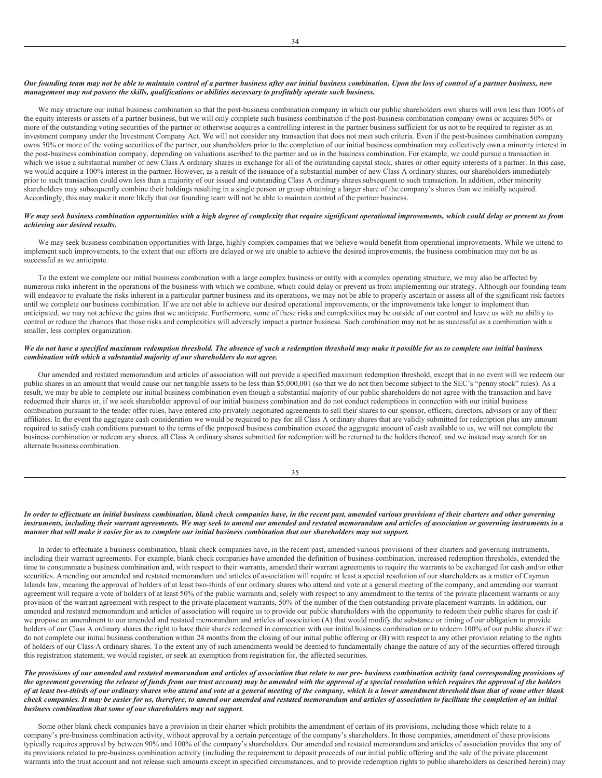### Our founding team may not be able to maintain control of a partner business after our initial business combination. Upon the loss of control of a partner business, new *management may not possess the skills, qualifications or abilities necessary to profitably operate such business.*

We may structure our initial business combination so that the post-business combination company in which our public shareholders own shares will own less than 100% of the equity interests or assets of a partner business, but we will only complete such business combination if the post-business combination company owns or acquires 50% or more of the outstanding voting securities of the partner or otherwise acquires a controlling interest in the partner business sufficient for us not to be required to register as an investment company under the Investment Company Act. We will not consider any transaction that does not meet such criteria. Even if the post-business combination company owns 50% or more of the voting securities of the partner, our shareholders prior to the completion of our initial business combination may collectively own a minority interest in the post-business combination company, depending on valuations ascribed to the partner and us in the business combination. For example, we could pursue a transaction in which we issue a substantial number of new Class A ordinary shares in exchange for all of the outstanding capital stock, shares or other equity interests of a partner. In this case, we would acquire a 100% interest in the partner. However, as a result of the issuance of a substantial number of new Class A ordinary shares, our shareholders immediately prior to such transaction could own less than a majority of our issued and outstanding Class A ordinary shares subsequent to such transaction. In addition, other minority shareholders may subsequently combine their holdings resulting in a single person or group obtaining a larger share of the company's shares than we initially acquired. Accordingly, this may make it more likely that our founding team will not be able to maintain control of the partner business.

### We may seek business combination opportunities with a high degree of complexity that require significant operational improvements, which could delay or prevent us from *achieving our desired results.*

We may seek business combination opportunities with large, highly complex companies that we believe would benefit from operational improvements. While we intend to implement such improvements, to the extent that our efforts are delayed or we are unable to achieve the desired improvements, the business combination may not be as successful as we anticipate.

To the extent we complete our initial business combination with a large complex business or entity with a complex operating structure, we may also be affected by numerous risks inherent in the operations of the business with which we combine, which could delay or prevent us from implementing our strategy. Although our founding team will endeavor to evaluate the risks inherent in a particular partner business and its operations, we may not be able to properly ascertain or assess all of the significant risk factors until we complete our business combination. If we are not able to achieve our desired operational improvements, or the improvements take longer to implement than anticipated, we may not achieve the gains that we anticipate. Furthermore, some of these risks and complexities may be outside of our control and leave us with no ability to control or reduce the chances that those risks and complexities will adversely impact a partner business. Such combination may not be as successful as a combination with a smaller, less complex organization.

### We do not have a specified maximum redemption threshold. The absence of such a redemption threshold may make it possible for us to complete our initial business *combination with which a substantial majority of our shareholders do not agree.*

Our amended and restated memorandum and articles of association will not provide a specified maximum redemption threshold, except that in no event will we redeem our public shares in an amount that would cause our net tangible assets to be less than \$5,000,001 (so that we do not then become subject to the SEC's "penny stock" rules). As a result, we may be able to complete our initial business combination even though a substantial majority of our public shareholders do not agree with the transaction and have redeemed their shares or, if we seek shareholder approval of our initial business combination and do not conduct redemptions in connection with our initial business combination pursuant to the tender offer rules, have entered into privately negotiated agreements to sell their shares to our sponsor, officers, directors, advisors or any of their affiliates. In the event the aggregate cash consideration we would be required to pay for all Class A ordinary shares that are validly submitted for redemption plus any amount required to satisfy cash conditions pursuant to the terms of the proposed business combination exceed the aggregate amount of cash available to us, we will not complete the business combination or redeem any shares, all Class A ordinary shares submitted for redemption will be returned to the holders thereof, and we instead may search for an alternate business combination.

35

### In order to effectuate an initial business combination, blank check companies have, in the recent past, amended various provisions of their charters and other governing instruments, including their warrant agreements. We may seek to amend our amended and restated memorandum and articles of association or governing instruments in a manner that will make it easier for us to complete our initial business combination that our shareholders may not support.

In order to effectuate a business combination, blank check companies have, in the recent past, amended various provisions of their charters and governing instruments, including their warrant agreements. For example, blank check companies have amended the definition of business combination, increased redemption thresholds, extended the time to consummate a business combination and, with respect to their warrants, amended their warrant agreements to require the warrants to be exchanged for cash and/or other securities. Amending our amended and restated memorandum and articles of association will require at least a special resolution of our shareholders as a matter of Cayman Islands law, meaning the approval of holders of at least two-thirds of our ordinary shares who attend and vote at a general meeting of the company, and amending our warrant agreement will require a vote of holders of at least 50% of the public warrants and, solely with respect to any amendment to the terms of the private placement warrants or any provision of the warrant agreement with respect to the private placement warrants, 50% of the number of the then outstanding private placement warrants. In addition, our amended and restated memorandum and articles of association will require us to provide our public shareholders with the opportunity to redeem their public shares for cash if we propose an amendment to our amended and restated memorandum and articles of association (A) that would modify the substance or timing of our obligation to provide holders of our Class A ordinary shares the right to have their shares redeemed in connection with our initial business combination or to redeem 100% of our public shares if we do not complete our initial business combination within 24 months from the closing of our initial public offering or (B) with respect to any other provision relating to the rights of holders of our Class A ordinary shares. To the extent any of such amendments would be deemed to fundamentally change the nature of any of the securities offered through this registration statement, we would register, or seek an exemption from registration for, the affected securities.

The provisions of our amended and restated memorandum and articles of association that relate to our pre- business combination activity (and corresponding provisions of the agreement governing the release of funds from our trust account) may be amended with the approval of a special resolution which requires the approval of the holders of at least two-thirds of our ordinary shares who attend and vote at a general meeting of the company, which is a lower amendment threshold than that of some other blank check companies. It may be easier for us, therefore, to amend our amended and restated memorandum and articles of association to facilitate the completion of an initial *business combination that some of our shareholders may not support.*

Some other blank check companies have a provision in their charter which prohibits the amendment of certain of its provisions, including those which relate to a company's pre-business combination activity, without approval by a certain percentage of the company's shareholders. In those companies, amendment of these provisions typically requires approval by between 90% and 100% of the company's shareholders. Our amended and restated memorandum and articles of association provides that any of its provisions related to pre-business combination activity (including the requirement to deposit proceeds of our initial public offering and the sale of the private placement warrants into the trust account and not release such amounts except in specified circumstances, and to provide redemption rights to public shareholders as described herein) may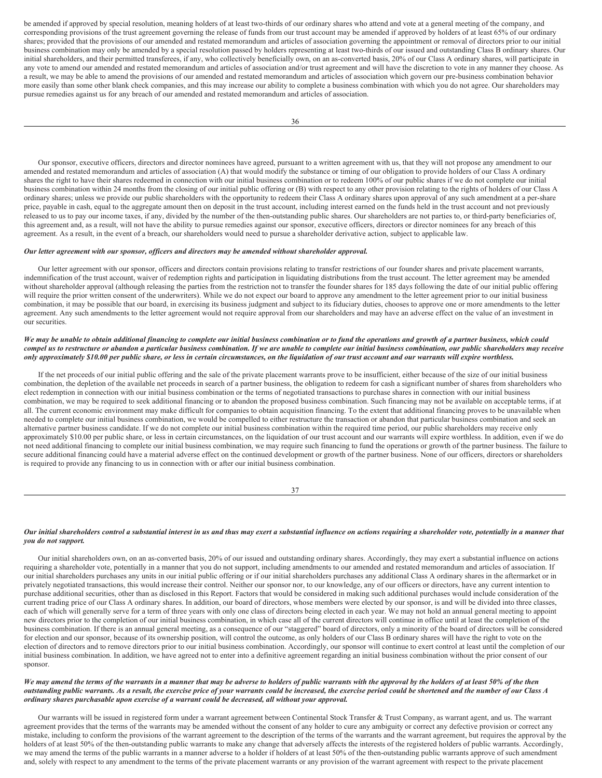be amended if approved by special resolution, meaning holders of at least two-thirds of our ordinary shares who attend and vote at a general meeting of the company, and corresponding provisions of the trust agreement governing the release of funds from our trust account may be amended if approved by holders of at least 65% of our ordinary shares; provided that the provisions of our amended and restated memorandum and articles of association governing the appointment or removal of directors prior to our initial business combination may only be amended by a special resolution passed by holders representing at least two-thirds of our issued and outstanding Class B ordinary shares. Our initial shareholders, and their permitted transferees, if any, who collectively beneficially own, on an as-converted basis, 20% of our Class A ordinary shares, will participate in any vote to amend our amended and restated memorandum and articles of association and/or trust agreement and will have the discretion to vote in any manner they choose. As a result, we may be able to amend the provisions of our amended and restated memorandum and articles of association which govern our pre-business combination behavior more easily than some other blank check companies, and this may increase our ability to complete a business combination with which you do not agree. Our shareholders may pursue remedies against us for any breach of our amended and restated memorandum and articles of association.

Our sponsor, executive officers, directors and director nominees have agreed, pursuant to a written agreement with us, that they will not propose any amendment to our amended and restated memorandum and articles of association (A) that would modify the substance or timing of our obligation to provide holders of our Class A ordinary shares the right to have their shares redeemed in connection with our initial business combination or to redeem 100% of our public shares if we do not complete our initial business combination within 24 months from the closing of our initial public offering or (B) with respect to any other provision relating to the rights of holders of our Class A ordinary shares; unless we provide our public shareholders with the opportunity to redeem their Class A ordinary shares upon approval of any such amendment at a per-share price, payable in cash, equal to the aggregate amount then on deposit in the trust account, including interest earned on the funds held in the trust account and not previously released to us to pay our income taxes, if any, divided by the number of the then-outstanding public shares. Our shareholders are not parties to, or third-party beneficiaries of, this agreement and, as a result, will not have the ability to pursue remedies against our sponsor, executive officers, directors or director nominees for any breach of this agreement. As a result, in the event of a breach, our shareholders would need to pursue a shareholder derivative action, subject to applicable law.

#### *Our letter agreement with our sponsor, of icers and directors may be amended without shareholder approval.*

Our letter agreement with our sponsor, officers and directors contain provisions relating to transfer restrictions of our founder shares and private placement warrants, indemnification of the trust account, waiver of redemption rights and participation in liquidating distributions from the trust account. The letter agreement may be amended without shareholder approval (although releasing the parties from the restriction not to transfer the founder shares for 185 days following the date of our initial public offering will require the prior written consent of the underwriters). While we do not expect our board to approve any amendment to the letter agreement prior to our initial business combination, it may be possible that our board, in exercising its business judgment and subject to its fiduciary duties, chooses to approve one or more amendments to the letter agreement. Any such amendments to the letter agreement would not require approval from our shareholders and may have an adverse effect on the value of an investment in our securities.

### We may be unable to obtain additional financing to complete our initial business combination or to fund the operations and growth of a partner business, which could compel us to restructure or abandon a particular business combination. If we are unable to complete our initial business combination, our public shareholders may receive only approximately \$10.00 per public share, or less in certain circumstances, on the liquidation of our trust account and our warrants will expire worthless.

If the net proceeds of our initial public offering and the sale of the private placement warrants prove to be insufficient, either because of the size of our initial business combination, the depletion of the available net proceeds in search of a partner business, the obligation to redeem for cash a significant number of shares from shareholders who elect redemption in connection with our initial business combination or the terms of negotiated transactions to purchase shares in connection with our initial business combination, we may be required to seek additional financing or to abandon the proposed business combination. Such financing may not be available on acceptable terms, if at all. The current economic environment may make difficult for companies to obtain acquisition financing. To the extent that additional financing proves to be unavailable when needed to complete our initial business combination, we would be compelled to either restructure the transaction or abandon that particular business combination and seek an alternative partner business candidate. If we do not complete our initial business combination within the required time period, our public shareholders may receive only approximately \$10.00 per public share, or less in certain circumstances, on the liquidation of our trust account and our warrants will expire worthless. In addition, even if we do not need additional financing to complete our initial business combination, we may require such financing to fund the operations or growth of the partner business. The failure to secure additional financing could have a material adverse effect on the continued development or growth of the partner business. None of our officers, directors or shareholders is required to provide any financing to us in connection with or after our initial business combination.

37

### Our initial shareholders control a substantial interest in us and thus may exert a substantial influence on actions requiring a shareholder vote, potentially in a manner that *you do not support.*

Our initial shareholders own, on an as-converted basis, 20% of our issued and outstanding ordinary shares. Accordingly, they may exert a substantial influence on actions requiring a shareholder vote, potentially in a manner that you do not support, including amendments to our amended and restated memorandum and articles of association. If our initial shareholders purchases any units in our initial public offering or if our initial shareholders purchases any additional Class A ordinary shares in the aftermarket or in privately negotiated transactions, this would increase their control. Neither our sponsor nor, to our knowledge, any of our officers or directors, have any current intention to purchase additional securities, other than as disclosed in this Report. Factors that would be considered in making such additional purchases would include consideration of the current trading price of our Class A ordinary shares. In addition, our board of directors, whose members were elected by our sponsor, is and will be divided into three classes, each of which will generally serve for a term of three years with only one class of directors being elected in each year. We may not hold an annual general meeting to appoint new directors prior to the completion of our initial business combination, in which case all of the current directors will continue in office until at least the completion of the business combination. If there is an annual general meeting, as a consequence of our "staggered" board of directors, only a minority of the board of directors will be considered for election and our sponsor, because of its ownership position, will control the outcome, as only holders of our Class B ordinary shares will have the right to vote on the election of directors and to remove directors prior to our initial business combination. Accordingly, our sponsor will continue to exert control at least until the completion of our initial business combination. In addition, we have agreed not to enter into a definitive agreement regarding an initial business combination without the prior consent of our sponsor.

### We may amend the terms of the warrants in a manner that may be adverse to holders of public warrants with the approval by the holders of at least 50% of the then outstanding public warrants. As a result, the exercise price of your warrants could be increased, the exercise period could be shortened and the number of our Class A *ordinary shares purchasable upon exercise of a warrant could be decreased, all without your approval.*

Our warrants will be issued in registered form under a warrant agreement between Continental Stock Transfer & Trust Company, as warrant agent, and us. The warrant agreement provides that the terms of the warrants may be amended without the consent of any holder to cure any ambiguity or correct any defective provision or correct any mistake, including to conform the provisions of the warrant agreement to the description of the terms of the warrants and the warrant agreement, but requires the approval by the holders of at least 50% of the then-outstanding public warrants to make any change that adversely affects the interests of the registered holders of public warrants. Accordingly, we may amend the terms of the public warrants in a manner adverse to a holder if holders of at least 50% of the then-outstanding public warrants approve of such amendment and, solely with respect to any amendment to the terms of the private placement warrants or any provision of the warrant agreement with respect to the private placement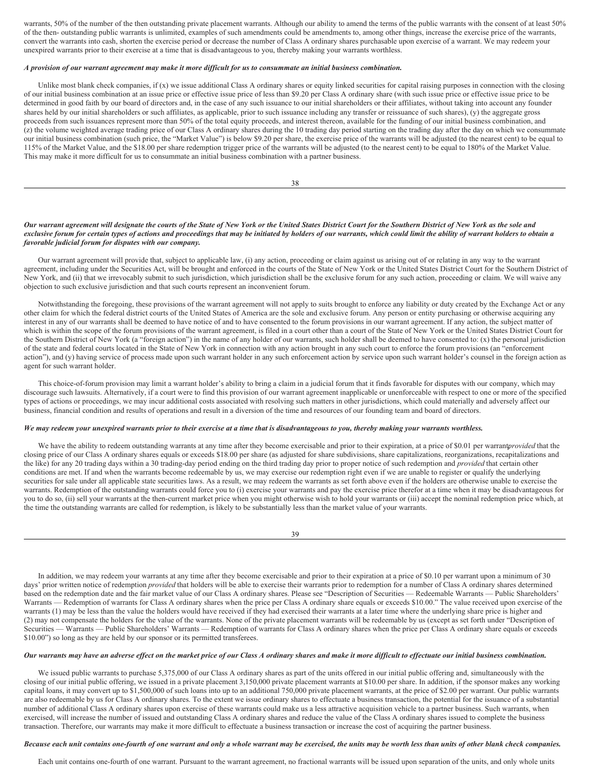warrants, 50% of the number of the then outstanding private placement warrants. Although our ability to amend the terms of the public warrants with the consent of at least 50% of the then- outstanding public warrants is unlimited, examples of such amendments could be amendments to, among other things, increase the exercise price of the warrants, convert the warrants into cash, shorten the exercise period or decrease the number of Class A ordinary shares purchasable upon exercise of a warrant. We may redeem your unexpired warrants prior to their exercise at a time that is disadvantageous to you, thereby making your warrants worthless.

### A provision of our warrant agreement may make it more difficult for us to consummate an initial business combination.

Unlike most blank check companies, if  $(x)$  we issue additional Class A ordinary shares or equity linked securities for capital raising purposes in connection with the closing of our initial business combination at an issue price or effective issue price of less than \$9.20 per Class A ordinary share (with such issue price or effective issue price to be determined in good faith by our board of directors and, in the case of any such issuance to our initial shareholders or their affiliates, without taking into account any founder shares held by our initial shareholders or such affiliates, as applicable, prior to such issuance including any transfer or reissuance of such shares), (y) the aggregate gross proceeds from such issuances represent more than 50% of the total equity proceeds, and interest thereon, available for the funding of our initial business combination, and (z) the volume weighted average trading price of our Class A ordinary shares during the 10 trading day period starting on the trading day after the day on which we consummate our initial business combination (such price, the "Market Value") is below \$9.20 per share, the exercise price of the warrants will be adjusted (to the nearest cent) to be equal to 115% of the Market Value, and the \$18.00 per share redemption trigger price of the warrants will be adjusted (to the nearest cent) to be equal to 180% of the Market Value. This may make it more difficult for us to consummate an initial business combination with a partner business.

38

### Our warrant agreement will designate the courts of the State of New York or the United States District Court for the Southern District of New York as the sole and exclusive forum for certain types of actions and proceedings that may be initiated by holders of our warrants, which could limit the ability of warrant holders to obtain a *favorable judicial forum for disputes with our company.*

Our warrant agreement will provide that, subject to applicable law, (i) any action, proceeding or claim against us arising out of or relating in any way to the warrant agreement, including under the Securities Act, will be brought and enforced in the courts of the State of New York or the United States District Court for the Southern District of New York, and (ii) that we irrevocably submit to such jurisdiction, which jurisdiction shall be the exclusive forum for any such action, proceeding or claim. We will waive any objection to such exclusive jurisdiction and that such courts represent an inconvenient forum.

Notwithstanding the foregoing, these provisions of the warrant agreement will not apply to suits brought to enforce any liability or duty created by the Exchange Act or any other claim for which the federal district courts of the United States of America are the sole and exclusive forum. Any person or entity purchasing or otherwise acquiring any interest in any of our warrants shall be deemed to have notice of and to have consented to the forum provisions in our warrant agreement. If any action, the subject matter of which is within the scope of the forum provisions of the warrant agreement, is filed in a court other than a court of the State of New York or the United States District Court for the Southern District of New York (a "foreign action") in the name of any holder of our warrants, such holder shall be deemed to have consented to: (x) the personal jurisdiction of the state and federal courts located in the State of New York in connection with any action brought in any such court to enforce the forum provisions (an "enforcement action"), and (y) having service of process made upon such warrant holder in any such enforcement action by service upon such warrant holder's counsel in the foreign action as agent for such warrant holder.

This choice-of-forum provision may limit a warrant holder's ability to bring a claim in a judicial forum that it finds favorable for disputes with our company, which may discourage such lawsuits. Alternatively, if a court were to find this provision of our warrant agreement inapplicable or unenforceable with respect to one or more of the specified types of actions or proceedings, we may incur additional costs associated with resolving such matters in other jurisdictions, which could materially and adversely affect our business, financial condition and results of operations and result in a diversion of the time and resources of our founding team and board of directors.

# We may redeem your unexpired warrants prior to their exercise at a time that is disadvantageous to you, thereby making your warrants worthless.

We have the ability to redeem outstanding warrants at any time after they become exercisable and prior to their expiration, at a price of \$0.01 per warrant*provided* that the closing price of our Class A ordinary shares equals or exceeds \$18.00 per share (as adjusted for share subdivisions, share capitalizations, reorganizations, recapitalizations and the like) for any 20 trading days within a 30 trading-day period ending on the third trading day prior to proper notice of such redemption and *provided* that certain other conditions are met. If and when the warrants become redeemable by us, we may exercise our redemption right even if we are unable to register or qualify the underlying securities for sale under all applicable state securities laws. As a result, we may redeem the warrants as set forth above even if the holders are otherwise unable to exercise the warrants. Redemption of the outstanding warrants could force you to (i) exercise your warrants and pay the exercise price therefor at a time when it may be disadvantageous for you to do so, (ii) sell your warrants at the then-current market price when you might otherwise wish to hold your warrants or (iii) accept the nominal redemption price which, at the time the outstanding warrants are called for redemption, is likely to be substantially less than the market value of your warrants.

|                  | I                       |
|------------------|-------------------------|
| I<br>۹<br>$\sim$ | I<br>۰,<br>I<br>I<br>۰. |

In addition, we may redeem your warrants at any time after they become exercisable and prior to their expiration at a price of \$0.10 per warrant upon a minimum of 30 days' prior written notice of redemption *provided* that holders will be able to exercise their warrants prior to redemption for a number of Class A ordinary shares determined based on the redemption date and the fair market value of our Class A ordinary shares. Please see "Description of Securities — Redeemable Warrants — Public Shareholders' Warrants — Redemption of warrants for Class A ordinary shares when the price per Class A ordinary share equals or exceeds \$10.00." The value received upon exercise of the warrants (1) may be less than the value the holders would have received if they had exercised their warrants at a later time where the underlying share price is higher and (2) may not compensate the holders for the value of the warrants. None of the private placement warrants will be redeemable by us (except as set forth under "Description of Securities — Warrants — Public Shareholders' Warrants — Redemption of warrants for Class A ordinary shares when the price per Class A ordinary share equals or exceeds \$10.00") so long as they are held by our sponsor or its permitted transferees.

### Our warrants may have an adverse effect on the market price of our Class A ordinary shares and make it more difficult to effectuate our initial business combination.

We issued public warrants to purchase 5,375,000 of our Class A ordinary shares as part of the units offered in our initial public offering and, simultaneously with the closing of our initial public offering, we issued in a private placement 3,150,000 private placement warrants at \$10.00 per share. In addition, if the sponsor makes any working capital loans, it may convert up to \$1,500,000 of such loans into up to an additional 750,000 private placement warrants, at the price of \$2.00 per warrant. Our public warrants are also redeemable by us for Class A ordinary shares. To the extent we issue ordinary shares to effectuate a business transaction, the potential for the issuance of a substantial number of additional Class A ordinary shares upon exercise of these warrants could make us a less attractive acquisition vehicle to a partner business. Such warrants, when exercised, will increase the number of issued and outstanding Class A ordinary shares and reduce the value of the Class A ordinary shares issued to complete the business transaction. Therefore, our warrants may make it more difficult to effectuate a business transaction or increase the cost of acquiring the partner business.

# Because each unit contains one-fourth of one warrant and only a whole warrant may be exercised, the units may be worth less than units of other blank check companies.

Each unit contains one-fourth of one warrant. Pursuant to the warrant agreement, no fractional warrants will be issued upon separation of the units, and only whole units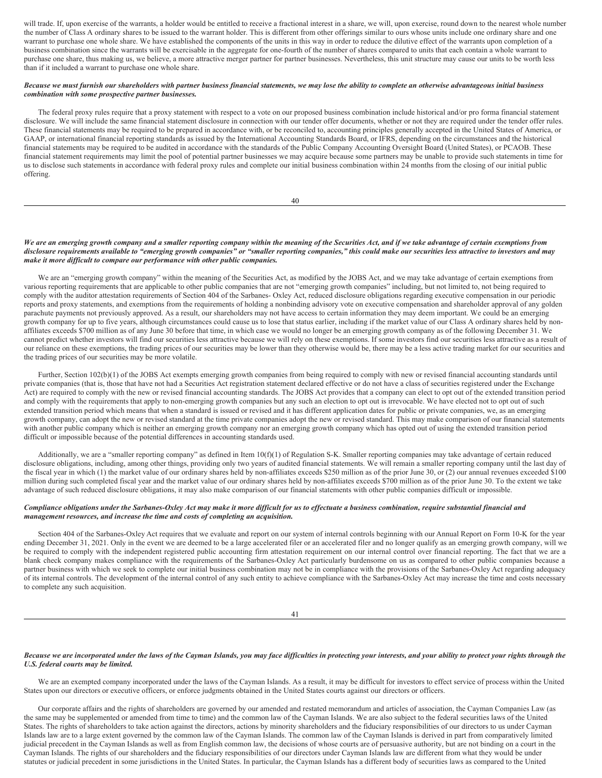will trade. If, upon exercise of the warrants, a holder would be entitled to receive a fractional interest in a share, we will, upon exercise, round down to the nearest whole number the number of Class A ordinary shares to be issued to the warrant holder. This is different from other offerings similar to ours whose units include one ordinary share and one warrant to purchase one whole share. We have established the components of the units in this way in order to reduce the dilutive effect of the warrants upon completion of a business combination since the warrants will be exercisable in the aggregate for one-fourth of the number of shares compared to units that each contain a whole warrant to purchase one share, thus making us, we believe, a more attractive merger partner for partner businesses. Nevertheless, this unit structure may cause our units to be worth less than if it included a warrant to purchase one whole share.

### Because we must furnish our shareholders with partner business financial statements, we may lose the ability to complete an otherwise advantageous initial business *combination with some prospective partner businesses.*

The federal proxy rules require that a proxy statement with respect to a vote on our proposed business combination include historical and/or pro forma financial statement disclosure. We will include the same financial statement disclosure in connection with our tender offer documents, whether or not they are required under the tender offer rules. These financial statements may be required to be prepared in accordance with, or be reconciled to, accounting principles generally accepted in the United States of America, or GAAP, or international financial reporting standards as issued by the International Accounting Standards Board, or IFRS, depending on the circumstances and the historical financial statements may be required to be audited in accordance with the standards of the Public Company Accounting Oversight Board (United States), or PCAOB. These financial statement requirements may limit the pool of potential partner businesses we may acquire because some partners may be unable to provide such statements in time for us to disclose such statements in accordance with federal proxy rules and complete our initial business combination within 24 months from the closing of our initial public offering.

40

### We are an emerging growth company and a smaller reporting company within the meaning of the Securities Act, and if we take advantage of certain exemptions from disclosure requirements available to "emerging growth companies" or "smaller reporting companies," this could make our securities less attractive to investors and may *make it more dif icult to compare our performance with other public companies.*

We are an "emerging growth company" within the meaning of the Securities Act, as modified by the JOBS Act, and we may take advantage of certain exemptions from various reporting requirements that are applicable to other public companies that are not "emerging growth companies" including, but not limited to, not being required to comply with the auditor attestation requirements of Section 404 of the Sarbanes- Oxley Act, reduced disclosure obligations regarding executive compensation in our periodic reports and proxy statements, and exemptions from the requirements of holding a nonbinding advisory vote on executive compensation and shareholder approval of any golden parachute payments not previously approved. As a result, our shareholders may not have access to certain information they may deem important. We could be an emerging growth company for up to five years, although circumstances could cause us to lose that status earlier, including if the market value of our Class A ordinary shares held by nonaffiliates exceeds \$700 million as of any June 30 before that time, in which case we would no longer be an emerging growth company as of the following December 31. We cannot predict whether investors will find our securities less attractive because we will rely on these exemptions. If some investors find our securities less attractive as a result of our reliance on these exemptions, the trading prices of our securities may be lower than they otherwise would be, there may be a less active trading market for our securities and the trading prices of our securities may be more volatile.

Further, Section 102(b)(1) of the JOBS Act exempts emerging growth companies from being required to comply with new or revised financial accounting standards until private companies (that is, those that have not had a Securities Act registration statement declared effective or do not have a class of securities registered under the Exchange Act) are required to comply with the new or revised financial accounting standards. The JOBS Act provides that a company can elect to opt out of the extended transition period and comply with the requirements that apply to non-emerging growth companies but any such an election to opt out is irrevocable. We have elected not to opt out of such extended transition period which means that when a standard is issued or revised and it has different application dates for public or private companies, we, as an emerging growth company, can adopt the new or revised standard at the time private companies adopt the new or revised standard. This may make comparison of our financial statements with another public company which is neither an emerging growth company nor an emerging growth company which has opted out of using the extended transition period difficult or impossible because of the potential differences in accounting standards used.

Additionally, we are a "smaller reporting company" as defined in Item 10(f)(1) of Regulation S-K. Smaller reporting companies may take advantage of certain reduced disclosure obligations, including, among other things, providing only two years of audited financial statements. We will remain a smaller reporting company until the last day of the fiscal year in which (1) the market value of our ordinary shares held by non-affiliates exceeds \$250 million as of the prior June 30, or (2) our annual revenues exceeded \$100 million during such completed fiscal year and the market value of our ordinary shares held by non-affiliates exceeds \$700 million as of the prior June 30. To the extent we take advantage of such reduced disclosure obligations, it may also make comparison of our financial statements with other public companies difficult or impossible.

### Compliance obligations under the Sarbanes-Oxley Act may make it more difficult for us to effectuate a business combination, require substantial financial and *management resources, and increase the time and costs of completing an acquisition.*

Section 404 of the Sarbanes-Oxley Act requires that we evaluate and report on our system of internal controls beginning with our Annual Report on Form 10-K for the year ending December 31, 2021. Only in the event we are deemed to be a large accelerated filer or an accelerated filer and no longer qualify as an emerging growth company, will we be required to comply with the independent registered public accounting firm attestation requirement on our internal control over financial reporting. The fact that we are a blank check company makes compliance with the requirements of the Sarbanes-Oxley Act particularly burdensome on us as compared to other public companies because a partner business with which we seek to complete our initial business combination may not be in compliance with the provisions of the Sarbanes-Oxley Act regarding adequacy of its internal controls. The development of the internal control of any such entity to achieve compliance with the Sarbanes-Oxley Act may increase the time and costs necessary to complete any such acquisition.

41

### Because we are incorporated under the laws of the Cayman Islands, you may face difficulties in protecting your interests, and your ability to protect your rights through the *U.S. federal courts may be limited.*

We are an exempted company incorporated under the laws of the Cayman Islands. As a result, it may be difficult for investors to effect service of process within the United States upon our directors or executive officers, or enforce judgments obtained in the United States courts against our directors or officers.

Our corporate affairs and the rights of shareholders are governed by our amended and restated memorandum and articles of association, the Cayman Companies Law (as the same may be supplemented or amended from time to time) and the common law of the Cayman Islands. We are also subject to the federal securities laws of the United States. The rights of shareholders to take action against the directors, actions by minority shareholders and the fiduciary responsibilities of our directors to us under Cayman Islands law are to a large extent governed by the common law of the Cayman Islands. The common law of the Cayman Islands is derived in part from comparatively limited judicial precedent in the Cayman Islands as well as from English common law, the decisions of whose courts are of persuasive authority, but are not binding on a court in the Cayman Islands. The rights of our shareholders and the fiduciary responsibilities of our directors under Cayman Islands law are different from what they would be under statutes or judicial precedent in some jurisdictions in the United States. In particular, the Cayman Islands has a different body of securities laws as compared to the United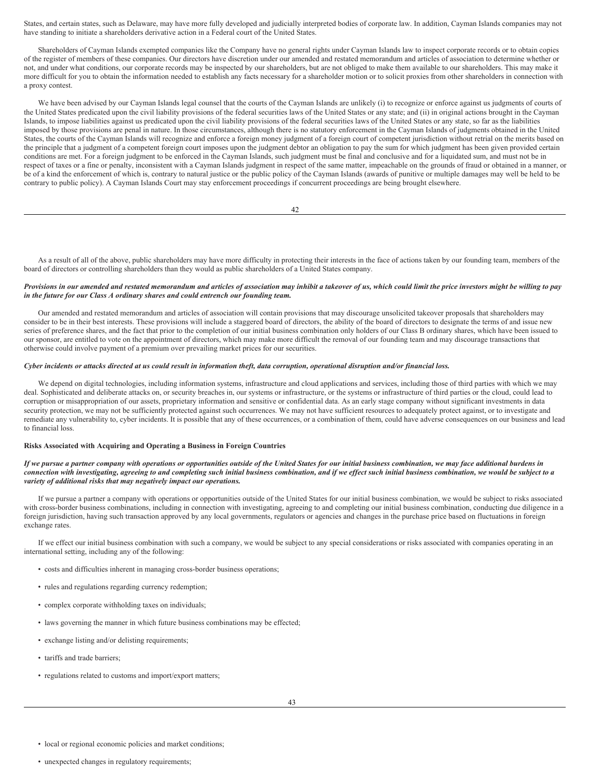States, and certain states, such as Delaware, may have more fully developed and judicially interpreted bodies of corporate law. In addition, Cayman Islands companies may not have standing to initiate a shareholders derivative action in a Federal court of the United States.

Shareholders of Cayman Islands exempted companies like the Company have no general rights under Cayman Islands law to inspect corporate records or to obtain copies of the register of members of these companies. Our directors have discretion under our amended and restated memorandum and articles of association to determine whether or not, and under what conditions, our corporate records may be inspected by our shareholders, but are not obliged to make them available to our shareholders. This may make it more difficult for you to obtain the information needed to establish any facts necessary for a shareholder motion or to solicit proxies from other shareholders in connection with a proxy contest.

We have been advised by our Cayman Islands legal counsel that the courts of the Cayman Islands are unlikely (i) to recognize or enforce against us judgments of courts of the United States predicated upon the civil liability provisions of the federal securities laws of the United States or any state; and (ii) in original actions brought in the Cayman Islands, to impose liabilities against us predicated upon the civil liability provisions of the federal securities laws of the United States or any state, so far as the liabilities imposed by those provisions are penal in nature. In those circumstances, although there is no statutory enforcement in the Cayman Islands of judgments obtained in the United States, the courts of the Cayman Islands will recognize and enforce a foreign money judgment of a foreign court of competent jurisdiction without retrial on the merits based on the principle that a judgment of a competent foreign court imposes upon the judgment debtor an obligation to pay the sum for which judgment has been given provided certain conditions are met. For a foreign judgment to be enforced in the Cayman Islands, such judgment must be final and conclusive and for a liquidated sum, and must not be in respect of taxes or a fine or penalty, inconsistent with a Cayman Islands judgment in respect of the same matter, impeachable on the grounds of fraud or obtained in a manner, or be of a kind the enforcement of which is, contrary to natural justice or the public policy of the Cayman Islands (awards of punitive or multiple damages may well be held to be contrary to public policy). A Cayman Islands Court may stay enforcement proceedings if concurrent proceedings are being brought elsewhere.

| ٦<br>ı |  |
|--------|--|
|        |  |

As a result of all of the above, public shareholders may have more difficulty in protecting their interests in the face of actions taken by our founding team, members of the board of directors or controlling shareholders than they would as public shareholders of a United States company.

### Provisions in our amended and restated memorandum and articles of association may inhibit a takeover of us, which could limit the price investors might be willing to pay *in the future for our Class A ordinary shares and could entrench our founding team.*

Our amended and restated memorandum and articles of association will contain provisions that may discourage unsolicited takeover proposals that shareholders may consider to be in their best interests. These provisions will include a staggered board of directors, the ability of the board of directors to designate the terms of and issue new series of preference shares, and the fact that prior to the completion of our initial business combination only holders of our Class B ordinary shares, which have been issued to our sponsor, are entitled to vote on the appointment of directors, which may make more difficult the removal of our founding team and may discourage transactions that otherwise could involve payment of a premium over prevailing market prices for our securities.

### Cyber incidents or attacks directed at us could result in information theft, data corruption, operational disruption and/or financial loss.

We depend on digital technologies, including information systems, infrastructure and cloud applications and services, including those of third parties with which we may deal. Sophisticated and deliberate attacks on, or security breaches in, our systems or infrastructure, or the systems or infrastructure of third parties or the cloud, could lead to corruption or misappropriation of our assets, proprietary information and sensitive or confidential data. As an early stage company without significant investments in data security protection, we may not be sufficiently protected against such occurrences. We may not have sufficient resources to adequately protect against, or to investigate and remediate any vulnerability to, cyber incidents. It is possible that any of these occurrences, or a combination of them, could have adverse consequences on our business and lead to financial loss.

#### **Risks Associated with Acquiring and Operating a Business in Foreign Countries**

### If we pursue a partner company with operations or opportunities outside of the United States for our initial business combination, we may face additional burdens in connection with investigating, agreeing to and completing such initial business combination, and if we effect such initial business combination, we would be subject to a *variety of additional risks that may negatively impact our operations.*

If we pursue a partner a company with operations or opportunities outside of the United States for our initial business combination, we would be subject to risks associated with cross-border business combinations, including in connection with investigating, agreeing to and completing our initial business combination, conducting due diligence in a foreign jurisdiction, having such transaction approved by any local governments, regulators or agencies and changes in the purchase price based on fluctuations in foreign exchange rates.

If we effect our initial business combination with such a company, we would be subject to any special considerations or risks associated with companies operating in an international setting, including any of the following:

- costs and difficulties inherent in managing cross-border business operations;
- rules and regulations regarding currency redemption;
- complex corporate withholding taxes on individuals;
- laws governing the manner in which future business combinations may be effected;
- exchange listing and/or delisting requirements;
- tariffs and trade barriers;
- regulations related to customs and import/export matters;

- local or regional economic policies and market conditions;
- unexpected changes in regulatory requirements;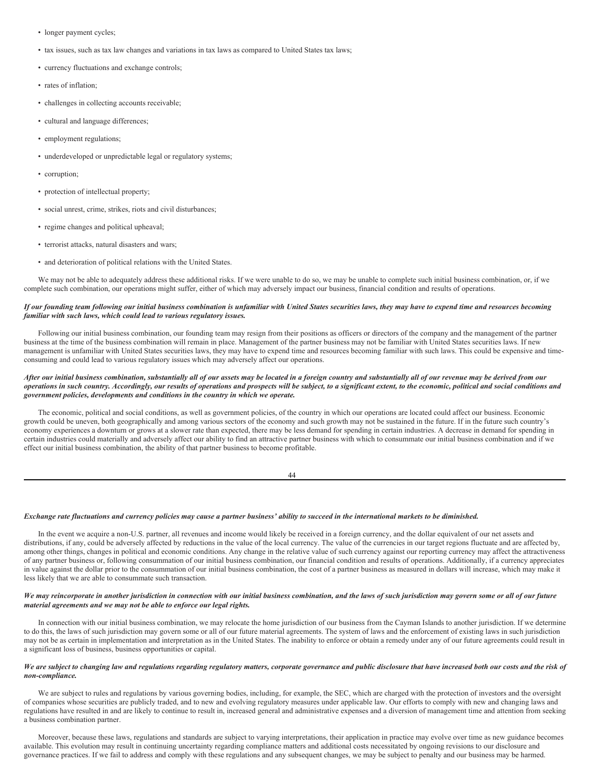- longer payment cycles;
- tax issues, such as tax law changes and variations in tax laws as compared to United States tax laws;
- currency fluctuations and exchange controls;
- rates of inflation;
- challenges in collecting accounts receivable;
- cultural and language differences;
- employment regulations;
- underdeveloped or unpredictable legal or regulatory systems;
- corruption;
- protection of intellectual property;
- social unrest, crime, strikes, riots and civil disturbances;
- regime changes and political upheaval;
- terrorist attacks, natural disasters and wars;
- and deterioration of political relations with the United States.

We may not be able to adequately address these additional risks. If we were unable to do so, we may be unable to complete such initial business combination, or, if we complete such combination, our operations might suffer, either of which may adversely impact our business, financial condition and results of operations.

### If our founding team following our initial business combination is unfamiliar with United States securities laws, they may have to expend time and resources becoming *familiar with such laws, which could lead to various regulatory issues.*

Following our initial business combination, our founding team may resign from their positions as officers or directors of the company and the management of the partner business at the time of the business combination will remain in place. Management of the partner business may not be familiar with United States securities laws. If new management is unfamiliar with United States securities laws, they may have to expend time and resources becoming familiar with such laws. This could be expensive and timeconsuming and could lead to various regulatory issues which may adversely affect our operations.

### After our initial business combination, substantially all of our assets may be located in a foreign country and substantially all of our revenue may be derived from our operations in such country. Accordingly, our results of operations and prospects will be subject, to a significant extent, to the economic, political and social conditions and *government policies, developments and conditions in the country in which we operate.*

The economic, political and social conditions, as well as government policies, of the country in which our operations are located could affect our business. Economic growth could be uneven, both geographically and among various sectors of the economy and such growth may not be sustained in the future. If in the future such country's economy experiences a downturn or grows at a slower rate than expected, there may be less demand for spending in certain industries. A decrease in demand for spending in certain industries could materially and adversely affect our ability to find an attractive partner business with which to consummate our initial business combination and if we effect our initial business combination, the ability of that partner business to become profitable.

44

### Exchange rate fluctuations and currency policies may cause a partner business' ability to succeed in the international markets to be diminished.

In the event we acquire a non-U.S. partner, all revenues and income would likely be received in a foreign currency, and the dollar equivalent of our net assets and distributions, if any, could be adversely affected by reductions in the value of the local currency. The value of the currencies in our target regions fluctuate and are affected by, among other things, changes in political and economic conditions. Any change in the relative value of such currency against our reporting currency may affect the attractiveness of any partner business or, following consummation of our initial business combination, our financial condition and results of operations. Additionally, if a currency appreciates in value against the dollar prior to the consummation of our initial business combination, the cost of a partner business as measured in dollars will increase, which may make it less likely that we are able to consummate such transaction.

### We may reincorporate in another jurisdiction in connection with our initial business combination, and the laws of such jurisdiction may govern some or all of our future *material agreements and we may not be able to enforce our legal rights.*

In connection with our initial business combination, we may relocate the home jurisdiction of our business from the Cayman Islands to another jurisdiction. If we determine to do this, the laws of such jurisdiction may govern some or all of our future material agreements. The system of laws and the enforcement of existing laws in such jurisdiction may not be as certain in implementation and interpretation as in the United States. The inability to enforce or obtain a remedy under any of our future agreements could result in a significant loss of business, business opportunities or capital.

### We are subject to changing law and regulations regarding regulatory matters, corporate governance and public disclosure that have increased both our costs and the risk of *non-compliance.*

We are subject to rules and regulations by various governing bodies, including, for example, the SEC, which are charged with the protection of investors and the oversight of companies whose securities are publicly traded, and to new and evolving regulatory measures under applicable law. Our efforts to comply with new and changing laws and regulations have resulted in and are likely to continue to result in, increased general and administrative expenses and a diversion of management time and attention from seeking a business combination partner.

Moreover, because these laws, regulations and standards are subject to varying interpretations, their application in practice may evolve over time as new guidance becomes available. This evolution may result in continuing uncertainty regarding compliance matters and additional costs necessitated by ongoing revisions to our disclosure and governance practices. If we fail to address and comply with these regulations and any subsequent changes, we may be subject to penalty and our business may be harmed.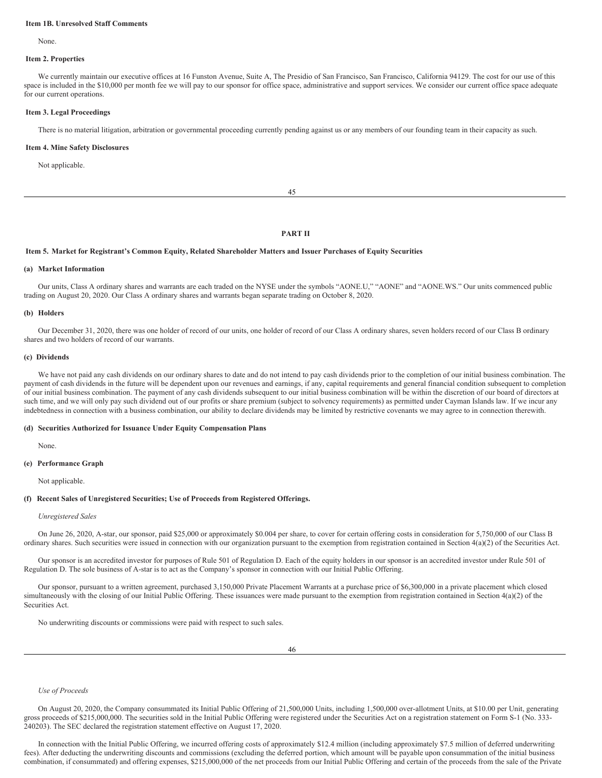#### <span id="page-26-0"></span>**Item 1B. Unresolved Staff Comments**

None.

#### <span id="page-26-1"></span>**Item 2. Properties**

We currently maintain our executive offices at 16 Funston Avenue, Suite A, The Presidio of San Francisco, San Francisco, California 94129. The cost for our use of this space is included in the \$10,000 per month fee we will pay to our sponsor for office space, administrative and support services. We consider our current office space adequate for our current operations.

#### <span id="page-26-2"></span>**Item 3. Legal Proceedings**

There is no material litigation, arbitration or governmental proceeding currently pending against us or any members of our founding team in their capacity as such.

#### <span id="page-26-3"></span>**Item 4. Mine Safety Disclosures**

Not applicable.

45

# <span id="page-26-4"></span>**PART II**

#### <span id="page-26-5"></span>Item 5. Market for Registrant's Common Equity, Related Shareholder Matters and Issuer Purchases of Equity Securities

#### **(a) Market Information**

Our units, Class A ordinary shares and warrants are each traded on the NYSE under the symbols "AONE.U," "AONE" and "AONE.WS." Our units commenced public trading on August 20, 2020. Our Class A ordinary shares and warrants began separate trading on October 8, 2020.

#### **(b) Holders**

Our December 31, 2020, there was one holder of record of our units, one holder of record of our Class A ordinary shares, seven holders record of our Class B ordinary shares and two holders of record of our warrants.

### **(c) Dividends**

We have not paid any cash dividends on our ordinary shares to date and do not intend to pay cash dividends prior to the completion of our initial business combination. The payment of cash dividends in the future will be dependent upon our revenues and earnings, if any, capital requirements and general financial condition subsequent to completion of our initial business combination. The payment of any cash dividends subsequent to our initial business combination will be within the discretion of our board of directors at such time, and we will only pay such dividend out of our profits or share premium (subject to solvency requirements) as permitted under Cayman Islands law. If we incur any indebtedness in connection with a business combination, our ability to declare dividends may be limited by restrictive covenants we may agree to in connection therewith.

#### **(d) Securities Authorized for Issuance Under Equity Compensation Plans**

None.

### **(e) Performance Graph**

Not applicable.

### **(f) Recent Sales of Unregistered Securities; Use of Proceeds from Registered Offerings.**

#### *Unregistered Sales*

On June 26, 2020, A-star, our sponsor, paid \$25,000 or approximately \$0.004 per share, to cover for certain offering costs in consideration for 5,750,000 of our Class B ordinary shares. Such securities were issued in connection with our organization pursuant to the exemption from registration contained in Section 4(a)(2) of the Securities Act.

Our sponsor is an accredited investor for purposes of Rule 501 of Regulation D. Each of the equity holders in our sponsor is an accredited investor under Rule 501 of Regulation D. The sole business of A-star is to act as the Company's sponsor in connection with our Initial Public Offering.

Our sponsor, pursuant to a written agreement, purchased 3,150,000 Private Placement Warrants at a purchase price of \$6,300,000 in a private placement which closed simultaneously with the closing of our Initial Public Offering. These issuances were made pursuant to the exemption from registration contained in Section 4(a)(2) of the Securities Act.

No underwriting discounts or commissions were paid with respect to such sales.

#### *Use of Proceeds*

On August 20, 2020, the Company consummated its Initial Public Offering of 21,500,000 Units, including 1,500,000 over-allotment Units, at \$10.00 per Unit, generating gross proceeds of \$215,000,000. The securities sold in the Initial Public Offering were registered under the Securities Act on a registration statement on Form S-1 (No. 333- 240203). The SEC declared the registration statement effective on August 17, 2020.

In connection with the Initial Public Offering, we incurred offering costs of approximately \$12.4 million (including approximately \$7.5 million of deferred underwriting fees). After deducting the underwriting discounts and commissions (excluding the deferred portion, which amount will be payable upon consummation of the initial business combination, if consummated) and offering expenses, \$215,000,000 of the net proceeds from our Initial Public Offering and certain of the proceeds from the sale of the Private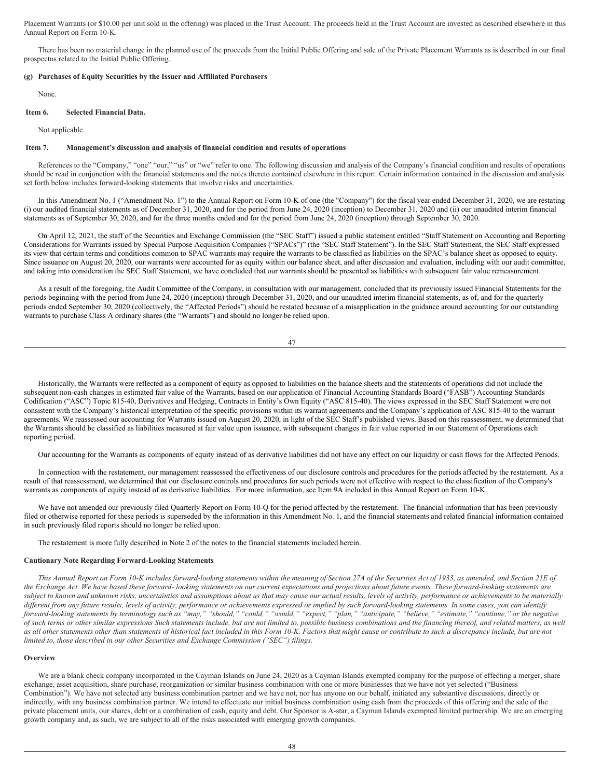Placement Warrants (or \$10.00 per unit sold in the offering) was placed in the Trust Account. The proceeds held in the Trust Account are invested as described elsewhere in this Annual Report on Form 10-K.

There has been no material change in the planned use of the proceeds from the Initial Public Offering and sale of the Private Placement Warrants as is described in our final prospectus related to the Initial Public Offering.

### **(g) Purchases of Equity Securities by the Issuer and Affiliated Purchasers**

None.

### <span id="page-27-0"></span>**Item 6. Selected Financial Data.**

Not applicable.

### <span id="page-27-1"></span>**Item 7. Management's discussion and analysis of financial condition and results of operations**

References to the "Company," "one" "our," "us" or "we" refer to one. The following discussion and analysis of the Company's financial condition and results of operations should be read in conjunction with the financial statements and the notes thereto contained elsewhere in this report. Certain information contained in the discussion and analysis set forth below includes forward-looking statements that involve risks and uncertainties.

In this Amendment No. 1 ("Amendment No. 1") to the Annual Report on Form 10-K of one (the "Company") for the fiscal year ended December 31, 2020, we are restating (i) our audited financial statements as of December 31, 2020, and for the period from June 24, 2020 (inception) to December 31, 2020 and (ii) our unaudited interim financial statements as of September 30, 2020, and for the three months ended and for the period from June 24, 2020 (inception) through September 30, 2020.

On April 12, 2021, the staff of the Securities and Exchange Commission (the "SEC Staff") issued a public statement entitled "Staff Statement on Accounting and Reporting Considerations for Warrants issued by Special Purpose Acquisition Companies ("SPACs")" (the "SEC Staff Statement"). In the SEC Staff Statement, the SEC Staff expressed its view that certain terms and conditions common to SPAC warrants may require the warrants to be classified as liabilities on the SPAC's balance sheet as opposed to equity. Since issuance on August 20, 2020, our warrants were accounted for as equity within our balance sheet, and after discussion and evaluation, including with our audit committee, and taking into consideration the SEC Staff Statement, we have concluded that our warrants should be presented as liabilities with subsequent fair value remeasurement.

As a result of the foregoing, the Audit Committee of the Company, in consultation with our management, concluded that its previously issued Financial Statements for the periods beginning with the period from June 24, 2020 (inception) through December 31, 2020, and our unaudited interim financial statements, as of, and for the quarterly periods ended September 30, 2020 (collectively, the "Affected Periods") should be restated because of a misapplication in the guidance around accounting for our outstanding warrants to purchase Class A ordinary shares (the "Warrants") and should no longer be relied upon.

Historically, the Warrants were reflected as a component of equity as opposed to liabilities on the balance sheets and the statements of operations did not include the subsequent non-cash changes in estimated fair value of the Warrants, based on our application of Financial Accounting Standards Board ("FASB") Accounting Standards Codification ("ASC") Topic 815-40, Derivatives and Hedging, Contracts in Entity's Own Equity ("ASC 815-40). The views expressed in the SEC Staff Statement were not consistent with the Company's historical interpretation of the specific provisions within its warrant agreements and the Company's application of ASC 815-40 to the warrant agreements. We reassessed our accounting for Warrants issued on August 20, 2020, in light of the SEC Staff's published views. Based on this reassessment, we determined that the Warrants should be classified as liabilities measured at fair value upon issuance, with subsequent changes in fair value reported in our Statement of Operations each reporting period.

Our accounting for the Warrants as components of equity instead of as derivative liabilities did not have any effect on our liquidity or cash flows for the Affected Periods.

In connection with the restatement, our management reassessed the effectiveness of our disclosure controls and procedures for the periods affected by the restatement. As a result of that reassessment, we determined that our disclosure controls and procedures for such periods were not effective with respect to the classification of the Company's warrants as components of equity instead of as derivative liabilities. For more information, see Item 9A included in this Annual Report on Form 10-K.

We have not amended our previously filed Quarterly Report on Form 10-Q for the period affected by the restatement. The financial information that has been previously filed or otherwise reported for these periods is superseded by the information in this Amendment No. 1, and the financial statements and related financial information contained in such previously filed reports should no longer be relied upon.

The restatement is more fully described in Note 2 of the notes to the financial statements included herein.

### **Cautionary Note Regarding Forward-Looking Statements**

This Annual Report on Form 10-K includes forward-looking statements within the meaning of Section 27A of the Securities Act of 1933, as amended, and Section 21E of the Exchange Act. We have based these forward-looking statements on our current expectations and projections about future events. These forward-looking statements are subject to known and unknown risks, uncertainties and assumptions about us that may cause our actual results, levels of activity, performance or achievements to be materially different from any future results, levels of activity, performance or achievements expressed or implied by such forward-looking statements. In some cases, you can identify forward-looking statements by terminology such as "may," "should," "could," "would," "expect," "plan," "anticipate," "believe," "estimate," "continue," or the negative of such terms or other similar expressions Such statements include, but are not limited to, possible business combinations and the financing thereof, and related matters, as well as all other statements other than statements of historical fact included in this Form 10-K. Factors that might cause or contribute to such a discrepancy include, but are not *limited to, those described in our other Securities and Exchange Commission ("SEC") filings.*

#### **Overview**

We are a blank check company incorporated in the Cayman Islands on June 24, 2020 as a Cayman Islands exempted company for the purpose of effecting a merger, share exchange, asset acquisition, share purchase, reorganization or similar business combination with one or more businesses that we have not yet selected ("Business Combination"). We have not selected any business combination partner and we have not, nor has anyone on our behalf, initiated any substantive discussions, directly or indirectly, with any business combination partner. We intend to effectuate our initial business combination using cash from the proceeds of this offering and the sale of the private placement units, our shares, debt or a combination of cash, equity and debt. Our Sponsor is A-star, a Cayman Islands exempted limited partnership. We are an emerging growth company and, as such, we are subject to all of the risks associated with emerging growth companies.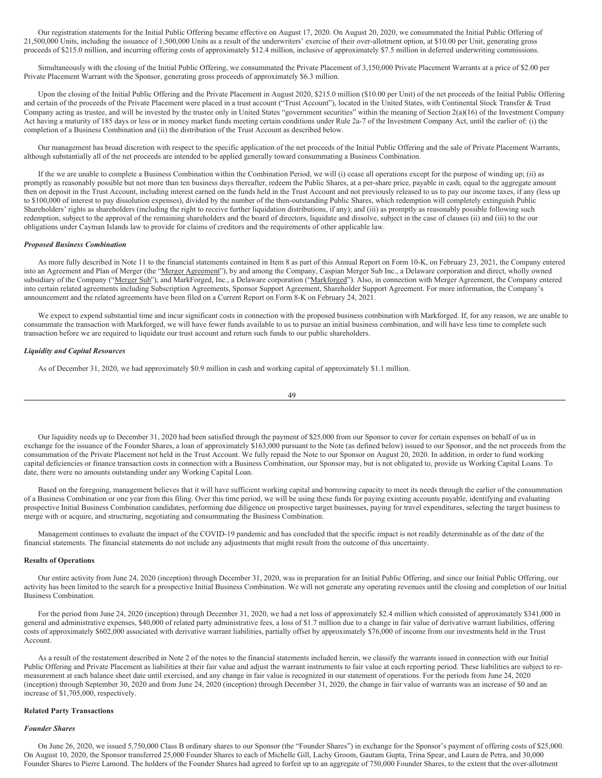Our registration statements for the Initial Public Offering became effective on August 17, 2020. On August 20, 2020, we consummated the Initial Public Offering of 21,500,000 Units, including the issuance of 1,500,000 Units as a result of the underwriters' exercise of their over-allotment option, at \$10.00 per Unit, generating gross proceeds of \$215.0 million, and incurring offering costs of approximately \$12.4 million, inclusive of approximately \$7.5 million in deferred underwriting commissions.

Simultaneously with the closing of the Initial Public Offering, we consummated the Private Placement of 3,150,000 Private Placement Warrants at a price of \$2.00 per Private Placement Warrant with the Sponsor, generating gross proceeds of approximately \$6.3 million.

Upon the closing of the Initial Public Offering and the Private Placement in August 2020, \$215.0 million (\$10.00 per Unit) of the net proceeds of the Initial Public Offering and certain of the proceeds of the Private Placement were placed in a trust account ("Trust Account"), located in the United States, with Continental Stock Transfer & Trust Company acting as trustee, and will be invested by the trustee only in United States "government securities" within the meaning of Section 2(a)(16) of the Investment Company Act having a maturity of 185 days or less or in money market funds meeting certain conditions under Rule 2a-7 of the Investment Company Act, until the earlier of: (i) the completion of a Business Combination and (ii) the distribution of the Trust Account as described below.

Our management has broad discretion with respect to the specific application of the net proceeds of the Initial Public Offering and the sale of Private Placement Warrants, although substantially all of the net proceeds are intended to be applied generally toward consummating a Business Combination.

If the we are unable to complete a Business Combination within the Combination Period, we will (i) cease all operations except for the purpose of winding up; (ii) as promptly as reasonably possible but not more than ten business days thereafter, redeem the Public Shares, at a per-share price, payable in cash, equal to the aggregate amount then on deposit in the Trust Account, including interest earned on the funds held in the Trust Account and not previously released to us to pay our income taxes, if any (less up to \$100,000 of interest to pay dissolution expenses), divided by the number of the then-outstanding Public Shares, which redemption will completely extinguish Public Shareholders' rights as shareholders (including the right to receive further liquidation distributions, if any); and (iii) as promptly as reasonably possible following such redemption, subject to the approval of the remaining shareholders and the board of directors, liquidate and dissolve, subject in the case of clauses (ii) and (iii) to the our obligations under Cayman Islands law to provide for claims of creditors and the requirements of other applicable law.

#### *Proposed Business Combination*

As more fully described in Note 11 to the financial statements contained in Item 8 as part of this Annual Report on Form 10-K, on February 23, 2021, the Company entered into an Agreement and Plan of Merger (the "Merger Agreement"), by and among the Company, Caspian Merger Sub Inc., a Delaware corporation and direct, wholly owned subsidiary of the Company ("Merger Sub"), and MarkForged, Inc., a Delaware corporation ("Markforged"). Also, in connection with Merger Agreement, the Company entered into certain related agreements including Subscription Agreements, Sponsor Support Agreement, Shareholder Support Agreement. For more information, the Company's announcement and the related agreements have been filed on a Current Report on Form 8-K on February 24, 2021.

We expect to expend substantial time and incur significant costs in connection with the proposed business combination with Markforged. If, for any reason, we are unable to consummate the transaction with Markforged, we will have fewer funds available to us to pursue an initial business combination, and will have less time to complete such transaction before we are required to liquidate our trust account and return such funds to our public shareholders.

#### *Liquidity and Capital Resources*

As of December 31, 2020, we had approximately \$0.9 million in cash and working capital of approximately \$1.1 million.

49

Our liquidity needs up to December 31, 2020 had been satisfied through the payment of \$25,000 from our Sponsor to cover for certain expenses on behalf of us in exchange for the issuance of the Founder Shares, a loan of approximately \$163,000 pursuant to the Note (as defined below) issued to our Sponsor, and the net proceeds from the consummation of the Private Placement not held in the Trust Account. We fully repaid the Note to our Sponsor on August 20, 2020. In addition, in order to fund working capital deficiencies or finance transaction costs in connection with a Business Combination, our Sponsor may, but is not obligated to, provide us Working Capital Loans. To date, there were no amounts outstanding under any Working Capital Loan.

Based on the foregoing, management believes that it will have sufficient working capital and borrowing capacity to meet its needs through the earlier of the consummation of a Business Combination or one year from this filing. Over this time period, we will be using these funds for paying existing accounts payable, identifying and evaluating prospective Initial Business Combination candidates, performing due diligence on prospective target businesses, paying for travel expenditures, selecting the target business to merge with or acquire, and structuring, negotiating and consummating the Business Combination.

Management continues to evaluate the impact of the COVID-19 pandemic and has concluded that the specific impact is not readily determinable as of the date of the financial statements. The financial statements do not include any adjustments that might result from the outcome of this uncertainty.

### **Results of Operations**

Our entire activity from June 24, 2020 (inception) through December 31, 2020, was in preparation for an Initial Public Offering, and since our Initial Public Offering, our activity has been limited to the search for a prospective Initial Business Combination. We will not generate any operating revenues until the closing and completion of our Initial Business Combination.

For the period from June 24, 2020 (inception) through December 31, 2020, we had a net loss of approximately \$2.4 million which consisted of approximately \$341,000 in general and administrative expenses, \$40,000 of related party administrative fees, a loss of \$1.7 million due to a change in fair value of derivative warrant liabilities, offering costs of approximately \$602,000 associated with derivative warrant liabilities, partially offset by approximately \$76,000 of income from our investments held in the Trust Account.

As a result of the restatement described in Note 2 of the notes to the financial statements included herein, we classify the warrants issued in connection with our Initial Public Offering and Private Placement as liabilities at their fair value and adjust the warrant instruments to fair value at each reporting period. These liabilities are subject to remeasurement at each balance sheet date until exercised, and any change in fair value is recognized in our statement of operations. For the periods from June 24, 2020 (inception) through September 30, 2020 and from June 24, 2020 (inception) through December 31, 2020, the change in fair value of warrants was an increase of \$0 and an increase of \$1,705,000, respectively.

#### **Related Party Transactions**

# *Founder Shares*

On June 26, 2020, we issued 5,750,000 Class B ordinary shares to our Sponsor (the "Founder Shares") in exchange for the Sponsor's payment of offering costs of \$25,000. On August 10, 2020, the Sponsor transferred 25,000 Founder Shares to each of Michelle Gill, Lachy Groom, Gautam Gupta, Trina Spear, and Laura de Petra, and 30,000 Founder Shares to Pierre Lamond. The holders of the Founder Shares had agreed to forfeit up to an aggregate of 750,000 Founder Shares, to the extent that the over-allotment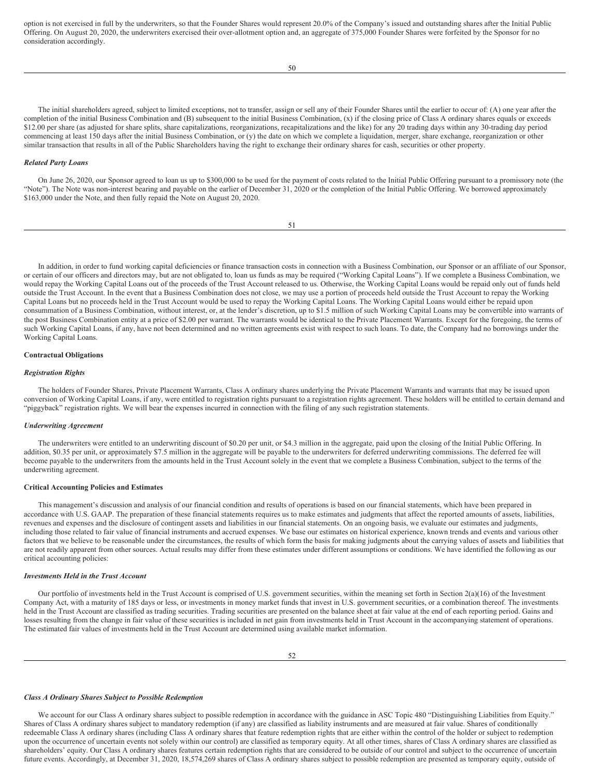option is not exercised in full by the underwriters, so that the Founder Shares would represent 20.0% of the Company's issued and outstanding shares after the Initial Public Offering. On August 20, 2020, the underwriters exercised their over-allotment option and, an aggregate of 375,000 Founder Shares were forfeited by the Sponsor for no consideration accordingly.

50

The initial shareholders agreed, subject to limited exceptions, not to transfer, assign or sell any of their Founder Shares until the earlier to occur of: (A) one year after the completion of the initial Business Combination and (B) subsequent to the initial Business Combination, (x) if the closing price of Class A ordinary shares equals or exceeds \$12.00 per share (as adjusted for share splits, share capitalizations, recapitalizations, recapitalizations and the like) for any 20 trading days within any 30-trading day period commencing at least 150 days after the initial Business Combination, or (y) the date on which we complete a liquidation, merger, share exchange, reorganization or other similar transaction that results in all of the Public Shareholders having the right to exchange their ordinary shares for cash, securities or other property.

### *Related Party Loans*

On June 26, 2020, our Sponsor agreed to loan us up to \$300,000 to be used for the payment of costs related to the Initial Public Offering pursuant to a promissory note (the "Note"). The Note was non-interest bearing and payable on the earlier of December 31, 2020 or the completion of the Initial Public Offering. We borrowed approximately \$163,000 under the Note, and then fully repaid the Note on August 20, 2020.

| I<br>I<br>×<br>۰. |  |
|-------------------|--|

In addition, in order to fund working capital deficiencies or finance transaction costs in connection with a Business Combination, our Sponsor or an affiliate of our Sponsor, or certain of our officers and directors may, but are not obligated to, loan us funds as may be required ("Working Capital Loans"). If we complete a Business Combination, we would repay the Working Capital Loans out of the proceeds of the Trust Account released to us. Otherwise, the Working Capital Loans would be repaid only out of funds held outside the Trust Account. In the event that a Business Combination does not close, we may use a portion of proceeds held outside the Trust Account to repay the Working Capital Loans but no proceeds held in the Trust Account would be used to repay the Working Capital Loans. The Working Capital Loans would either be repaid upon consummation of a Business Combination, without interest, or, at the lender's discretion, up to \$1.5 million of such Working Capital Loans may be convertible into warrants of the post Business Combination entity at a price of \$2.00 per warrant. The warrants would be identical to the Private Placement Warrants. Except for the foregoing, the terms of such Working Capital Loans, if any, have not been determined and no written agreements exist with respect to such loans. To date, the Company had no borrowings under the Working Capital Loans.

### **Contractual Obligations**

#### *Registration Rights*

The holders of Founder Shares, Private Placement Warrants, Class A ordinary shares underlying the Private Placement Warrants and warrants that may be issued upon conversion of Working Capital Loans, if any, were entitled to registration rights pursuant to a registration rights agreement. These holders will be entitled to certain demand and "piggyback" registration rights. We will bear the expenses incurred in connection with the filing of any such registration statements.

# *Underwriting Agreement*

The underwriters were entitled to an underwriting discount of \$0.20 per unit, or \$4.3 million in the aggregate, paid upon the closing of the Initial Public Offering. In addition, \$0.35 per unit, or approximately \$7.5 million in the aggregate will be payable to the underwriters for deferred underwriting commissions. The deferred fee will become payable to the underwriters from the amounts held in the Trust Account solely in the event that we complete a Business Combination, subject to the terms of the underwriting agreement.

#### **Critical Accounting Policies and Estimates**

This management's discussion and analysis of our financial condition and results of operations is based on our financial statements, which have been prepared in accordance with U.S. GAAP. The preparation of these financial statements requires us to make estimates and judgments that affect the reported amounts of assets, liabilities, revenues and expenses and the disclosure of contingent assets and liabilities in our financial statements. On an ongoing basis, we evaluate our estimates and judgments, including those related to fair value of financial instruments and accrued expenses. We base our estimates on historical experience, known trends and events and various other factors that we believe to be reasonable under the circumstances, the results of which form the basis for making judgments about the carrying values of assets and liabilities that are not readily apparent from other sources. Actual results may differ from these estimates under different assumptions or conditions. We have identified the following as our critical accounting policies:

#### *Investments Held in the Trust Account*

Our portfolio of investments held in the Trust Account is comprised of U.S. government securities, within the meaning set forth in Section 2(a)(16) of the Investment Company Act, with a maturity of 185 days or less, or investments in money market funds that invest in U.S. government securities, or a combination thereof. The investments held in the Trust Account are classified as trading securities. Trading securities are presented on the balance sheet at fair value at the end of each reporting period. Gains and losses resulting from the change in fair value of these securities is included in net gain from investments held in Trust Account in the accompanying statement of operations. The estimated fair values of investments held in the Trust Account are determined using available market information.

#### *Class A Ordinary Shares Subject to Possible Redemption*

We account for our Class A ordinary shares subject to possible redemption in accordance with the guidance in ASC Topic 480 "Distinguishing Liabilities from Equity." Shares of Class A ordinary shares subject to mandatory redemption (if any) are classified as liability instruments and are measured at fair value. Shares of conditionally redeemable Class A ordinary shares (including Class A ordinary shares that feature redemption rights that are either within the control of the holder or subject to redemption upon the occurrence of uncertain events not solely within our control) are classified as temporary equity. At all other times, shares of Class A ordinary shares are classified as shareholders' equity. Our Class A ordinary shares features certain redemption rights that are considered to be outside of our control and subject to the occurrence of uncertain future events. Accordingly, at December 31, 2020, 18,574,269 shares of Class A ordinary shares subject to possible redemption are presented as temporary equity, outside of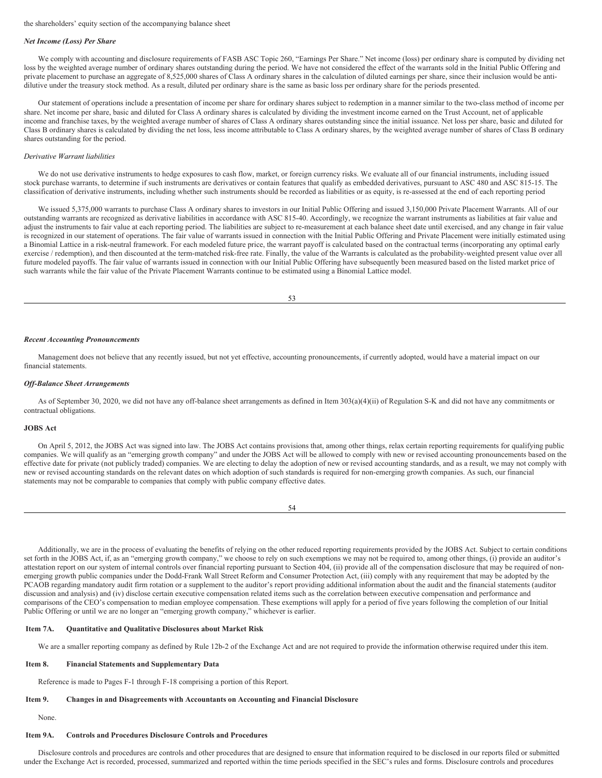#### *Net Income (Loss) Per Share*

We comply with accounting and disclosure requirements of FASB ASC Topic 260, "Earnings Per Share." Net income (loss) per ordinary share is computed by dividing net loss by the weighted average number of ordinary shares outstanding during the period. We have not considered the effect of the warrants sold in the Initial Public Offering and private placement to purchase an aggregate of 8,525,000 shares of Class A ordinary shares in the calculation of diluted earnings per share, since their inclusion would be antidilutive under the treasury stock method. As a result, diluted per ordinary share is the same as basic loss per ordinary share for the periods presented.

Our statement of operations include a presentation of income per share for ordinary shares subject to redemption in a manner similar to the two-class method of income per share. Net income per share, basic and diluted for Class A ordinary shares is calculated by dividing the investment income earned on the Trust Account, net of applicable income and franchise taxes, by the weighted average number of shares of Class A ordinary shares outstanding since the initial issuance. Net loss per share, basic and diluted for Class B ordinary shares is calculated by dividing the net loss, less income attributable to Class A ordinary shares, by the weighted average number of shares of Class B ordinary shares outstanding for the period.

### *Derivative Warrant liabilities*

We do not use derivative instruments to hedge exposures to cash flow, market, or foreign currency risks. We evaluate all of our financial instruments, including issued stock purchase warrants, to determine if such instruments are derivatives or contain features that qualify as embedded derivatives, pursuant to ASC 480 and ASC 815-15. The classification of derivative instruments, including whether such instruments should be recorded as liabilities or as equity, is re-assessed at the end of each reporting period

We issued 5,375,000 warrants to purchase Class A ordinary shares to investors in our Initial Public Offering and issued 3,150,000 Private Placement Warrants. All of our outstanding warrants are recognized as derivative liabilities in accordance with ASC 815-40. Accordingly, we recognize the warrant instruments as liabilities at fair value and adjust the instruments to fair value at each reporting period. The liabilities are subject to re-measurement at each balance sheet date until exercised, and any change in fair value is recognized in our statement of operations. The fair value of warrants issued in connection with the Initial Public Offering and Private Placement were initially estimated using a Binomial Lattice in a risk-neutral framework. For each modeled future price, the warrant payoff is calculated based on the contractual terms (incorporating any optimal early exercise / redemption), and then discounted at the term-matched risk-free rate. Finally, the value of the Warrants is calculated as the probability-weighted present value over all future modeled payoffs. The fair value of warrants issued in connection with our Initial Public Offering have subsequently been measured based on the listed market price of such warrants while the fair value of the Private Placement Warrants continue to be estimated using a Binomial Lattice model.

53

### *Recent Accounting Pronouncements*

Management does not believe that any recently issued, but not yet effective, accounting pronouncements, if currently adopted, would have a material impact on our financial statements.

#### *Of -Balance Sheet Arrangements*

As of September 30, 2020, we did not have any off-balance sheet arrangements as defined in Item 303(a)(4)(ii) of Regulation S-K and did not have any commitments or contractual obligations.

### **JOBS Act**

On April 5, 2012, the JOBS Act was signed into law. The JOBS Act contains provisions that, among other things, relax certain reporting requirements for qualifying public companies. We will qualify as an "emerging growth company" and under the JOBS Act will be allowed to comply with new or revised accounting pronouncements based on the effective date for private (not publicly traded) companies. We are electing to delay the adoption of new or revised accounting standards, and as a result, we may not comply with new or revised accounting standards on the relevant dates on which adoption of such standards is required for non-emerging growth companies. As such, our financial statements may not be comparable to companies that comply with public company effective dates.

54

Additionally, we are in the process of evaluating the benefits of relying on the other reduced reporting requirements provided by the JOBS Act. Subject to certain conditions set forth in the JOBS Act, if, as an "emerging growth company," we choose to rely on such exemptions we may not be required to, among other things, (i) provide an auditor's attestation report on our system of internal controls over financial reporting pursuant to Section 404, (ii) provide all of the compensation disclosure that may be required of nonemerging growth public companies under the Dodd-Frank Wall Street Reform and Consumer Protection Act, (iii) comply with any requirement that may be adopted by the PCAOB regarding mandatory audit firm rotation or a supplement to the auditor's report providing additional information about the audit and the financial statements (auditor discussion and analysis) and (iv) disclose certain executive compensation related items such as the correlation between executive compensation and performance and comparisons of the CEO's compensation to median employee compensation. These exemptions will apply for a period of five years following the completion of our Initial Public Offering or until we are no longer an "emerging growth company," whichever is earlier.

### <span id="page-30-0"></span>**Item 7A. Quantitative and Qualitative Disclosures about Market Risk**

We are a smaller reporting company as defined by Rule 12b-2 of the Exchange Act and are not required to provide the information otherwise required under this item.

# <span id="page-30-1"></span>**Item 8. Financial Statements and Supplementary Data**

Reference is made to Pages F-1 through F-18 comprising a portion of this Report.

# <span id="page-30-2"></span>**Item 9. Changes in and Disagreements with Accountants on Accounting and Financial Disclosure**

None.

# <span id="page-30-3"></span>**Item 9A. Controls and Procedures Disclosure Controls and Procedures**

Disclosure controls and procedures are controls and other procedures that are designed to ensure that information required to be disclosed in our reports filed or submitted under the Exchange Act is recorded, processed, summarized and reported within the time periods specified in the SEC's rules and forms. Disclosure controls and procedures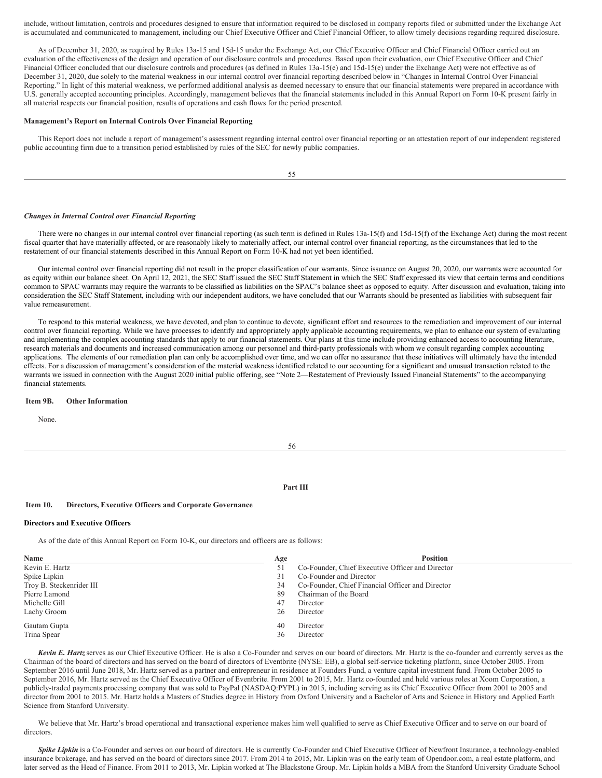include, without limitation, controls and procedures designed to ensure that information required to be disclosed in company reports filed or submitted under the Exchange Act is accumulated and communicated to management, including our Chief Executive Officer and Chief Financial Officer, to allow timely decisions regarding required disclosure.

As of December 31, 2020, as required by Rules 13a-15 and 15d-15 under the Exchange Act, our Chief Executive Officer and Chief Financial Officer carried out an evaluation of the effectiveness of the design and operation of our disclosure controls and procedures. Based upon their evaluation, our Chief Executive Officer and Chief Financial Officer concluded that our disclosure controls and procedures (as defined in Rules 13a-15(e) and 15d-15(e) under the Exchange Act) were not effective as of December 31, 2020, due solely to the material weakness in our internal control over financial reporting described below in "Changes in Internal Control Over Financial Reporting." In light of this material weakness, we performed additional analysis as deemed necessary to ensure that our financial statements were prepared in accordance with U.S. generally accepted accounting principles. Accordingly, management believes that the financial statements included in this Annual Report on Form 10-K present fairly in all material respects our financial position, results of operations and cash flows for the period presented.

#### **Management's Report on Internal Controls Over Financial Reporting**

This Report does not include a report of management's assessment regarding internal control over financial reporting or an attestation report of our independent registered public accounting firm due to a transition period established by rules of the SEC for newly public companies.

55

### *Changes in Internal Control over Financial Reporting*

There were no changes in our internal control over financial reporting (as such term is defined in Rules 13a-15(f) and 15d-15(f) of the Exchange Act) during the most recent fiscal quarter that have materially affected, or are reasonably likely to materially affect, our internal control over financial reporting, as the circumstances that led to the restatement of our financial statements described in this Annual Report on Form 10-K had not yet been identified.

Our internal control over financial reporting did not result in the proper classification of our warrants. Since issuance on August 20, 2020, our warrants were accounted for as equity within our balance sheet. On April 12, 2021, the SEC Staff issued the SEC Staff Statement in which the SEC Staff expressed its view that certain terms and conditions common to SPAC warrants may require the warrants to be classified as liabilities on the SPAC's balance sheet as opposed to equity. After discussion and evaluation, taking into consideration the SEC Staff Statement, including with our independent auditors, we have concluded that our Warrants should be presented as liabilities with subsequent fair value remeasurement.

To respond to this material weakness, we have devoted, and plan to continue to devote, significant effort and resources to the remediation and improvement of our internal control over financial reporting. While we have processes to identify and appropriately apply applicable accounting requirements, we plan to enhance our system of evaluating and implementing the complex accounting standards that apply to our financial statements. Our plans at this time include providing enhanced access to accounting literature, research materials and documents and increased communication among our personnel and third-party professionals with whom we consult regarding complex accounting applications. The elements of our remediation plan can only be accomplished over time, and we can offer no assurance that these initiatives will ultimately have the intended effects. For a discussion of management's consideration of the material weakness identified related to our accounting for a significant and unusual transaction related to the warrants we issued in connection with the August 2020 initial public offering, see "Note 2—Restatement of Previously Issued Financial Statements" to the accompanying financial statements.

#### <span id="page-31-0"></span>**Item 9B. Other Information**

None.

56

### <span id="page-31-1"></span>**Part III**

#### <span id="page-31-2"></span>**Item 10. Directors, Executive Officers and Corporate Governance**

#### **Directors and Executive Officers**

As of the date of this Annual Report on Form 10-K, our directors and officers are as follows:

| Name<br><u>Age</u>             | <b>Position</b>                                  |
|--------------------------------|--------------------------------------------------|
| Kevin E. Hartz<br>51           | Co-Founder, Chief Executive Officer and Director |
| Spike Lipkin<br>31             | Co-Founder and Director                          |
| Troy B. Steckenrider III<br>34 | Co-Founder, Chief Financial Officer and Director |
| Pierre Lamond<br>89            | Chairman of the Board                            |
| Michelle Gill<br>47            | Director                                         |
| Lachy Groom<br>26              | Director                                         |
| Gautam Gupta<br>40             | Director                                         |
| Trina Spear<br>36              | Director                                         |

*Kevin E. Hartz*serves as our Chief Executive Officer. He is also a Co-Founder and serves on our board of directors. Mr. Hartz is the co-founder and currently serves as the Chairman of the board of directors and has served on the board of directors of Eventbrite (NYSE: EB), a global self-service ticketing platform, since October 2005. From September 2016 until June 2018, Mr. Hartz served as a partner and entrepreneur in residence at Founders Fund, a venture capital investment fund. From October 2005 to September 2016, Mr. Hartz served as the Chief Executive Officer of Eventbrite. From 2001 to 2015, Mr. Hartz co-founded and held various roles at Xoom Corporation, a publicly-traded payments processing company that was sold to PayPal (NASDAQ:PYPL) in 2015, including serving as its Chief Executive Officer from 2001 to 2005 and director from 2001 to 2015. Mr. Hartz holds a Masters of Studies degree in History from Oxford University and a Bachelor of Arts and Science in History and Applied Earth Science from Stanford University.

We believe that Mr. Hartz's broad operational and transactional experience makes him well qualified to serve as Chief Executive Officer and to serve on our board of directors.

**Spike Lipkin** is a Co-Founder and serves on our board of directors. He is currently Co-Founder and Chief Executive Officer of Newfront Insurance, a technology-enabled insurance brokerage, and has served on the board of directors since 2017. From 2014 to 2015, Mr. Lipkin was on the early team of Opendoor.com, a real estate platform, and later served as the Head of Finance. From 2011 to 2013, Mr. Lipkin worked at The Blackstone Group. Mr. Lipkin holds a MBA from the Stanford University Graduate School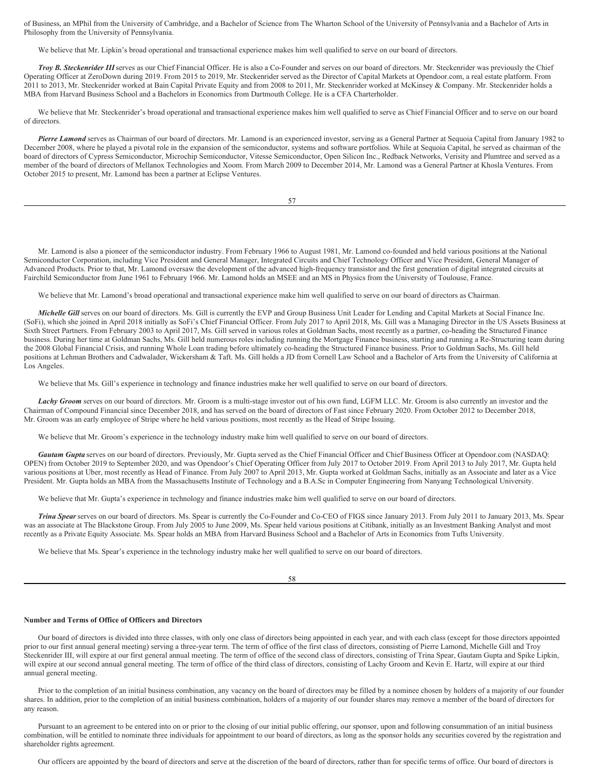of Business, an MPhil from the University of Cambridge, and a Bachelor of Science from The Wharton School of the University of Pennsylvania and a Bachelor of Arts in Philosophy from the University of Pennsylvania.

We believe that Mr. Lipkin's broad operational and transactional experience makes him well qualified to serve on our board of directors.

*Troy B. Steckenrider III*serves as our Chief Financial Officer. He is also a Co-Founder and serves on our board of directors. Mr. Steckenrider was previously the Chief Operating Officer at ZeroDown during 2019. From 2015 to 2019, Mr. Steckenrider served as the Director of Capital Markets at Opendoor.com, a real estate platform. From 2011 to 2013, Mr. Steckenrider worked at Bain Capital Private Equity and from 2008 to 2011, Mr. Steckenrider worked at McKinsey & Company. Mr. Steckenrider holds a MBA from Harvard Business School and a Bachelors in Economics from Dartmouth College. He is a CFA Charterholder.

We believe that Mr. Steckenrider's broad operational and transactional experience makes him well qualified to serve as Chief Financial Officer and to serve on our board of directors.

*Pierre Lamond* serves as Chairman of our board of directors. Mr. Lamond is an experienced investor, serving as a General Partner at Sequoia Capital from January 1982 to December 2008, where he played a pivotal role in the expansion of the semiconductor, systems and software portfolios. While at Sequoia Capital, he served as chairman of the board of directors of Cypress Semiconductor, Microchip Semiconductor, Vitesse Semiconductor, Open Silicon Inc., Redback Networks, Verisity and Plumtree and served as a member of the board of directors of Mellanox Technologies and Xoom. From March 2009 to December 2014, Mr. Lamond was a General Partner at Khosla Ventures. From October 2015 to present, Mr. Lamond has been a partner at Eclipse Ventures.

|        | ٦ |  |
|--------|---|--|
| I<br>I |   |  |
| $\sim$ |   |  |

Mr. Lamond is also a pioneer of the semiconductor industry. From February 1966 to August 1981, Mr. Lamond co-founded and held various positions at the National Semiconductor Corporation, including Vice President and General Manager, Integrated Circuits and Chief Technology Officer and Vice President, General Manager of Advanced Products. Prior to that, Mr. Lamond oversaw the development of the advanced high-frequency transistor and the first generation of digital integrated circuits at Fairchild Semiconductor from June 1961 to February 1966. Mr. Lamond holds an MSEE and an MS in Physics from the University of Toulouse, France.

We believe that Mr. Lamond's broad operational and transactional experience make him well qualified to serve on our board of directors as Chairman.

*Michelle Gill* serves on our board of directors. Ms. Gill is currently the EVP and Group Business Unit Leader for Lending and Capital Markets at Social Finance Inc. (SoFi), which she joined in April 2018 initially as SoFi's Chief Financial Officer. From July 2017 to April 2018, Ms. Gill was a Managing Director in the US Assets Business at Sixth Street Partners. From February 2003 to April 2017, Ms. Gill served in various roles at Goldman Sachs, most recently as a partner, co-heading the Structured Finance business. During her time at Goldman Sachs, Ms. Gill held numerous roles including running the Mortgage Finance business, starting and running a Re-Structuring team during the 2008 Global Financial Crisis, and running Whole Loan trading before ultimately co-heading the Structured Finance business. Prior to Goldman Sachs, Ms. Gill held positions at Lehman Brothers and Cadwalader, Wickersham & Taft. Ms. Gill holds a JD from Cornell Law School and a Bachelor of Arts from the University of California at Los Angeles.

We believe that Ms. Gill's experience in technology and finance industries make her well qualified to serve on our board of directors.

Lachy Groom serves on our board of directors. Mr. Groom is a multi-stage investor out of his own fund, LGFM LLC. Mr. Groom is also currently an investor and the Chairman of Compound Financial since December 2018, and has served on the board of directors of Fast since February 2020. From October 2012 to December 2018, Mr. Groom was an early employee of Stripe where he held various positions, most recently as the Head of Stripe Issuing.

We believe that Mr. Groom's experience in the technology industry make him well qualified to serve on our board of directors.

Gautam Gupta serves on our board of directors. Previously, Mr. Gupta served as the Chief Financial Officer and Chief Business Officer at Opendoor.com (NASDAQ: OPEN) from October 2019 to September 2020, and was Opendoor's Chief Operating Officer from July 2017 to October 2019. From April 2013 to July 2017, Mr. Gupta held various positions at Uber, most recently as Head of Finance. From July 2007 to April 2013, Mr. Gupta worked at Goldman Sachs, initially as an Associate and later as a Vice President. Mr. Gupta holds an MBA from the Massachusetts Institute of Technology and a B.A.Sc in Computer Engineering from Nanyang Technological University.

We believe that Mr. Gupta's experience in technology and finance industries make him well qualified to serve on our board of directors.

*Trina Spear*serves on our board of directors. Ms. Spear is currently the Co-Founder and Co-CEO of FIGS since January 2013. From July 2011 to January 2013, Ms. Spear was an associate at The Blackstone Group. From July 2005 to June 2009, Ms. Spear held various positions at Citibank, initially as an Investment Banking Analyst and most recently as a Private Equity Associate. Ms. Spear holds an MBA from Harvard Business School and a Bachelor of Arts in Economics from Tufts University.

We believe that Ms. Spear's experience in the technology industry make her well qualified to serve on our board of directors.

# **Number and Terms of Office of Officers and Directors**

Our board of directors is divided into three classes, with only one class of directors being appointed in each year, and with each class (except for those directors appointed prior to our first annual general meeting) serving a three-year term. The term of office of the first class of directors, consisting of Pierre Lamond, Michelle Gill and Troy Steckenrider III, will expire at our first general annual meeting. The term of office of the second class of directors, consisting of Trina Spear, Gautam Gupta and Spike Lipkin, will expire at our second annual general meeting. The term of office of the third class of directors, consisting of Lachy Groom and Kevin E. Hartz, will expire at our third annual general meeting.

Prior to the completion of an initial business combination, any vacancy on the board of directors may be filled by a nominee chosen by holders of a majority of our founder shares. In addition, prior to the completion of an initial business combination, holders of a majority of our founder shares may remove a member of the board of directors for any reason.

Pursuant to an agreement to be entered into on or prior to the closing of our initial public offering, our sponsor, upon and following consummation of an initial business combination, will be entitled to nominate three individuals for appointment to our board of directors, as long as the sponsor holds any securities covered by the registration and shareholder rights agreement.

Our officers are appointed by the board of directors and serve at the discretion of the board of directors, rather than for specific terms of office. Our board of directors is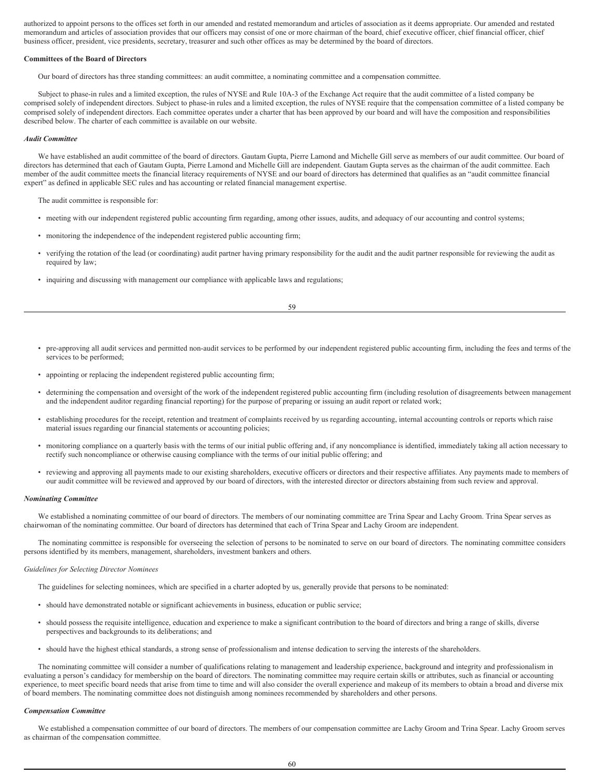authorized to appoint persons to the offices set forth in our amended and restated memorandum and articles of association as it deems appropriate. Our amended and restated memorandum and articles of association provides that our officers may consist of one or more chairman of the board, chief executive officer, chief financial officer, chief business officer, president, vice presidents, secretary, treasurer and such other offices as may be determined by the board of directors.

#### **Committees of the Board of Directors**

Our board of directors has three standing committees: an audit committee, a nominating committee and a compensation committee.

Subject to phase-in rules and a limited exception, the rules of NYSE and Rule 10A-3 of the Exchange Act require that the audit committee of a listed company be comprised solely of independent directors. Subject to phase-in rules and a limited exception, the rules of NYSE require that the compensation committee of a listed company be comprised solely of independent directors. Each committee operates under a charter that has been approved by our board and will have the composition and responsibilities described below. The charter of each committee is available on our website.

### *Audit Committee*

We have established an audit committee of the board of directors. Gautam Gupta, Pierre Lamond and Michelle Gill serve as members of our audit committee. Our board of directors has determined that each of Gautam Gupta, Pierre Lamond and Michelle Gill are independent. Gautam Gupta serves as the chairman of the audit committee. Each member of the audit committee meets the financial literacy requirements of NYSE and our board of directors has determined that qualifies as an "audit committee financial expert" as defined in applicable SEC rules and has accounting or related financial management expertise.

The audit committee is responsible for:

- meeting with our independent registered public accounting firm regarding, among other issues, audits, and adequacy of our accounting and control systems;
- monitoring the independence of the independent registered public accounting firm;
- verifying the rotation of the lead (or coordinating) audit partner having primary responsibility for the audit and the audit partner responsible for reviewing the audit as required by law;
- inquiring and discussing with management our compliance with applicable laws and regulations;

|                   | ¢<br>۰.       |  |
|-------------------|---------------|--|
| I<br>I<br>×<br>۰. | ۰.<br>۰,<br>٧ |  |

- pre-approving all audit services and permitted non-audit services to be performed by our independent registered public accounting firm, including the fees and terms of the services to be performed;
- appointing or replacing the independent registered public accounting firm;
- determining the compensation and oversight of the work of the independent registered public accounting firm (including resolution of disagreements between management and the independent auditor regarding financial reporting) for the purpose of preparing or issuing an audit report or related work;
- establishing procedures for the receipt, retention and treatment of complaints received by us regarding accounting, internal accounting controls or reports which raise material issues regarding our financial statements or accounting policies;
- monitoring compliance on a quarterly basis with the terms of our initial public offering and, if any noncompliance is identified, immediately taking all action necessary to rectify such noncompliance or otherwise causing compliance with the terms of our initial public offering; and
- reviewing and approving all payments made to our existing shareholders, executive officers or directors and their respective affiliates. Any payments made to members of our audit committee will be reviewed and approved by our board of directors, with the interested director or directors abstaining from such review and approval.

#### *Nominating Committee*

We established a nominating committee of our board of directors. The members of our nominating committee are Trina Spear and Lachy Groom. Trina Spear serves as chairwoman of the nominating committee. Our board of directors has determined that each of Trina Spear and Lachy Groom are independent.

The nominating committee is responsible for overseeing the selection of persons to be nominated to serve on our board of directors. The nominating committee considers persons identified by its members, management, shareholders, investment bankers and others.

#### *Guidelines for Selecting Director Nominees*

The guidelines for selecting nominees, which are specified in a charter adopted by us, generally provide that persons to be nominated:

- should have demonstrated notable or significant achievements in business, education or public service;
- should possess the requisite intelligence, education and experience to make a significant contribution to the board of directors and bring a range of skills, diverse perspectives and backgrounds to its deliberations; and
- should have the highest ethical standards, a strong sense of professionalism and intense dedication to serving the interests of the shareholders.

The nominating committee will consider a number of qualifications relating to management and leadership experience, background and integrity and professionalism in evaluating a person's candidacy for membership on the board of directors. The nominating committee may require certain skills or attributes, such as financial or accounting experience, to meet specific board needs that arise from time to time and will also consider the overall experience and makeup of its members to obtain a broad and diverse mix of board members. The nominating committee does not distinguish among nominees recommended by shareholders and other persons.

#### *Compensation Committee*

We established a compensation committee of our board of directors. The members of our compensation committee are Lachy Groom and Trina Spear. Lachy Groom serves as chairman of the compensation committee.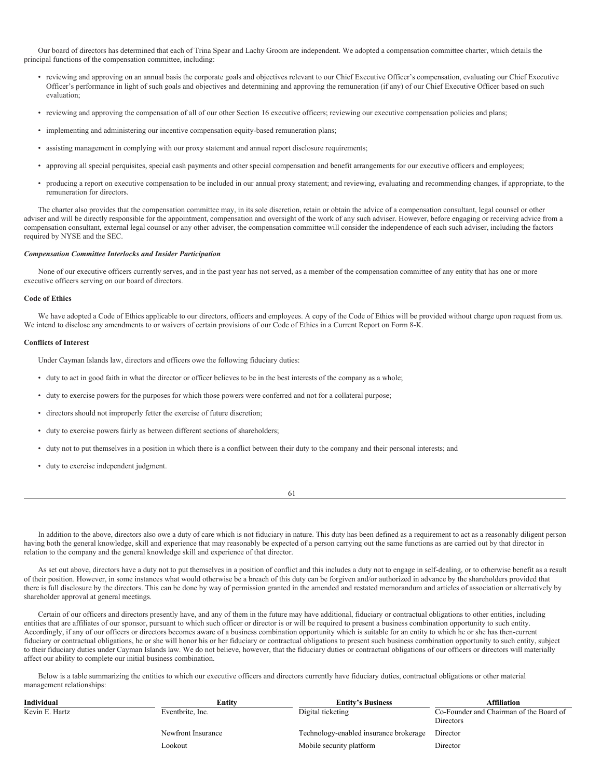Our board of directors has determined that each of Trina Spear and Lachy Groom are independent. We adopted a compensation committee charter, which details the principal functions of the compensation committee, including:

- reviewing and approving on an annual basis the corporate goals and objectives relevant to our Chief Executive Officer's compensation, evaluating our Chief Executive Officer's performance in light of such goals and objectives and determining and approving the remuneration (if any) of our Chief Executive Officer based on such evaluation;
- reviewing and approving the compensation of all of our other Section 16 executive officers; reviewing our executive compensation policies and plans;
- implementing and administering our incentive compensation equity-based remuneration plans;
- assisting management in complying with our proxy statement and annual report disclosure requirements;
- approving all special perquisites, special cash payments and other special compensation and benefit arrangements for our executive officers and employees;
- producing a report on executive compensation to be included in our annual proxy statement; and reviewing, evaluating and recommending changes, if appropriate, to the remuneration for directors.

The charter also provides that the compensation committee may, in its sole discretion, retain or obtain the advice of a compensation consultant, legal counsel or other adviser and will be directly responsible for the appointment, compensation and oversight of the work of any such adviser. However, before engaging or receiving advice from a compensation consultant, external legal counsel or any other adviser, the compensation committee will consider the independence of each such adviser, including the factors required by NYSE and the SEC.

### *Compensation Committee Interlocks and Insider Participation*

None of our executive officers currently serves, and in the past year has not served, as a member of the compensation committee of any entity that has one or more executive officers serving on our board of directors.

### **Code of Ethics**

We have adopted a Code of Ethics applicable to our directors, officers and employees. A copy of the Code of Ethics will be provided without charge upon request from us. We intend to disclose any amendments to or waivers of certain provisions of our Code of Ethics in a Current Report on Form 8-K.

#### **Conflicts of Interest**

Under Cayman Islands law, directors and officers owe the following fiduciary duties:

- duty to act in good faith in what the director or officer believes to be in the best interests of the company as a whole;
- duty to exercise powers for the purposes for which those powers were conferred and not for a collateral purpose;
- directors should not improperly fetter the exercise of future discretion;
- duty to exercise powers fairly as between different sections of shareholders;
- duty not to put themselves in a position in which there is a conflict between their duty to the company and their personal interests; and
- duty to exercise independent judgment.

61

In addition to the above, directors also owe a duty of care which is not fiduciary in nature. This duty has been defined as a requirement to act as a reasonably diligent person having both the general knowledge, skill and experience that may reasonably be expected of a person carrying out the same functions as are carried out by that director in relation to the company and the general knowledge skill and experience of that director.

As set out above, directors have a duty not to put themselves in a position of conflict and this includes a duty not to engage in self-dealing, or to otherwise benefit as a result of their position. However, in some instances what would otherwise be a breach of this duty can be forgiven and/or authorized in advance by the shareholders provided that there is full disclosure by the directors. This can be done by way of permission granted in the amended and restated memorandum and articles of association or alternatively by shareholder approval at general meetings.

Certain of our officers and directors presently have, and any of them in the future may have additional, fiduciary or contractual obligations to other entities, including entities that are affiliates of our sponsor, pursuant to which such officer or director is or will be required to present a business combination opportunity to such entity. Accordingly, if any of our officers or directors becomes aware of a business combination opportunity which is suitable for an entity to which he or she has then-current fiduciary or contractual obligations, he or she will honor his or her fiduciary or contractual obligations to present such business combination opportunity to such entity, subject to their fiduciary duties under Cayman Islands law. We do not believe, however, that the fiduciary duties or contractual obligations of our officers or directors will materially affect our ability to complete our initial business combination.

Below is a table summarizing the entities to which our executive officers and directors currently have fiduciary duties, contractual obligations or other material management relationships:

| Individual     | Entity             | <b>Entity's Business</b>               | Affiliation                             |
|----------------|--------------------|----------------------------------------|-----------------------------------------|
| Kevin E. Hartz | Eventbrite, Inc.   | Digital ticketing                      | Co-Founder and Chairman of the Board of |
|                |                    |                                        | Directors                               |
|                | Newfront Insurance | Technology-enabled insurance brokerage | Director                                |
|                | Lookout            | Mobile security platform               | Director                                |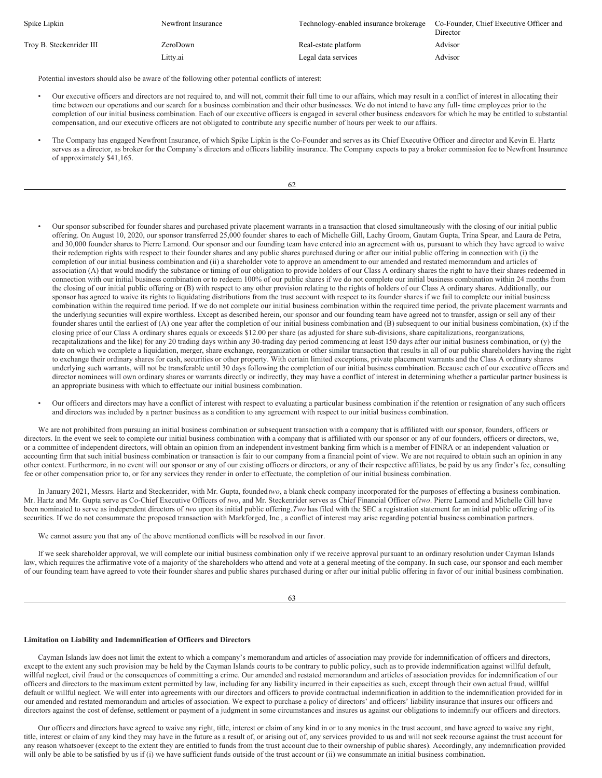| Spike Lipkin             | Newfront Insurance | Technology-enabled insurance brokerage | Co-Founder, Chief Executive Officer and<br>Director |
|--------------------------|--------------------|----------------------------------------|-----------------------------------------------------|
| Troy B. Steckenrider III | ZeroDown           | Real-estate platform                   | Advisor                                             |
|                          | Litty.ai           | Legal data services                    | Advisor                                             |

Potential investors should also be aware of the following other potential conflicts of interest:

- Our executive officers and directors are not required to, and will not, commit their full time to our affairs, which may result in a conflict of interest in allocating their time between our operations and our search for a business combination and their other businesses. We do not intend to have any full- time employees prior to the completion of our initial business combination. Each of our executive officers is engaged in several other business endeavors for which he may be entitled to substantial compensation, and our executive officers are not obligated to contribute any specific number of hours per week to our affairs.
- The Company has engaged Newfront Insurance, of which Spike Lipkin is the Co-Founder and serves as its Chief Executive Officer and director and Kevin E. Hartz serves as a director, as broker for the Company's directors and officers liability insurance. The Company expects to pay a broker commission fee to Newfront Insurance of approximately \$41,165.

|         | v  |
|---------|----|
|         |    |
| I<br>۰, | ۰. |

- Our sponsor subscribed for founder shares and purchased private placement warrants in a transaction that closed simultaneously with the closing of our initial public offering. On August 10, 2020, our sponsor transferred 25,000 founder shares to each of Michelle Gill, Lachy Groom, Gautam Gupta, Trina Spear, and Laura de Petra, and 30,000 founder shares to Pierre Lamond. Our sponsor and our founding team have entered into an agreement with us, pursuant to which they have agreed to waive their redemption rights with respect to their founder shares and any public shares purchased during or after our initial public offering in connection with (i) the completion of our initial business combination and (ii) a shareholder vote to approve an amendment to our amended and restated memorandum and articles of association (A) that would modify the substance or timing of our obligation to provide holders of our Class A ordinary shares the right to have their shares redeemed in connection with our initial business combination or to redeem 100% of our public shares if we do not complete our initial business combination within 24 months from the closing of our initial public offering or (B) with respect to any other provision relating to the rights of holders of our Class A ordinary shares. Additionally, our sponsor has agreed to waive its rights to liquidating distributions from the trust account with respect to its founder shares if we fail to complete our initial business combination within the required time period. If we do not complete our initial business combination within the required time period, the private placement warrants and the underlying securities will expire worthless. Except as described herein, our sponsor and our founding team have agreed not to transfer, assign or sell any of their founder shares until the earliest of (A) one year after the completion of our initial business combination and (B) subsequent to our initial business combination, (x) if the closing price of our Class A ordinary shares equals or exceeds \$12.00 per share (as adjusted for share sub-divisions, share capitalizations, reorganizations, recapitalizations and the like) for any 20 trading days within any 30-trading day period commencing at least 150 days after our initial business combination, or (y) the date on which we complete a liquidation, merger, share exchange, reorganization or other similar transaction that results in all of our public shareholders having the right to exchange their ordinary shares for cash, securities or other property. With certain limited exceptions, private placement warrants and the Class A ordinary shares underlying such warrants, will not be transferable until 30 days following the completion of our initial business combination. Because each of our executive officers and director nominees will own ordinary shares or warrants directly or indirectly, they may have a conflict of interest in determining whether a particular partner business is an appropriate business with which to effectuate our initial business combination.
- Our officers and directors may have a conflict of interest with respect to evaluating a particular business combination if the retention or resignation of any such officers and directors was included by a partner business as a condition to any agreement with respect to our initial business combination.

We are not prohibited from pursuing an initial business combination or subsequent transaction with a company that is affiliated with our sponsor, founders, officers or directors. In the event we seek to complete our initial business combination with a company that is affiliated with our sponsor or any of our founders, officers or directors, we, or a committee of independent directors, will obtain an opinion from an independent investment banking firm which is a member of FINRA or an independent valuation or accounting firm that such initial business combination or transaction is fair to our company from a financial point of view. We are not required to obtain such an opinion in any other context. Furthermore, in no event will our sponsor or any of our existing officers or directors, or any of their respective affiliates, be paid by us any finder's fee, consulting fee or other compensation prior to, or for any services they render in order to effectuate, the completion of our initial business combination.

In January 2021, Messrs. Hartz and Steckenrider, with Mr. Gupta, founded *two*, a blank check company incorporated for the purposes of effecting a business combination. Mr. Hartz and Mr. Gupta serve as Co-Chief Executive Officers of *two*, and Mr. Steckenrider serves as Chief Financial Officer of*two*. Pierre Lamond and Michelle Gill have been nominated to serve as independent directors of *two* upon its initial public offering. Two has filed with the SEC a registration statement for an initial public offering of its securities. If we do not consummate the proposed transaction with Markforged, Inc., a conflict of interest may arise regarding potential business combination partners.

We cannot assure you that any of the above mentioned conflicts will be resolved in our favor.

If we seek shareholder approval, we will complete our initial business combination only if we receive approval pursuant to an ordinary resolution under Cayman Islands law, which requires the affirmative vote of a majority of the shareholders who attend and vote at a general meeting of the company. In such case, our sponsor and each member of our founding team have agreed to vote their founder shares and public shares purchased during or after our initial public offering in favor of our initial business combination.

63

#### **Limitation on Liability and Indemnification of Officers and Directors**

Cayman Islands law does not limit the extent to which a company's memorandum and articles of association may provide for indemnification of officers and directors, except to the extent any such provision may be held by the Cayman Islands courts to be contrary to public policy, such as to provide indemnification against willful default, willful neglect, civil fraud or the consequences of committing a crime. Our amended and restated memorandum and articles of association provides for indemnification of our officers and directors to the maximum extent permitted by law, including for any liability incurred in their capacities as such, except through their own actual fraud, willful default or willful neglect. We will enter into agreements with our directors and officers to provide contractual indemnification in addition to the indemnification provided for in our amended and restated memorandum and articles of association. We expect to purchase a policy of directors' and officers' liability insurance that insures our officers and directors against the cost of defense, settlement or payment of a judgment in some circumstances and insures us against our obligations to indemnify our officers and directors.

Our officers and directors have agreed to waive any right, title, interest or claim of any kind in or to any monies in the trust account, and have agreed to waive any right, title, interest or claim of any kind they may have in the future as a result of, or arising out of, any services provided to us and will not seek recourse against the trust account for any reason whatsoever (except to the extent they are entitled to funds from the trust account due to their ownership of public shares). Accordingly, any indemnification provided will only be able to be satisfied by us if (i) we have sufficient funds outside of the trust account or (ii) we consummate an initial business combination.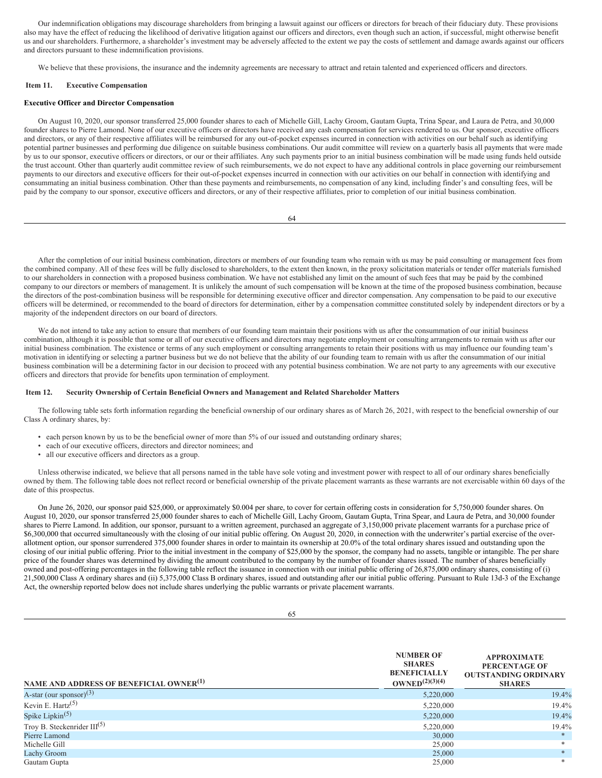Our indemnification obligations may discourage shareholders from bringing a lawsuit against our officers or directors for breach of their fiduciary duty. These provisions also may have the effect of reducing the likelihood of derivative litigation against our officers and directors, even though such an action, if successful, might otherwise benefit us and our shareholders. Furthermore, a shareholder's investment may be adversely affected to the extent we pay the costs of settlement and damage awards against our officers and directors pursuant to these indemnification provisions.

We believe that these provisions, the insurance and the indemnity agreements are necessary to attract and retain talented and experienced officers and directors.

### <span id="page-36-0"></span>**Item 11. Executive Compensation**

### **Executive Officer and Director Compensation**

On August 10, 2020, our sponsor transferred 25,000 founder shares to each of Michelle Gill, Lachy Groom, Gautam Gupta, Trina Spear, and Laura de Petra, and 30,000 founder shares to Pierre Lamond. None of our executive officers or directors have received any cash compensation for services rendered to us. Our sponsor, executive officers and directors, or any of their respective affiliates will be reimbursed for any out-of-pocket expenses incurred in connection with activities on our behalf such as identifying potential partner businesses and performing due diligence on suitable business combinations. Our audit committee will review on a quarterly basis all payments that were made by us to our sponsor, executive officers or directors, or our or their affiliates. Any such payments prior to an initial business combination will be made using funds held outside the trust account. Other than quarterly audit committee review of such reimbursements, we do not expect to have any additional controls in place governing our reimbursement payments to our directors and executive officers for their out-of-pocket expenses incurred in connection with our activities on our behalf in connection with identifying and consummating an initial business combination. Other than these payments and reimbursements, no compensation of any kind, including finder's and consulting fees, will be paid by the company to our sponsor, executive officers and directors, or any of their respective affiliates, prior to completion of our initial business combination.

| I<br>٧<br>۰,<br>I<br>۰, |
|-------------------------|
|-------------------------|

After the completion of our initial business combination, directors or members of our founding team who remain with us may be paid consulting or management fees from the combined company. All of these fees will be fully disclosed to shareholders, to the extent then known, in the proxy solicitation materials or tender offer materials furnished to our shareholders in connection with a proposed business combination. We have not established any limit on the amount of such fees that may be paid by the combined company to our directors or members of management. It is unlikely the amount of such compensation will be known at the time of the proposed business combination, because the directors of the post-combination business will be responsible for determining executive officer and director compensation. Any compensation to be paid to our executive officers will be determined, or recommended to the board of directors for determination, either by a compensation committee constituted solely by independent directors or by a majority of the independent directors on our board of directors.

We do not intend to take any action to ensure that members of our founding team maintain their positions with us after the consummation of our initial business combination, although it is possible that some or all of our executive officers and directors may negotiate employment or consulting arrangements to remain with us after our initial business combination. The existence or terms of any such employment or consulting arrangements to retain their positions with us may influence our founding team's motivation in identifying or selecting a partner business but we do not believe that the ability of our founding team to remain with us after the consummation of our initial business combination will be a determining factor in our decision to proceed with any potential business combination. We are not party to any agreements with our executive officers and directors that provide for benefits upon termination of employment.

#### <span id="page-36-1"></span>**Item 12. Security Ownership of Certain Beneficial Owners and Management and Related Shareholder Matters**

The following table sets forth information regarding the beneficial ownership of our ordinary shares as of March 26, 2021, with respect to the beneficial ownership of our Class A ordinary shares, by:

- each person known by us to be the beneficial owner of more than 5% of our issued and outstanding ordinary shares;
- each of our executive officers, directors and director nominees; and
- all our executive officers and directors as a group.

Unless otherwise indicated, we believe that all persons named in the table have sole voting and investment power with respect to all of our ordinary shares beneficially owned by them. The following table does not reflect record or beneficial ownership of the private placement warrants as these warrants are not exercisable within 60 days of the date of this prospectus.

On June 26, 2020, our sponsor paid \$25,000, or approximately \$0.004 per share, to cover for certain offering costs in consideration for 5,750,000 founder shares. On August 10, 2020, our sponsor transferred 25,000 founder shares to each of Michelle Gill, Lachy Groom, Gautam Gupta, Trina Spear, and Laura de Petra, and 30,000 founder shares to Pierre Lamond. In addition, our sponsor, pursuant to a written agreement, purchased an aggregate of 3,150,000 private placement warrants for a purchase price of \$6,300,000 that occurred simultaneously with the closing of our initial public offering. On August 20, 2020, in connection with the underwriter's partial exercise of the overallotment option, our sponsor surrendered 375,000 founder shares in order to maintain its ownership at 20.0% of the total ordinary shares issued and outstanding upon the closing of our initial public offering. Prior to the initial investment in the company of \$25,000 by the sponsor, the company had no assets, tangible or intangible. The per share price of the founder shares was determined by dividing the amount contributed to the company by the number of founder shares issued. The number of shares beneficially owned and post-offering percentages in the following table reflect the issuance in connection with our initial public offering of 26,875,000 ordinary shares, consisting of (i) 21,500,000 Class A ordinary shares and (ii) 5,375,000 Class B ordinary shares, issued and outstanding after our initial public offering. Pursuant to Rule 13d-3 of the Exchange Act, the ownership reported below does not include shares underlying the public warrants or private placement warrants.

| I<br>۰.<br>۰,<br>× |
|--------------------|
|--------------------|

| NAME AND ADDRESS OF BENEFICIAL OWNER <sup>(1)</sup> | <b>NUMBER OF</b><br><b>SHARES</b><br><b>BENEFICIALLY</b><br>$OWNED^{(2)(3)(4)}$ | <b>APPROXIMATE</b><br>PERCENTAGE OF<br><b>OUTSTANDING ORDINARY</b><br><b>SHARES</b> |
|-----------------------------------------------------|---------------------------------------------------------------------------------|-------------------------------------------------------------------------------------|
| A-star (our sponsor) <sup>(3)</sup>                 | 5,220,000                                                                       | 19.4%                                                                               |
| Kevin E. Hartz <sup><math>(5)</math></sup>          | 5,220,000                                                                       | 19.4%                                                                               |
| Spike Lipkin $(5)$                                  | 5,220,000                                                                       | 19.4%                                                                               |
| Troy B. Steckenrider $III^{(5)}$                    | 5,220,000                                                                       | 19.4%                                                                               |
| Pierre Lamond                                       | 30,000                                                                          |                                                                                     |
| Michelle Gill                                       | 25,000                                                                          |                                                                                     |
| Lachy Groom                                         | 25,000                                                                          | $*$                                                                                 |
| Gautam Gupta                                        | 25,000                                                                          |                                                                                     |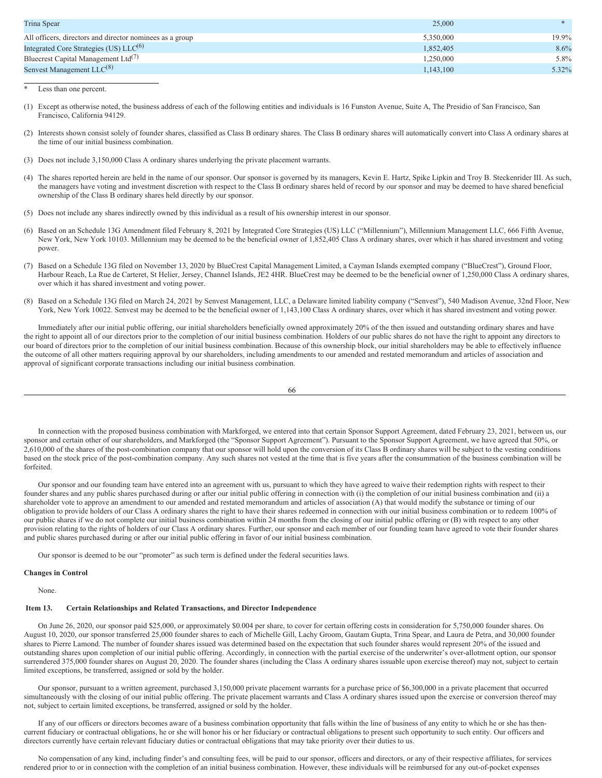| Trina Spear                                              | 25,000    |       |
|----------------------------------------------------------|-----------|-------|
| All officers, directors and director nominees as a group | 5.350,000 | 19.9% |
| Integrated Core Strategies (US) $LLC^{(6)}$              | 1.852.405 | 8.6%  |
| Bluecrest Capital Management $Ltd^{(\prime)}$            | 1.250.000 | 5.8%  |
| Senvest Management LLC <sup>(8)</sup>                    | 1.143.100 | 5.32% |

Less than one percent.

- (2) Interests shown consist solely of founder shares, classified as Class B ordinary shares. The Class B ordinary shares will automatically convert into Class A ordinary shares at the time of our initial business combination.
- (3) Does not include 3,150,000 Class A ordinary shares underlying the private placement warrants.
- (4) The shares reported herein are held in the name of our sponsor. Our sponsor is governed by its managers, Kevin E. Hartz, Spike Lipkin and Troy B. Steckenrider III. As such, the managers have voting and investment discretion with respect to the Class B ordinary shares held of record by our sponsor and may be deemed to have shared beneficial ownership of the Class B ordinary shares held directly by our sponsor.
- (5) Does not include any shares indirectly owned by this individual as a result of his ownership interest in our sponsor.
- (6) Based on an Schedule 13G Amendment filed February 8, 2021 by Integrated Core Strategies (US) LLC ("Millennium"), Millennium Management LLC, 666 Fifth Avenue, New York, New York 10103. Millennium may be deemed to be the beneficial owner of 1,852,405 Class A ordinary shares, over which it has shared investment and voting power.
- (7) Based on a Schedule 13G filed on November 13, 2020 by BlueCrest Capital Management Limited, a Cayman Islands exempted company ("BlueCrest"), Ground Floor, Harbour Reach, La Rue de Carteret, St Helier, Jersey, Channel Islands, JE2 4HR. BlueCrest may be deemed to be the beneficial owner of 1,250,000 Class A ordinary shares, over which it has shared investment and voting power.
- (8) Based on a Schedule 13G filed on March 24, 2021 by Senvest Management, LLC, a Delaware limited liability company ("Senvest"), 540 Madison Avenue, 32nd Floor, New York, New York 10022. Senvest may be deemed to be the beneficial owner of 1,143,100 Class A ordinary shares, over which it has shared investment and voting power.

Immediately after our initial public offering, our initial shareholders beneficially owned approximately 20% of the then issued and outstanding ordinary shares and have the right to appoint all of our directors prior to the completion of our initial business combination. Holders of our public shares do not have the right to appoint any directors to our board of directors prior to the completion of our initial business combination. Because of this ownership block, our initial shareholders may be able to effectively influence the outcome of all other matters requiring approval by our shareholders, including amendments to our amended and restated memorandum and articles of association and approval of significant corporate transactions including our initial business combination.

66

In connection with the proposed business combination with Markforged, we entered into that certain Sponsor Support Agreement, dated February 23, 2021, between us, our sponsor and certain other of our shareholders, and Markforged (the "Sponsor Support Agreement"). Pursuant to the Sponsor Support Agreement, we have agreed that 50%, or 2,610,000 of the shares of the post-combination company that our sponsor will hold upon the conversion of its Class B ordinary shares will be subject to the vesting conditions based on the stock price of the post-combination company. Any such shares not vested at the time that is five years after the consummation of the business combination will be forfeited.

Our sponsor and our founding team have entered into an agreement with us, pursuant to which they have agreed to waive their redemption rights with respect to their founder shares and any public shares purchased during or after our initial public offering in connection with (i) the completion of our initial business combination and (ii) a shareholder vote to approve an amendment to our amended and restated memorandum and articles of association (A) that would modify the substance or timing of our obligation to provide holders of our Class A ordinary shares the right to have their shares redeemed in connection with our initial business combination or to redeem 100% of our public shares if we do not complete our initial business combination within 24 months from the closing of our initial public offering or (B) with respect to any other provision relating to the rights of holders of our Class A ordinary shares. Further, our sponsor and each member of our founding team have agreed to vote their founder shares and public shares purchased during or after our initial public offering in favor of our initial business combination.

Our sponsor is deemed to be our "promoter" as such term is defined under the federal securities laws.

#### **Changes in Control**

None.

### <span id="page-37-0"></span>**Item 13. Certain Relationships and Related Transactions, and Director Independence**

On June 26, 2020, our sponsor paid \$25,000, or approximately \$0.004 per share, to cover for certain offering costs in consideration for 5,750,000 founder shares. On August 10, 2020, our sponsor transferred 25,000 founder shares to each of Michelle Gill, Lachy Groom, Gautam Gupta, Trina Spear, and Laura de Petra, and 30,000 founder shares to Pierre Lamond. The number of founder shares issued was determined based on the expectation that such founder shares would represent 20% of the issued and outstanding shares upon completion of our initial public offering. Accordingly, in connection with the partial exercise of the underwriter's over-allotment option, our sponsor surrendered 375,000 founder shares on August 20, 2020. The founder shares (including the Class A ordinary shares issuable upon exercise thereof) may not, subject to certain limited exceptions, be transferred, assigned or sold by the holder.

Our sponsor, pursuant to a written agreement, purchased 3,150,000 private placement warrants for a purchase price of \$6,300,000 in a private placement that occurred simultaneously with the closing of our initial public offering. The private placement warrants and Class A ordinary shares issued upon the exercise or conversion thereof may not, subject to certain limited exceptions, be transferred, assigned or sold by the holder.

If any of our officers or directors becomes aware of a business combination opportunity that falls within the line of business of any entity to which he or she has thencurrent fiduciary or contractual obligations, he or she will honor his or her fiduciary or contractual obligations to present such opportunity to such entity. Our officers and directors currently have certain relevant fiduciary duties or contractual obligations that may take priority over their duties to us.

No compensation of any kind, including finder's and consulting fees, will be paid to our sponsor, officers and directors, or any of their respective affiliates, for services rendered prior to or in connection with the completion of an initial business combination. However, these individuals will be reimbursed for any out-of-pocket expenses

<sup>(1)</sup> Except as otherwise noted, the business address of each of the following entities and individuals is 16 Funston Avenue, Suite A, The Presidio of San Francisco, San Francisco, California 94129.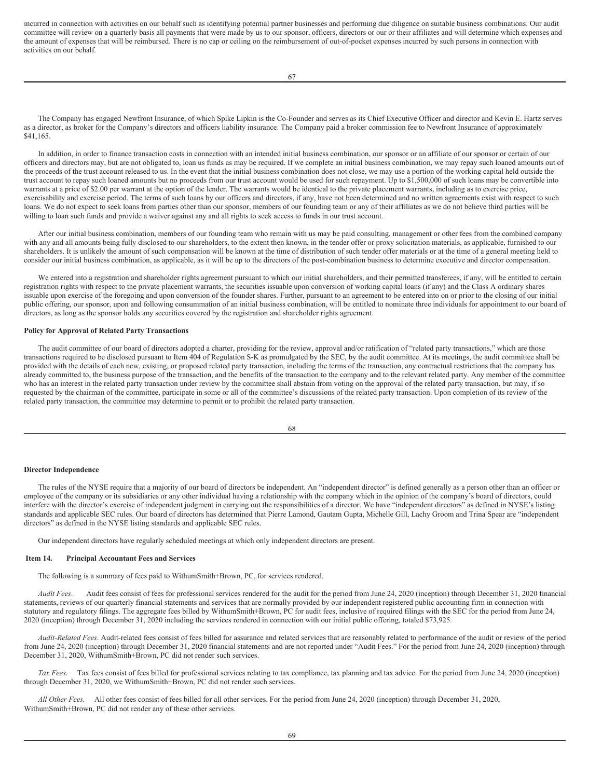incurred in connection with activities on our behalf such as identifying potential partner businesses and performing due diligence on suitable business combinations. Our audit committee will review on a quarterly basis all payments that were made by us to our sponsor, officers, directors or our or their affiliates and will determine which expenses and the amount of expenses that will be reimbursed. There is no cap or ceiling on the reimbursement of out-of-pocket expenses incurred by such persons in connection with activities on our behalf.

The Company has engaged Newfront Insurance, of which Spike Lipkin is the Co-Founder and serves as its Chief Executive Officer and director and Kevin E. Hartz serves as a director, as broker for the Company's directors and officers liability insurance. The Company paid a broker commission fee to Newfront Insurance of approximately \$41,165.

In addition, in order to finance transaction costs in connection with an intended initial business combination, our sponsor or an affiliate of our sponsor or certain of our officers and directors may, but are not obligated to, loan us funds as may be required. If we complete an initial business combination, we may repay such loaned amounts out of the proceeds of the trust account released to us. In the event that the initial business combination does not close, we may use a portion of the working capital held outside the trust account to repay such loaned amounts but no proceeds from our trust account would be used for such repayment. Up to \$1,500,000 of such loans may be convertible into warrants at a price of \$2.00 per warrant at the option of the lender. The warrants would be identical to the private placement warrants, including as to exercise price, exercisability and exercise period. The terms of such loans by our officers and directors, if any, have not been determined and no written agreements exist with respect to such loans. We do not expect to seek loans from parties other than our sponsor, members of our founding team or any of their affiliates as we do not believe third parties will be willing to loan such funds and provide a waiver against any and all rights to seek access to funds in our trust account.

After our initial business combination, members of our founding team who remain with us may be paid consulting, management or other fees from the combined company with any and all amounts being fully disclosed to our shareholders, to the extent then known, in the tender offer or proxy solicitation materials, as applicable, furnished to our shareholders. It is unlikely the amount of such compensation will be known at the time of distribution of such tender offer materials or at the time of a general meeting held to consider our initial business combination, as applicable, as it will be up to the directors of the post-combination business to determine executive and director compensation.

We entered into a registration and shareholder rights agreement pursuant to which our initial shareholders, and their permitted transferees, if any, will be entitled to certain registration rights with respect to the private placement warrants, the securities issuable upon conversion of working capital loans (if any) and the Class A ordinary shares issuable upon exercise of the foregoing and upon conversion of the founder shares. Further, pursuant to an agreement to be entered into on or prior to the closing of our initial public offering, our sponsor, upon and following consummation of an initial business combination, will be entitled to nominate three individuals for appointment to our board of directors, as long as the sponsor holds any securities covered by the registration and shareholder rights agreement.

### **Policy for Approval of Related Party Transactions**

The audit committee of our board of directors adopted a charter, providing for the review, approval and/or ratification of "related party transactions," which are those transactions required to be disclosed pursuant to Item 404 of Regulation S-K as promulgated by the SEC, by the audit committee. At its meetings, the audit committee shall be provided with the details of each new, existing, or proposed related party transaction, including the terms of the transaction, any contractual restrictions that the company has already committed to, the business purpose of the transaction, and the benefits of the transaction to the company and to the relevant related party. Any member of the committee who has an interest in the related party transaction under review by the committee shall abstain from voting on the approval of the related party transaction, but may, if so requested by the chairman of the committee, participate in some or all of the committee's discussions of the related party transaction. Upon completion of its review of the related party transaction, the committee may determine to permit or to prohibit the related party transaction.

| ۰,<br>w | I        |
|---------|----------|
| $\sim$  | . .<br>۹ |

### **Director Independence**

The rules of the NYSE require that a majority of our board of directors be independent. An "independent director" is defined generally as a person other than an officer or employee of the company or its subsidiaries or any other individual having a relationship with the company which in the opinion of the company's board of directors, could interfere with the director's exercise of independent judgment in carrying out the responsibilities of a director. We have "independent directors" as defined in NYSE's listing standards and applicable SEC rules. Our board of directors has determined that Pierre Lamond, Gautam Gupta, Michelle Gill, Lachy Groom and Trina Spear are "independent directors" as defined in the NYSE listing standards and applicable SEC rules.

Our independent directors have regularly scheduled meetings at which only independent directors are present.

### <span id="page-38-0"></span>**Item 14. Principal Accountant Fees and Services**

The following is a summary of fees paid to WithumSmith+Brown, PC, for services rendered.

*Audit Fees*. Audit fees consist of fees for professional services rendered for the audit for the period from June 24, 2020 (inception) through December 31, 2020 financial statements, reviews of our quarterly financial statements and services that are normally provided by our independent registered public accounting firm in connection with statutory and regulatory filings. The aggregate fees billed by WithumSmith+Brown, PC for audit fees, inclusive of required filings with the SEC for the period from June 24, 2020 (inception) through December 31, 2020 including the services rendered in connection with our initial public offering, totaled \$73,925.

*Audit-Related Fees*. Audit-related fees consist of fees billed for assurance and related services that are reasonably related to performance of the audit or review of the period from June 24, 2020 (inception) through December 31, 2020 financial statements and are not reported under "Audit Fees." For the period from June 24, 2020 (inception) through December 31, 2020, WithumSmith+Brown, PC did not render such services.

*Tax Fees*. Tax fees consist of fees billed for professional services relating to tax compliance, tax planning and tax advice. For the period from June 24, 2020 (inception) through December 31, 2020, we WithumSmith+Brown, PC did not render such services.

*All Other Fees*. All other fees consist of fees billed for all other services. For the period from June 24, 2020 (inception) through December 31, 2020, WithumSmith+Brown, PC did not render any of these other services.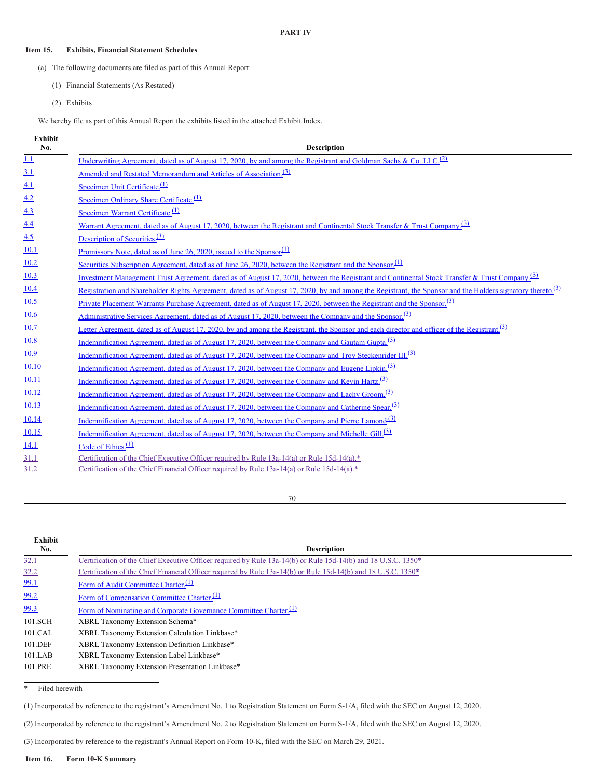# <span id="page-39-0"></span>**PART IV**

# <span id="page-39-1"></span>**Item 15. Exhibits, Financial Statement Schedules**

- (a) The following documents are filed as part of this Annual Report:
	- (1) Financial Statements (As Restated)
	- (2) Exhibits

We hereby file as part of this Annual Report the exhibits listed in the attached Exhibit Index.

| Exhibit<br>No. | <b>Description</b>                                                                                                                                                     |
|----------------|------------------------------------------------------------------------------------------------------------------------------------------------------------------------|
| 1.1            | <u>Underwriting Agreement, dated as of August 17, 2020, by and among the Registrant and Goldman Sachs &amp; Co. LLC.</u> <sup>(2)</sup>                                |
| 3.1            | Amended and Restated Memorandum and Articles of Association. <sup>(3)</sup>                                                                                            |
| 4.1            | Specimen Unit Certificate. <sup>(1)</sup>                                                                                                                              |
| 4.2            | Specimen Ordinary Share Certificate. <sup>(1)</sup>                                                                                                                    |
| 4.3            | Specimen Warrant Certificate. <sup>(1)</sup>                                                                                                                           |
| 4.4            | Warrant Agreement, dated as of August 17, 2020, between the Registrant and Continental Stock Transfer & Trust Company. <sup>(3)</sup>                                  |
| 4.5            | Description of Securities. <sup>(3)</sup>                                                                                                                              |
| 10.1           | Promissory Note, dated as of June 26, 2020, issued to the Sponsor $\frac{(1)}{(1)}$                                                                                    |
| 10.2           | Securities Subscription Agreement, dated as of June 26, 2020, between the Registrant and the Sponsor. <sup>(1)</sup>                                                   |
| 10.3           | Investment Management Trust Agreement, dated as of August 17, 2020, between the Registrant and Continental Stock Transfer & Trust Company. <sup>(3)</sup>              |
| 10.4           | Registration and Shareholder Rights Agreement, dated as of August 17, 2020, by and among the Registrant, the Sponsor and the Holders signatory thereto. <sup>(3)</sup> |
| 10.5           | Private Placement Warrants Purchase Agreement, dated as of August 17, 2020, between the Registrant and the Sponsor. <sup>(3)</sup>                                     |
| 10.6           | Administrative Services Agreement, dated as of August 17, 2020, between the Company and the Sponsor. <sup>(3)</sup>                                                    |
| 10.7           | Letter Agreement, dated as of August 17, 2020, by and among the Registrant, the Sponsor and each director and officer of the Registrant. <sup>(3)</sup>                |
| 10.8           | Indemnification Agreement, dated as of August 17, 2020, between the Company and Gautam Gupta. <sup>(3)</sup>                                                           |
| 10.9           | Indemnification Agreement, dated as of August 17, 2020, between the Company and Troy Steckenrider III. <sup>(3)</sup>                                                  |
| 10.10          | Indemnification Agreement, dated as of August 17, 2020, between the Company and Eugene Lipkin. <sup>(3)</sup>                                                          |
| 10.11          | Indemnification Agreement, dated as of August 17, 2020, between the Company and Kevin Hartz. <sup>(3)</sup>                                                            |
| 10.12          | Indemnification Agreement, dated as of August 17, 2020, between the Company and Lachy Groom. <sup>(3)</sup>                                                            |
| 10.13          | Indemnification Agreement, dated as of August 17, 2020, between the Company and Catherine Spear. <sup>(3)</sup>                                                        |
| 10.14          | Indemnification Agreement, dated as of August 17, 2020, between the Company and Pierre Lamond <sup>(3)</sup>                                                           |
| 10.15          | Indemnification Agreement, dated as of August 17, 2020, between the Company and Michelle Gill. <sup>(3)</sup>                                                          |
| 14.1           | Code of Ethics. $(1)$                                                                                                                                                  |
| 31.1           | Certification of the Chief Executive Officer required by Rule 13a-14(a) or Rule 15d-14(a).*                                                                            |
| 31.2           | Certification of the Chief Financial Officer required by Rule 13a-14(a) or Rule 15d-14(a).*                                                                            |

# 70

| Exhibit<br>No. | <b>Description</b>                                                                                                        |
|----------------|---------------------------------------------------------------------------------------------------------------------------|
| 32.1           | Certification of the Chief Executive Officer required by Rule 13a-14(b) or Rule 15d-14(b) and 18 U.S.C. 1350 <sup>*</sup> |
| 32.2           | Certification of the Chief Financial Officer required by Rule 13a-14(b) or Rule 15d-14(b) and 18 U.S.C. 1350*             |
| 99.1           | Form of Audit Committee Charter. $(1)$                                                                                    |
| 99.2           | Form of Compensation Committee Charter. <sup>(1)</sup>                                                                    |
| 99.3           | Form of Nominating and Corporate Governance Committee Charter. <sup>(1)</sup>                                             |
| 101.SCH        | XBRL Taxonomy Extension Schema*                                                                                           |
| 101.CAL        | XBRL Taxonomy Extension Calculation Linkbase*                                                                             |
| 101.DEF        | XBRL Taxonomy Extension Definition Linkbase*                                                                              |
| 101.LAB        | XBRL Taxonomy Extension Label Linkbase*                                                                                   |
| 101.PRE        | XBRL Taxonomy Extension Presentation Linkbase*                                                                            |

<sup>\*</sup> Filed herewith

(1) Incorporated by reference to the registrant's Amendment No. 1 to Registration Statement on Form S-1/A, filed with the SEC on August 12, 2020.

(2) Incorporated by reference to the registrant's Amendment No. 2 to Registration Statement on Form S-1/A, filed with the SEC on August 12, 2020.

<span id="page-39-2"></span><sup>(3)</sup> Incorporated by reference to the registrant's Annual Report on Form 10-K, filed with the SEC on March 29, 2021.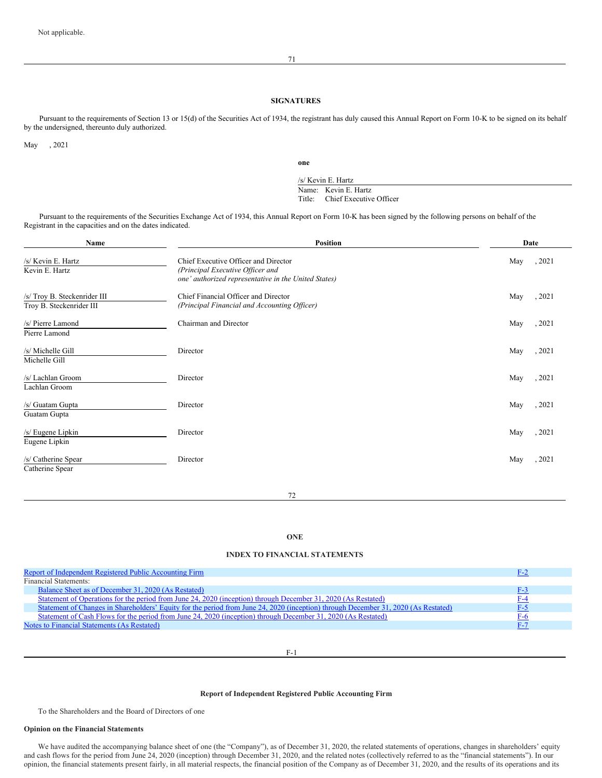## 71

#### **SIGNATURES**

Pursuant to the requirements of Section 13 or 15(d) of the Securities Act of 1934, the registrant has duly caused this Annual Report on Form 10-K to be signed on its behalf by the undersigned, thereunto duly authorized.

May , 2021

**one**

/s/ Kevin E. Hartz Name: Kevin E. Hartz Title: Chief Executive Officer

Pursuant to the requirements of the Securities Exchange Act of 1934, this Annual Report on Form 10-K has been signed by the following persons on behalf of the Registrant in the capacities and on the dates indicated.

| Name                                                     | <b>Position</b>                                                                                                                  |     | Date   |
|----------------------------------------------------------|----------------------------------------------------------------------------------------------------------------------------------|-----|--------|
| /s/ Kevin E. Hartz<br>Kevin E. Hartz                     | Chief Executive Officer and Director<br>(Principal Executive Officer and<br>one' authorized representative in the United States) | May | , 2021 |
| /s/ Troy B. Steckenrider III<br>Troy B. Steckenrider III | Chief Financial Officer and Director<br>(Principal Financial and Accounting Officer)                                             | May | , 2021 |
| /s/ Pierre Lamond<br>Pierre Lamond                       | Chairman and Director                                                                                                            | May | , 2021 |
| /s/ Michelle Gill<br>Michelle Gill                       | Director                                                                                                                         | May | , 2021 |
| /s/ Lachlan Groom<br>Lachlan Groom                       | Director                                                                                                                         | May | , 2021 |
| /s/ Guatam Gupta<br>Guatam Gupta                         | Director                                                                                                                         | May | , 2021 |
| /s/ Eugene Lipkin<br>Eugene Lipkin                       | Director                                                                                                                         | May | , 2021 |
| /s/ Catherine Spear<br>Catherine Spear                   | Director                                                                                                                         | May | , 2021 |

72

### **ONE**

#### **INDEX TO FINANCIAL STATEMENTS**

| Report of Independent Registered Public Accounting Firm                                                                            | F-2 |
|------------------------------------------------------------------------------------------------------------------------------------|-----|
| <b>Financial Statements:</b>                                                                                                       |     |
| Balance Sheet as of December 31, 2020 (As Restated)                                                                                | F-3 |
| Statement of Operations for the period from June 24, 2020 (inception) through December 31, 2020 (As Restated)                      | F-4 |
| Statement of Changes in Shareholders' Equity for the period from June 24, 2020 (inception) through December 31, 2020 (As Restated) | F-5 |
| Statement of Cash Flows for the period from June 24, 2020 (inception) through December 31, 2020 (As Restated)                      | F-6 |
| Notes to Financial Statements (As Restated)                                                                                        | F-1 |

F-1

### <span id="page-40-0"></span>**Report of Independent Registered Public Accounting Firm**

To the Shareholders and the Board of Directors of one

# **Opinion on the Financial Statements**

We have audited the accompanying balance sheet of one (the "Company"), as of December 31, 2020, the related statements of operations, changes in shareholders' equity and cash flows for the period from June 24, 2020 (inception) through December 31, 2020, and the related notes (collectively referred to as the "financial statements"). In our opinion, the financial statements present fairly, in all material respects, the financial position of the Company as of December 31, 2020, and the results of its operations and its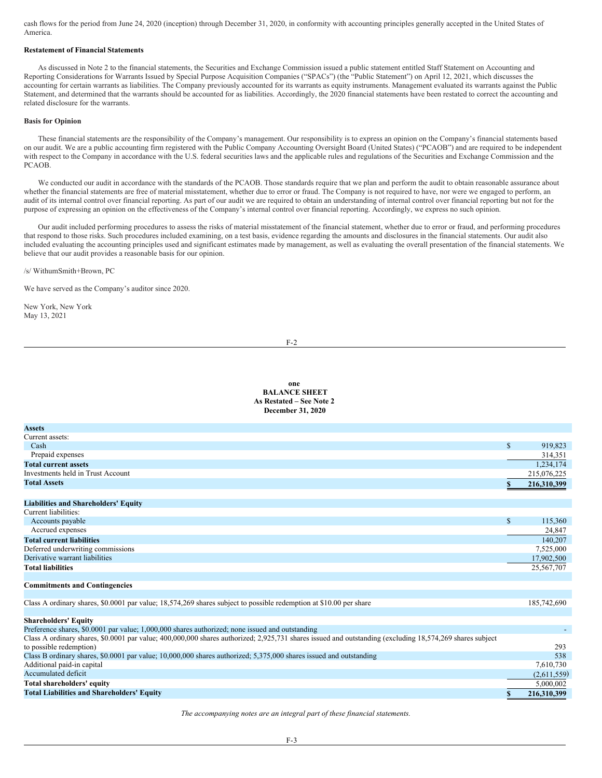cash flows for the period from June 24, 2020 (inception) through December 31, 2020, in conformity with accounting principles generally accepted in the United States of America.

# **Restatement of Financial Statements**

As discussed in Note 2 to the financial statements, the Securities and Exchange Commission issued a public statement entitled Staff Statement on Accounting and Reporting Considerations for Warrants Issued by Special Purpose Acquisition Companies ("SPACs") (the "Public Statement") on April 12, 2021, which discusses the accounting for certain warrants as liabilities. The Company previously accounted for its warrants as equity instruments. Management evaluated its warrants against the Public Statement, and determined that the warrants should be accounted for as liabilities. Accordingly, the 2020 financial statements have been restated to correct the accounting and related disclosure for the warrants.

#### **Basis for Opinion**

These financial statements are the responsibility of the Company's management. Our responsibility is to express an opinion on the Company's financial statements based on our audit. We are a public accounting firm registered with the Public Company Accounting Oversight Board (United States) ("PCAOB") and are required to be independent with respect to the Company in accordance with the U.S. federal securities laws and the applicable rules and regulations of the Securities and Exchange Commission and the PCAOB.

We conducted our audit in accordance with the standards of the PCAOB. Those standards require that we plan and perform the audit to obtain reasonable assurance about whether the financial statements are free of material misstatement, whether due to error or fraud. The Company is not required to have, nor were we engaged to perform, an audit of its internal control over financial reporting. As part of our audit we are required to obtain an understanding of internal control over financial reporting but not for the purpose of expressing an opinion on the effectiveness of the Company's internal control over financial reporting. Accordingly, we express no such opinion.

Our audit included performing procedures to assess the risks of material misstatement of the financial statement, whether due to error or fraud, and performing procedures that respond to those risks. Such procedures included examining, on a test basis, evidence regarding the amounts and disclosures in the financial statements. Our audit also included evaluating the accounting principles used and significant estimates made by management, as well as evaluating the overall presentation of the financial statements. We believe that our audit provides a reasonable basis for our opinion.

/s/ WithumSmith+Brown, PC

We have served as the Company's auditor since 2020.

New York, New York May 13, 2021

F-2

<span id="page-41-0"></span>**one**

| <b>BALANCE SHEET</b><br>As Restated - See Note 2<br><b>December 31, 2020</b>                                                                             |              |                          |
|----------------------------------------------------------------------------------------------------------------------------------------------------------|--------------|--------------------------|
| <b>Assets</b>                                                                                                                                            |              |                          |
| Current assets:                                                                                                                                          |              |                          |
| Cash                                                                                                                                                     | $\mathbb{S}$ | 919,823                  |
| Prepaid expenses                                                                                                                                         |              | 314,351                  |
| <b>Total current assets</b>                                                                                                                              |              | 1,234,174                |
| Investments held in Trust Account                                                                                                                        |              | 215,076,225              |
| <b>Total Assets</b>                                                                                                                                      | \$           | 216,310,399              |
|                                                                                                                                                          |              |                          |
| <b>Liabilities and Shareholders' Equity</b>                                                                                                              |              |                          |
| Current liabilities:                                                                                                                                     |              |                          |
| Accounts payable                                                                                                                                         | $\mathbb{S}$ | 115,360                  |
| Accrued expenses                                                                                                                                         |              | 24,847                   |
| <b>Total current liabilities</b>                                                                                                                         |              | 140,207                  |
| Deferred underwriting commissions                                                                                                                        |              | 7,525,000                |
| Derivative warrant liabilities                                                                                                                           |              | 17,902,500               |
| <b>Total liabilities</b>                                                                                                                                 |              | 25,567,707               |
|                                                                                                                                                          |              |                          |
| <b>Commitments and Contingencies</b>                                                                                                                     |              |                          |
|                                                                                                                                                          |              |                          |
| Class A ordinary shares, \$0.0001 par value; 18,574,269 shares subject to possible redemption at \$10.00 per share                                       |              | 185,742,690              |
|                                                                                                                                                          |              |                          |
| <b>Shareholders' Equity</b>                                                                                                                              |              |                          |
| Preference shares, \$0.0001 par value; 1,000,000 shares authorized; none issued and outstanding                                                          |              |                          |
| Class A ordinary shares, \$0.0001 par value; 400,000,000 shares authorized; 2,925,731 shares issued and outstanding (excluding 18,574,269 shares subject |              |                          |
| to possible redemption)                                                                                                                                  |              | 293<br>538               |
| Class B ordinary shares, \$0,0001 par value; 10,000,000 shares authorized; 5,375,000 shares issued and outstanding<br>Additional paid-in capital         |              | 7,610,730                |
| Accumulated deficit                                                                                                                                      |              |                          |
| <b>Total shareholders' equity</b>                                                                                                                        |              | (2,611,559)<br>5.000.002 |
|                                                                                                                                                          |              |                          |
| <b>Total Liabilities and Shareholders' Equity</b>                                                                                                        | S            | 216.310.399              |

*The accompanying notes are an integral part of these financial statements.*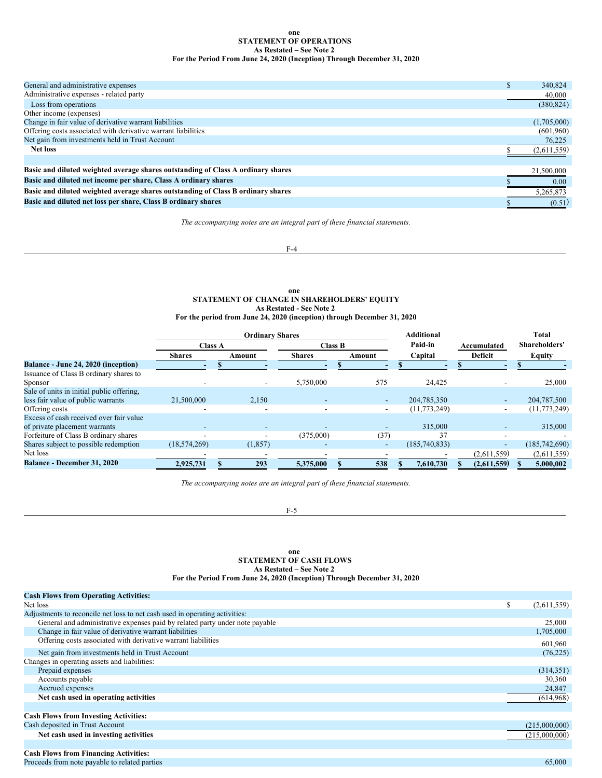### <span id="page-42-0"></span>**one STATEMENT OF OPERATIONS As Restated – See Note 2 For the Period From June 24, 2020 (Inception) Through December 31, 2020**

| General and administrative expenses                                              | ъ | 340,824     |
|----------------------------------------------------------------------------------|---|-------------|
| Administrative expenses - related party                                          |   | 40,000      |
| Loss from operations                                                             |   | (380, 824)  |
| Other income (expenses)                                                          |   |             |
| Change in fair value of derivative warrant liabilities                           |   | (1,705,000) |
| Offering costs associated with derivative warrant liabilities                    |   | (601,960)   |
| Net gain from investments held in Trust Account                                  |   | 76,225      |
| Net loss                                                                         |   | (2.611.559) |
|                                                                                  |   |             |
| Basic and diluted weighted average shares outstanding of Class A ordinary shares |   | 21,500,000  |
| Basic and diluted net income per share, Class A ordinary shares                  |   | 0.00        |
| Basic and diluted weighted average shares outstanding of Class B ordinary shares |   | 5,265,873   |
| Basic and diluted net loss per share, Class B ordinary shares                    |   | (0.51)      |
|                                                                                  |   |             |

*The accompanying notes are an integral part of these financial statements.*

### F-4

### <span id="page-42-1"></span>**one STATEMENT OF CHANGE IN SHAREHOLDERS' EQUITY As Restated - See Note 2 For the period from June 24, 2020 (inception) through December 31, 2020**

|                                           | <b>Ordinary Shares</b> |        |               |                          |                          | <b>Additional</b> |                          | <b>Total</b>    |
|-------------------------------------------|------------------------|--------|---------------|--------------------------|--------------------------|-------------------|--------------------------|-----------------|
|                                           | <b>Class A</b>         |        |               | <b>Class B</b>           |                          | Paid-in           | Accumulated              | Shareholders'   |
|                                           | <b>Shares</b>          | Amount | <b>Shares</b> |                          | Amount                   | Capital           | <b>Deficit</b>           | <b>Equity</b>   |
| Balance - June 24, 2020 (inception)       |                        |        |               |                          |                          |                   |                          |                 |
| Issuance of Class B ordinary shares to    |                        |        |               |                          |                          |                   |                          |                 |
| Sponsor                                   |                        |        |               | 5.750,000                | 575                      | 24.425            |                          | 25,000          |
| Sale of units in initial public offering, |                        |        |               |                          |                          |                   |                          |                 |
| less fair value of public warrants        | 21,500,000             |        | 2,150         | ۰                        | $\overline{\phantom{0}}$ | 204,785,350       | $\overline{\phantom{0}}$ | 204,787,500     |
| Offering costs                            |                        |        |               | $\sim$                   |                          | (11, 773, 249)    | ۰.                       | (11, 773, 249)  |
| Excess of cash received over fair value   |                        |        |               |                          |                          |                   |                          |                 |
| of private placement warrants             |                        |        |               | -                        |                          | 315,000           |                          | 315,000         |
| Forfeiture of Class B ordinary shares     |                        |        |               | (375,000)                | (37)                     | 37                |                          |                 |
| Shares subject to possible redemption     | (18, 574, 269)         |        | (1, 857)      | $\overline{\phantom{a}}$ | $\overline{\phantom{a}}$ | (185,740,833)     | Ξ.                       | (185, 742, 690) |
| Net loss                                  |                        |        |               |                          |                          |                   | (2,611,559)              | (2,611,559)     |
| Balance - December 31, 2020               | 2,925,731              |        | 293           | 5,375,000                | 538                      | 7,610,730         | (2,611,559)              | 5,000,002       |

*The accompanying notes are an integral part of these financial statements.*

F-5

### <span id="page-42-2"></span>**one STATEMENT OF CASH FLOWS As Restated – See Note 2 For the Period From June 24, 2020 (Inception) Through December 31, 2020**

| <b>Cash Flows from Operating Activities:</b>                                 |                   |
|------------------------------------------------------------------------------|-------------------|
| Net loss                                                                     | \$<br>(2,611,559) |
| Adjustments to reconcile net loss to net cash used in operating activities:  |                   |
| General and administrative expenses paid by related party under note payable | 25,000            |
| Change in fair value of derivative warrant liabilities                       | 1,705,000         |
| Offering costs associated with derivative warrant liabilities                | 601,960           |
| Net gain from investments held in Trust Account                              | (76, 225)         |
| Changes in operating assets and liabilities:                                 |                   |
| Prepaid expenses                                                             | (314, 351)        |
| Accounts payable                                                             | 30,360            |
| Accrued expenses                                                             | 24,847            |
| Net cash used in operating activities                                        | (614,968)         |
|                                                                              |                   |
| <b>Cash Flows from Investing Activities:</b>                                 |                   |
| Cash deposited in Trust Account                                              | (215,000,000)     |
| Net cash used in investing activities                                        | (215,000,000)     |
|                                                                              |                   |
| <b>Cash Flows from Financing Activities:</b>                                 |                   |
| Proceeds from note payable to related parties                                | 65,000            |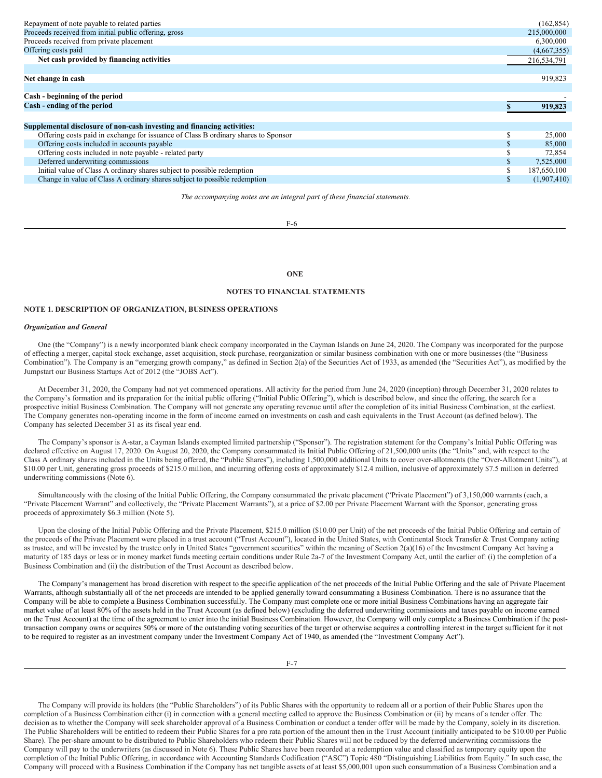| Repayment of note payable to related parties                                       |   | (162, 854)  |
|------------------------------------------------------------------------------------|---|-------------|
| Proceeds received from initial public offering, gross                              |   | 215,000,000 |
| Proceeds received from private placement                                           |   | 6,300,000   |
| Offering costs paid                                                                |   | (4,667,355) |
| Net cash provided by financing activities                                          |   | 216,534,791 |
|                                                                                    |   |             |
| Net change in cash                                                                 |   | 919,823     |
|                                                                                    |   |             |
| Cash - beginning of the period                                                     |   |             |
| Cash - ending of the period                                                        |   | 919,823     |
|                                                                                    |   |             |
| Supplemental disclosure of non-cash investing and financing activities:            |   |             |
| Offering costs paid in exchange for issuance of Class B ordinary shares to Sponsor | S | 25,000      |
| Offering costs included in accounts payable                                        |   | 85,000      |
| Offering costs included in note payable - related party                            |   | 72,854      |
| Deferred underwriting commissions                                                  |   | 7,525,000   |
| Initial value of Class A ordinary shares subject to possible redemption            |   | 187,650,100 |
| Change in value of Class A ordinary shares subject to possible redemption          | S | (1,907,410) |

*The accompanying notes are an integral part of these financial statements.*

#### **ONE**

### <span id="page-43-0"></span>**NOTES TO FINANCIAL STATEMENTS**

#### **NOTE 1. DESCRIPTION OF ORGANIZATION, BUSINESS OPERATIONS**

#### *Organization and General*

One (the "Company") is a newly incorporated blank check company incorporated in the Cayman Islands on June 24, 2020. The Company was incorporated for the purpose of effecting a merger, capital stock exchange, asset acquisition, stock purchase, reorganization or similar business combination with one or more businesses (the "Business Combination"). The Company is an "emerging growth company," as defined in Section 2(a) of the Securities Act of 1933, as amended (the "Securities Act"), as modified by the Jumpstart our Business Startups Act of 2012 (the "JOBS Act").

At December 31, 2020, the Company had not yet commenced operations. All activity for the period from June 24, 2020 (inception) through December 31, 2020 relates to the Company's formation and its preparation for the initial public offering ("Initial Public Offering"), which is described below, and since the offering, the search for a prospective initial Business Combination. The Company will not generate any operating revenue until after the completion of its initial Business Combination, at the earliest. The Company generates non-operating income in the form of income earned on investments on cash and cash equivalents in the Trust Account (as defined below). The Company has selected December 31 as its fiscal year end.

The Company's sponsor is A-star, a Cayman Islands exempted limited partnership ("Sponsor"). The registration statement for the Company's Initial Public Offering was declared effective on August 17, 2020. On August 20, 2020, the Company consummated its Initial Public Offering of 21,500,000 units (the "Units" and, with respect to the Class A ordinary shares included in the Units being offered, the "Public Shares"), including 1,500,000 additional Units to cover over-allotments (the "Over-Allotment Units"), at \$10.00 per Unit, generating gross proceeds of \$215.0 million, and incurring offering costs of approximately \$12.4 million, inclusive of approximately \$7.5 million in deferred underwriting commissions (Note 6).

Simultaneously with the closing of the Initial Public Offering, the Company consummated the private placement ("Private Placement") of 3,150,000 warrants (each, a "Private Placement Warrant" and collectively, the "Private Placement Warrants"), at a price of \$2.00 per Private Placement Warrant with the Sponsor, generating gross proceeds of approximately \$6.3 million (Note 5).

Upon the closing of the Initial Public Offering and the Private Placement, \$215.0 million (\$10.00 per Unit) of the net proceeds of the Initial Public Offering and certain of the proceeds of the Private Placement were placed in a trust account ("Trust Account"), located in the United States, with Continental Stock Transfer & Trust Company acting as trustee, and will be invested by the trustee only in United States "government securities" within the meaning of Section 2(a)(16) of the Investment Company Act having a maturity of 185 days or less or in money market funds meeting certain conditions under Rule 2a-7 of the Investment Company Act, until the earlier of: (i) the completion of a Business Combination and (ii) the distribution of the Trust Account as described below.

The Company's management has broad discretion with respect to the specific application of the net proceeds of the Initial Public Offering and the sale of Private Placement Warrants, although substantially all of the net proceeds are intended to be applied generally toward consummating a Business Combination. There is no assurance that the Company will be able to complete a Business Combination successfully. The Company must complete one or more initial Business Combinations having an aggregate fair market value of at least 80% of the assets held in the Trust Account (as defined below) (excluding the deferred underwriting commissions and taxes payable on income earned on the Trust Account) at the time of the agreement to enter into the initial Business Combination. However, the Company will only complete a Business Combination if the posttransaction company owns or acquires 50% or more of the outstanding voting securities of the target or otherwise acquires a controlling interest in the target sufficient for it not to be required to register as an investment company under the Investment Company Act of 1940, as amended (the "Investment Company Act").

The Company will provide its holders (the "Public Shareholders") of its Public Shares with the opportunity to redeem all or a portion of their Public Shares upon the completion of a Business Combination either (i) in connection with a general meeting called to approve the Business Combination or (ii) by means of a tender offer. The decision as to whether the Company will seek shareholder approval of a Business Combination or conduct a tender offer will be made by the Company, solely in its discretion. The Public Shareholders will be entitled to redeem their Public Shares for a pro rata portion of the amount then in the Trust Account (initially anticipated to be \$10.00 per Public Share). The per-share amount to be distributed to Public Shareholders who redeem their Public Shares will not be reduced by the deferred underwriting commissions the Company will pay to the underwriters (as discussed in Note 6). These Public Shares have been recorded at a redemption value and classified as temporary equity upon the completion of the Initial Public Offering, in accordance with Accounting Standards Codification ("ASC") Topic 480 "Distinguishing Liabilities from Equity." In such case, the Company will proceed with a Business Combination if the Company has net tangible assets of at least \$5,000,001 upon such consummation of a Business Combination and a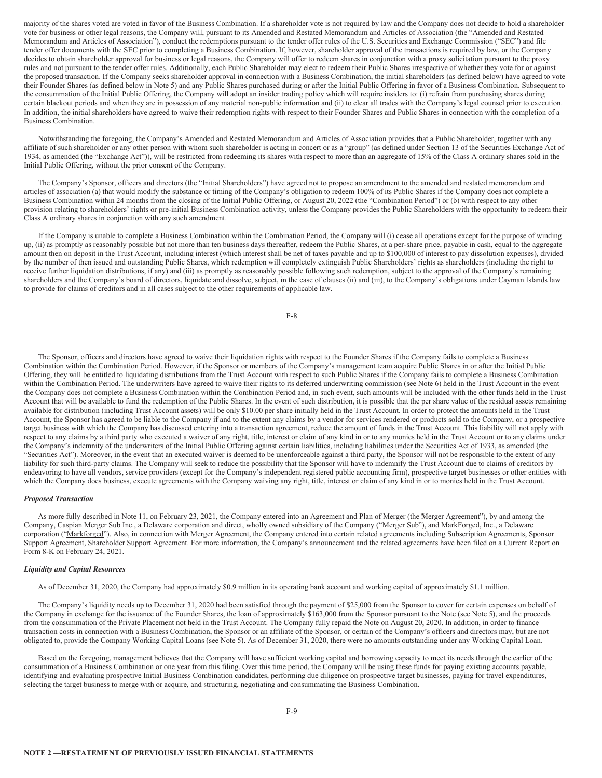majority of the shares voted are voted in favor of the Business Combination. If a shareholder vote is not required by law and the Company does not decide to hold a shareholder vote for business or other legal reasons, the Company will, pursuant to its Amended and Restated Memorandum and Articles of Association (the "Amended and Restated Memorandum and Articles of Association"), conduct the redemptions pursuant to the tender offer rules of the U.S. Securities and Exchange Commission ("SEC") and file tender offer documents with the SEC prior to completing a Business Combination. If, however, shareholder approval of the transactions is required by law, or the Company decides to obtain shareholder approval for business or legal reasons, the Company will offer to redeem shares in conjunction with a proxy solicitation pursuant to the proxy rules and not pursuant to the tender offer rules. Additionally, each Public Shareholder may elect to redeem their Public Shares irrespective of whether they vote for or against the proposed transaction. If the Company seeks shareholder approval in connection with a Business Combination, the initial shareholders (as defined below) have agreed to vote their Founder Shares (as defined below in Note 5) and any Public Shares purchased during or after the Initial Public Offering in favor of a Business Combination. Subsequent to the consummation of the Initial Public Offering, the Company will adopt an insider trading policy which will require insiders to: (i) refrain from purchasing shares during certain blackout periods and when they are in possession of any material non-public information and (ii) to clear all trades with the Company's legal counsel prior to execution. In addition, the initial shareholders have agreed to waive their redemption rights with respect to their Founder Shares and Public Shares in connection with the completion of a Business Combination.

Notwithstanding the foregoing, the Company's Amended and Restated Memorandum and Articles of Association provides that a Public Shareholder, together with any affiliate of such shareholder or any other person with whom such shareholder is acting in concert or as a "group" (as defined under Section 13 of the Securities Exchange Act of 1934, as amended (the "Exchange Act")), will be restricted from redeeming its shares with respect to more than an aggregate of 15% of the Class A ordinary shares sold in the Initial Public Offering, without the prior consent of the Company.

The Company's Sponsor, officers and directors (the "Initial Shareholders") have agreed not to propose an amendment to the amended and restated memorandum and articles of association (a) that would modify the substance or timing of the Company's obligation to redeem 100% of its Public Shares if the Company does not complete a Business Combination within 24 months from the closing of the Initial Public Offering, or August 20, 2022 (the "Combination Period") or (b) with respect to any other provision relating to shareholders' rights or pre-initial Business Combination activity, unless the Company provides the Public Shareholders with the opportunity to redeem their Class A ordinary shares in conjunction with any such amendment.

If the Company is unable to complete a Business Combination within the Combination Period, the Company will (i) cease all operations except for the purpose of winding up, (ii) as promptly as reasonably possible but not more than ten business days thereafter, redeem the Public Shares, at a per-share price, payable in cash, equal to the aggregate amount then on deposit in the Trust Account, including interest (which interest shall be net of taxes payable and up to \$100,000 of interest to pay dissolution expenses), divided by the number of then issued and outstanding Public Shares, which redemption will completely extinguish Public Shareholders' rights as shareholders (including the right to receive further liquidation distributions, if any) and (iii) as promptly as reasonably possible following such redemption, subject to the approval of the Company's remaining shareholders and the Company's board of directors, liquidate and dissolve, subject, in the case of clauses (ii) and (iii), to the Company's obligations under Cayman Islands law to provide for claims of creditors and in all cases subject to the other requirements of applicable law.

F-8

The Sponsor, officers and directors have agreed to waive their liquidation rights with respect to the Founder Shares if the Company fails to complete a Business Combination within the Combination Period. However, if the Sponsor or members of the Company's management team acquire Public Shares in or after the Initial Public Offering, they will be entitled to liquidating distributions from the Trust Account with respect to such Public Shares if the Company fails to complete a Business Combination within the Combination Period. The underwriters have agreed to waive their rights to its deferred underwriting commission (see Note 6) held in the Trust Account in the event the Company does not complete a Business Combination within the Combination Period and, in such event, such amounts will be included with the other funds held in the Trust Account that will be available to fund the redemption of the Public Shares. In the event of such distribution, it is possible that the per share value of the residual assets remaining available for distribution (including Trust Account assets) will be only \$10.00 per share initially held in the Trust Account. In order to protect the amounts held in the Trust Account, the Sponsor has agreed to be liable to the Company if and to the extent any claims by a vendor for services rendered or products sold to the Company, or a prospective target business with which the Company has discussed entering into a transaction agreement, reduce the amount of funds in the Trust Account. This liability will not apply with respect to any claims by a third party who executed a waiver of any right, title, interest or claim of any kind in or to any monies held in the Trust Account or to any claims under the Company's indemnity of the underwriters of the Initial Public Offering against certain liabilities, including liabilities under the Securities Act of 1933, as amended (the "Securities Act"). Moreover, in the event that an executed waiver is deemed to be unenforceable against a third party, the Sponsor will not be responsible to the extent of any liability for such third-party claims. The Company will seek to reduce the possibility that the Sponsor will have to indemnify the Trust Account due to claims of creditors by endeavoring to have all vendors, service providers (except for the Company's independent registered public accounting firm), prospective target businesses or other entities with which the Company does business, execute agreements with the Company waiving any right, title, interest or claim of any kind in or to monies held in the Trust Account.

#### *Proposed Transaction*

As more fully described in Note 11, on February 23, 2021, the Company entered into an Agreement and Plan of Merger (the "Merger Agreement"), by and among the Company, Caspian Merger Sub Inc., a Delaware corporation and direct, wholly owned subsidiary of the Company ("Merger Sub"), and MarkForged, Inc., a Delaware corporation ("Markforged"). Also, in connection with Merger Agreement, the Company entered into certain related agreements including Subscription Agreements, Sponsor Support Agreement, Shareholder Support Agreement. For more information, the Company's announcement and the related agreements have been filed on a Current Report on Form 8-K on February 24, 2021.

#### *Liquidity and Capital Resources*

As of December 31, 2020, the Company had approximately \$0.9 million in its operating bank account and working capital of approximately \$1.1 million.

The Company's liquidity needs up to December 31, 2020 had been satisfied through the payment of \$25,000 from the Sponsor to cover for certain expenses on behalf of the Company in exchange for the issuance of the Founder Shares, the loan of approximately \$163,000 from the Sponsor pursuant to the Note (see Note 5), and the proceeds from the consummation of the Private Placement not held in the Trust Account. The Company fully repaid the Note on August 20, 2020. In addition, in order to finance transaction costs in connection with a Business Combination, the Sponsor or an affiliate of the Sponsor, or certain of the Company's officers and directors may, but are not obligated to, provide the Company Working Capital Loans (see Note 5). As of December 31, 2020, there were no amounts outstanding under any Working Capital Loan.

Based on the foregoing, management believes that the Company will have sufficient working capital and borrowing capacity to meet its needs through the earlier of the consummation of a Business Combination or one year from this filing. Over this time period, the Company will be using these funds for paying existing accounts payable, identifying and evaluating prospective Initial Business Combination candidates, performing due diligence on prospective target businesses, paying for travel expenditures, selecting the target business to merge with or acquire, and structuring, negotiating and consummating the Business Combination.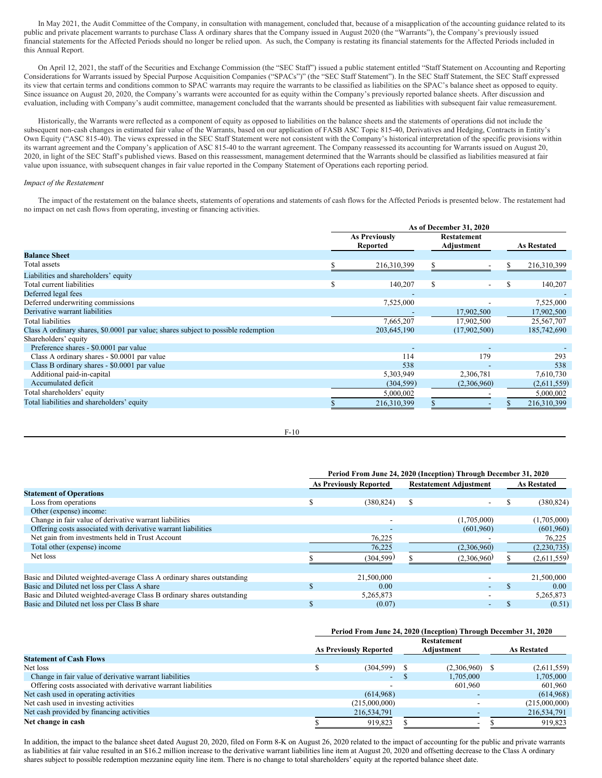In May 2021, the Audit Committee of the Company, in consultation with management, concluded that, because of a misapplication of the accounting guidance related to its public and private placement warrants to purchase Class A ordinary shares that the Company issued in August 2020 (the "Warrants"), the Company's previously issued financial statements for the Affected Periods should no longer be relied upon. As such, the Company is restating its financial statements for the Affected Periods included in this Annual Report.

On April 12, 2021, the staff of the Securities and Exchange Commission (the "SEC Staff") issued a public statement entitled "Staff Statement on Accounting and Reporting Considerations for Warrants issued by Special Purpose Acquisition Companies ("SPACs")" (the "SEC Staff Statement"). In the SEC Staff Statement, the SEC Staff expressed its view that certain terms and conditions common to SPAC warrants may require the warrants to be classified as liabilities on the SPAC's balance sheet as opposed to equity. Since issuance on August 20, 2020, the Company's warrants were accounted for as equity within the Company's previously reported balance sheets. After discussion and evaluation, including with Company's audit committee, management concluded that the warrants should be presented as liabilities with subsequent fair value remeasurement.

Historically, the Warrants were reflected as a component of equity as opposed to liabilities on the balance sheets and the statements of operations did not include the subsequent non-cash changes in estimated fair value of the Warrants, based on our application of FASB ASC Topic 815-40, Derivatives and Hedging, Contracts in Entity's Own Equity ("ASC 815-40). The views expressed in the SEC Staff Statement were not consistent with the Company's historical interpretation of the specific provisions within its warrant agreement and the Company's application of ASC 815-40 to the warrant agreement. The Company reassessed its accounting for Warrants issued on August 20, 2020, in light of the SEC Staff's published views. Based on this reassessment, management determined that the Warrants should be classified as liabilities measured at fair value upon issuance, with subsequent changes in fair value reported in the Company Statement of Operations each reporting period.

#### *Impact of the Restatement*

The impact of the restatement on the balance sheets, statements of operations and statements of cash flows for the Affected Periods is presented below. The restatement had no impact on net cash flows from operating, investing or financing activities.

|                                                                                    | As of December 31, 2020 |                                  |    |                                  |   |                    |
|------------------------------------------------------------------------------------|-------------------------|----------------------------------|----|----------------------------------|---|--------------------|
|                                                                                    |                         | <b>As Previously</b><br>Reported |    | <b>Restatement</b><br>Adjustment |   | <b>As Restated</b> |
| <b>Balance Sheet</b>                                                               |                         |                                  |    |                                  |   |                    |
| Total assets                                                                       |                         | 216,310,399                      | S  |                                  |   | 216,310,399        |
| Liabilities and shareholders' equity                                               |                         |                                  |    |                                  |   |                    |
| Total current liabilities                                                          | S                       | 140,207                          | \$ |                                  | S | 140,207            |
| Deferred legal fees                                                                |                         |                                  |    |                                  |   |                    |
| Deferred underwriting commissions                                                  |                         | 7,525,000                        |    |                                  |   | 7,525,000          |
| Derivative warrant liabilities                                                     |                         |                                  |    | 17,902,500                       |   | 17,902,500         |
| Total liabilities                                                                  |                         | 7,665,207                        |    | 17,902,500                       |   | 25,567,707         |
| Class A ordinary shares, \$0.0001 par value; shares subject to possible redemption |                         | 203,645,190                      |    | (17,902,500)                     |   | 185,742,690        |
| Shareholders' equity                                                               |                         |                                  |    |                                  |   |                    |
| Preference shares - \$0.0001 par value                                             |                         |                                  |    |                                  |   |                    |
| Class A ordinary shares - \$0.0001 par value                                       |                         | 114                              |    | 179                              |   | 293                |
| Class B ordinary shares - \$0.0001 par value                                       |                         | 538                              |    |                                  |   | 538                |
| Additional paid-in-capital                                                         |                         | 5,303,949                        |    | 2,306,781                        |   | 7,610,730          |
| Accumulated deficit                                                                |                         | (304, 599)                       |    | (2,306,960)                      |   | (2,611,559)        |
| Total shareholders' equity                                                         |                         | 5,000,002                        |    |                                  |   | 5,000,002          |
| Total liabilities and shareholders' equity                                         |                         | 216,310,399                      |    |                                  |   | 216,310,399        |

F-10

### **Period From June 24, 2020 (Inception) Through December 31, 2020**

|                                                                        | <b>As Previously Reported</b> |                          | <b>Restatement Adjustment</b> |             | <b>As Restated</b> |  |
|------------------------------------------------------------------------|-------------------------------|--------------------------|-------------------------------|-------------|--------------------|--|
| <b>Statement of Operations</b>                                         |                               |                          |                               |             |                    |  |
| Loss from operations                                                   |                               | (380, 824)               | S                             |             | (380, 824)         |  |
| Other (expense) income:                                                |                               |                          |                               |             |                    |  |
| Change in fair value of derivative warrant liabilities                 |                               |                          |                               | (1,705,000) | (1,705,000)        |  |
| Offering costs associated with derivative warrant liabilities          |                               | $\overline{\phantom{a}}$ |                               | (601,960)   | (601,960)          |  |
| Net gain from investments held in Trust Account                        |                               | 76,225                   |                               |             | 76,225             |  |
| Total other (expense) income                                           |                               | 76,225                   |                               | (2,306,960) | (2,230,735)        |  |
| Net loss                                                               |                               | (304, 599)               |                               | (2.306.960) | (2,611,559)        |  |
|                                                                        |                               |                          |                               |             |                    |  |
| Basic and Diluted weighted-average Class A ordinary shares outstanding |                               | 21,500,000               |                               |             | 21,500,000         |  |
| Basic and Diluted net loss per Class A share                           |                               | 0.00                     |                               |             | 0.00               |  |
| Basic and Diluted weighted-average Class B ordinary shares outstanding |                               | 5,265,873                |                               |             | 5,265,873          |  |
| Basic and Diluted net loss per Class B share                           |                               | (0.07)                   |                               | -           | (0.51)             |  |

|                                                               | Period From June 24, 2020 (Inception) Through December 31, 2020 |  |                          |  |                    |  |  |
|---------------------------------------------------------------|-----------------------------------------------------------------|--|--------------------------|--|--------------------|--|--|
|                                                               | <b>Restatement</b>                                              |  |                          |  |                    |  |  |
|                                                               | <b>As Previously Reported</b>                                   |  | Adjustment               |  | <b>As Restated</b> |  |  |
| <b>Statement of Cash Flows</b>                                |                                                                 |  |                          |  |                    |  |  |
| Net loss                                                      | (304, 599)                                                      |  | (2,306,960)              |  | (2,611,559)        |  |  |
| Change in fair value of derivative warrant liabilities        | $\sim$                                                          |  | 1.705,000                |  | 1,705,000          |  |  |
| Offering costs associated with derivative warrant liabilities |                                                                 |  | 601,960                  |  | 601.960            |  |  |
| Net cash used in operating activities                         | (614.968)                                                       |  |                          |  | (614,968)          |  |  |
| Net cash used in investing activities                         | (215,000,000)                                                   |  |                          |  | (215,000,000)      |  |  |
| Net cash provided by financing activities                     | 216,534,791                                                     |  |                          |  | 216,534,791        |  |  |
| Net change in cash                                            | 919,823                                                         |  | $\overline{\phantom{a}}$ |  | 919.823            |  |  |

In addition, the impact to the balance sheet dated August 20, 2020, filed on Form 8-K on August 26, 2020 related to the impact of accounting for the public and private warrants as liabilities at fair value resulted in an \$16.2 million increase to the derivative warrant liabilities line item at August 20, 2020 and offsetting decrease to the Class A ordinary shares subject to possible redemption mezzanine equity line item. There is no change to total shareholders' equity at the reported balance sheet date.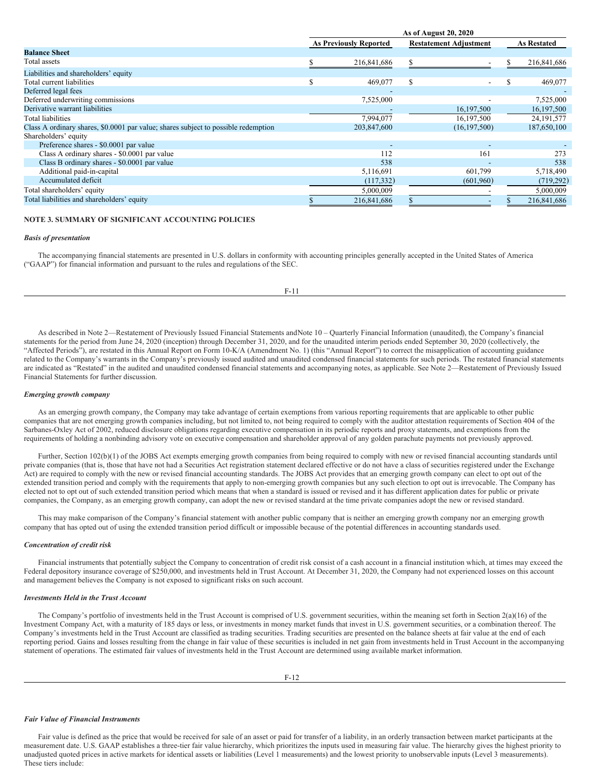|                                                                                    | AS 01 August 20, 2020 |                               |                               |                |     |                    |  |  |
|------------------------------------------------------------------------------------|-----------------------|-------------------------------|-------------------------------|----------------|-----|--------------------|--|--|
|                                                                                    |                       | <b>As Previously Reported</b> | <b>Restatement Adjustment</b> |                |     | <b>As Restated</b> |  |  |
| <b>Balance Sheet</b>                                                               |                       |                               |                               |                |     |                    |  |  |
| Total assets                                                                       |                       | 216,841,686                   |                               |                |     | 216,841,686        |  |  |
| Liabilities and shareholders' equity                                               |                       |                               |                               |                |     |                    |  |  |
| Total current liabilities                                                          | S                     | 469,077                       | S                             |                | \$. | 469,077            |  |  |
| Deferred legal fees                                                                |                       |                               |                               |                |     |                    |  |  |
| Deferred underwriting commissions                                                  |                       | 7,525,000                     |                               |                |     | 7,525,000          |  |  |
| Derivative warrant liabilities                                                     |                       |                               |                               | 16,197,500     |     | 16,197,500         |  |  |
| Total liabilities                                                                  |                       | 7,994,077                     |                               | 16,197,500     |     | 24, 191, 577       |  |  |
| Class A ordinary shares, \$0,0001 par value; shares subject to possible redemption |                       | 203,847,600                   |                               | (16, 197, 500) |     | 187,650,100        |  |  |
| Shareholders' equity                                                               |                       |                               |                               |                |     |                    |  |  |
| Preference shares - \$0.0001 par value                                             |                       |                               |                               |                |     |                    |  |  |
| Class A ordinary shares - \$0.0001 par value                                       |                       | 112                           |                               | 161            |     | 273                |  |  |
| Class B ordinary shares - \$0,0001 par value                                       |                       | 538                           |                               |                |     | 538                |  |  |
| Additional paid-in-capital                                                         |                       | 5,116,691                     |                               | 601,799        |     | 5,718,490          |  |  |
| Accumulated deficit                                                                |                       | (117, 332)                    |                               | (601,960)      |     | (719, 292)         |  |  |
| Total shareholders' equity                                                         |                       | 5,000,009                     |                               |                |     | 5,000,009          |  |  |
| Total liabilities and shareholders' equity                                         |                       | 216,841,686                   |                               |                |     | 216,841,686        |  |  |

**As of August 20, 2020**

### **NOTE 3. SUMMARY OF SIGNIFICANT ACCOUNTING POLICIES**

#### *Basis of presentation*

The accompanying financial statements are presented in U.S. dollars in conformity with accounting principles generally accepted in the United States of America ("GAAP") for financial information and pursuant to the rules and regulations of the SEC.

As described in Note 2—Restatement of Previously Issued Financial Statements andNote 10 – Quarterly Financial Information (unaudited), the Company's financial statements for the period from June 24, 2020 (inception) through December 31, 2020, and for the unaudited interim periods ended September 30, 2020 (collectively, the "Affected Periods"), are restated in this Annual Report on Form 10-K/A (Amendment No. 1) (this "Annual Report") to correct the misapplication of accounting guidance related to the Company's warrants in the Company's previously issued audited and unaudited condensed financial statements for such periods. The restated financial statements are indicated as "Restated" in the audited and unaudited condensed financial statements and accompanying notes, as applicable. See Note 2—Restatement of Previously Issued Financial Statements for further discussion.

F-11

#### *Emerging growth company*

As an emerging growth company, the Company may take advantage of certain exemptions from various reporting requirements that are applicable to other public companies that are not emerging growth companies including, but not limited to, not being required to comply with the auditor attestation requirements of Section 404 of the Sarbanes-Oxley Act of 2002, reduced disclosure obligations regarding executive compensation in its periodic reports and proxy statements, and exemptions from the requirements of holding a nonbinding advisory vote on executive compensation and shareholder approval of any golden parachute payments not previously approved.

Further, Section 102(b)(1) of the JOBS Act exempts emerging growth companies from being required to comply with new or revised financial accounting standards until private companies (that is, those that have not had a Securities Act registration statement declared effective or do not have a class of securities registered under the Exchange Act) are required to comply with the new or revised financial accounting standards. The JOBS Act provides that an emerging growth company can elect to opt out of the extended transition period and comply with the requirements that apply to non-emerging growth companies but any such election to opt out is irrevocable. The Company has elected not to opt out of such extended transition period which means that when a standard is issued or revised and it has different application dates for public or private companies, the Company, as an emerging growth company, can adopt the new or revised standard at the time private companies adopt the new or revised standard.

This may make comparison of the Company's financial statement with another public company that is neither an emerging growth company nor an emerging growth company that has opted out of using the extended transition period difficult or impossible because of the potential differences in accounting standards used.

### *Concentration of credit risk*

Financial instruments that potentially subject the Company to concentration of credit risk consist of a cash account in a financial institution which, at times may exceed the Federal depository insurance coverage of \$250,000, and investments held in Trust Account. At December 31, 2020, the Company had not experienced losses on this account and management believes the Company is not exposed to significant risks on such account.

# *Investments Held in the Trust Account*

The Company's portfolio of investments held in the Trust Account is comprised of U.S. government securities, within the meaning set forth in Section 2(a)(16) of the Investment Company Act, with a maturity of 185 days or less, or investments in money market funds that invest in U.S. government securities, or a combination thereof. The Company's investments held in the Trust Account are classified as trading securities. Trading securities are presented on the balance sheets at fair value at the end of each reporting period. Gains and losses resulting from the change in fair value of these securities is included in net gain from investments held in Trust Account in the accompanying statement of operations. The estimated fair values of investments held in the Trust Account are determined using available market information.

#### *Fair Value of Financial Instruments*

Fair value is defined as the price that would be received for sale of an asset or paid for transfer of a liability, in an orderly transaction between market participants at the measurement date. U.S. GAAP establishes a three-tier fair value hierarchy, which prioritizes the inputs used in measuring fair value. The hierarchy gives the highest priority to unadjusted quoted prices in active markets for identical assets or liabilities (Level 1 measurements) and the lowest priority to unobservable inputs (Level 3 measurements). These tiers include: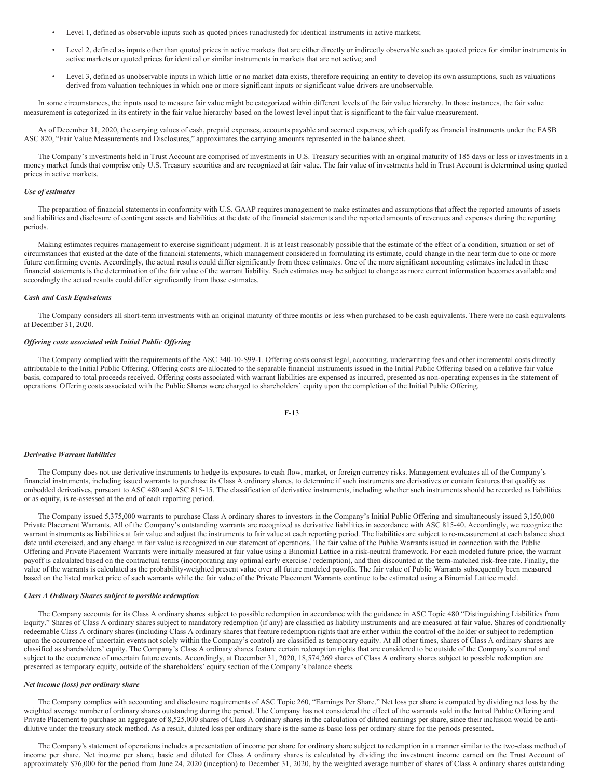- Level 1, defined as observable inputs such as quoted prices (unadjusted) for identical instruments in active markets;
- Level 2, defined as inputs other than quoted prices in active markets that are either directly or indirectly observable such as quoted prices for similar instruments in active markets or quoted prices for identical or similar instruments in markets that are not active; and
- Level 3, defined as unobservable inputs in which little or no market data exists, therefore requiring an entity to develop its own assumptions, such as valuations derived from valuation techniques in which one or more significant inputs or significant value drivers are unobservable.

In some circumstances, the inputs used to measure fair value might be categorized within different levels of the fair value hierarchy. In those instances, the fair value measurement is categorized in its entirety in the fair value hierarchy based on the lowest level input that is significant to the fair value measurement.

As of December 31, 2020, the carrying values of cash, prepaid expenses, accounts payable and accrued expenses, which qualify as financial instruments under the FASB ASC 820, "Fair Value Measurements and Disclosures," approximates the carrying amounts represented in the balance sheet.

The Company's investments held in Trust Account are comprised of investments in U.S. Treasury securities with an original maturity of 185 days or less or investments in a money market funds that comprise only U.S. Treasury securities and are recognized at fair value. The fair value of investments held in Trust Account is determined using quoted prices in active markets.

#### *Use of estimates*

The preparation of financial statements in conformity with U.S. GAAP requires management to make estimates and assumptions that affect the reported amounts of assets and liabilities and disclosure of contingent assets and liabilities at the date of the financial statements and the reported amounts of revenues and expenses during the reporting periods.

Making estimates requires management to exercise significant judgment. It is at least reasonably possible that the estimate of the effect of a condition, situation or set of circumstances that existed at the date of the financial statements, which management considered in formulating its estimate, could change in the near term due to one or more future confirming events. Accordingly, the actual results could differ significantly from those estimates. One of the more significant accounting estimates included in these financial statements is the determination of the fair value of the warrant liability. Such estimates may be subject to change as more current information becomes available and accordingly the actual results could differ significantly from those estimates.

### *Cash and Cash Equivalents*

The Company considers all short-term investments with an original maturity of three months or less when purchased to be cash equivalents. There were no cash equivalents at December 31, 2020.

#### *Of ering costs associated with Initial Public Of ering*

The Company complied with the requirements of the ASC 340-10-S99-1. Offering costs consist legal, accounting, underwriting fees and other incremental costs directly attributable to the Initial Public Offering. Offering costs are allocated to the separable financial instruments issued in the Initial Public Offering based on a relative fair value basis, compared to total proceeds received. Offering costs associated with warrant liabilities are expensed as incurred, presented as non-operating expenses in the statement of operations. Offering costs associated with the Public Shares were charged to shareholders' equity upon the completion of the Initial Public Offering.

#### F-13

### *Derivative Warrant liabilities*

The Company does not use derivative instruments to hedge its exposures to cash flow, market, or foreign currency risks. Management evaluates all of the Company's financial instruments, including issued warrants to purchase its Class A ordinary shares, to determine if such instruments are derivatives or contain features that qualify as embedded derivatives, pursuant to ASC 480 and ASC 815-15. The classification of derivative instruments, including whether such instruments should be recorded as liabilities or as equity, is re-assessed at the end of each reporting period.

The Company issued 5,375,000 warrants to purchase Class A ordinary shares to investors in the Company's Initial Public Offering and simultaneously issued 3,150,000 Private Placement Warrants. All of the Company's outstanding warrants are recognized as derivative liabilities in accordance with ASC 815-40. Accordingly, we recognize the warrant instruments as liabilities at fair value and adjust the instruments to fair value at each reporting period. The liabilities are subject to re-measurement at each balance sheet date until exercised, and any change in fair value is recognized in our statement of operations. The fair value of the Public Warrants issued in connection with the Public Offering and Private Placement Warrants were initially measured at fair value using a Binomial Lattice in a risk-neutral framework. For each modeled future price, the warrant payoff is calculated based on the contractual terms (incorporating any optimal early exercise / redemption), and then discounted at the term-matched risk-free rate. Finally, the value of the warrants is calculated as the probability-weighted present value over all future modeled payoffs. The fair value of Public Warrants subsequently been measured based on the listed market price of such warrants while the fair value of the Private Placement Warrants continue to be estimated using a Binomial Lattice model.

#### *Class A Ordinary Shares subject to possible redemption*

The Company accounts for its Class A ordinary shares subject to possible redemption in accordance with the guidance in ASC Topic 480 "Distinguishing Liabilities from Equity." Shares of Class A ordinary shares subject to mandatory redemption (if any) are classified as liability instruments and are measured at fair value. Shares of conditionally redeemable Class A ordinary shares (including Class A ordinary shares that feature redemption rights that are either within the control of the holder or subject to redemption upon the occurrence of uncertain events not solely within the Company's control) are classified as temporary equity. At all other times, shares of Class A ordinary shares are classified as shareholders' equity. The Company's Class A ordinary shares feature certain redemption rights that are considered to be outside of the Company's control and subject to the occurrence of uncertain future events. Accordingly, at December 31, 2020, 18,574,269 shares of Class A ordinary shares subject to possible redemption are presented as temporary equity, outside of the shareholders' equity section of the Company's balance sheets.

#### *Net income (loss) per ordinary share*

The Company complies with accounting and disclosure requirements of ASC Topic 260, "Earnings Per Share." Net loss per share is computed by dividing net loss by the weighted average number of ordinary shares outstanding during the period. The Company has not considered the effect of the warrants sold in the Initial Public Offering and Private Placement to purchase an aggregate of 8,525,000 shares of Class A ordinary shares in the calculation of diluted earnings per share, since their inclusion would be antidilutive under the treasury stock method. As a result, diluted loss per ordinary share is the same as basic loss per ordinary share for the periods presented.

The Company's statement of operations includes a presentation of income per share for ordinary share subject to redemption in a manner similar to the two-class method of income per share. Net income per share, basic and diluted for Class A ordinary shares is calculated by dividing the investment income earned on the Trust Account of approximately \$76,000 for the period from June 24, 2020 (inception) to December 31, 2020, by the weighted average number of shares of Class A ordinary shares outstanding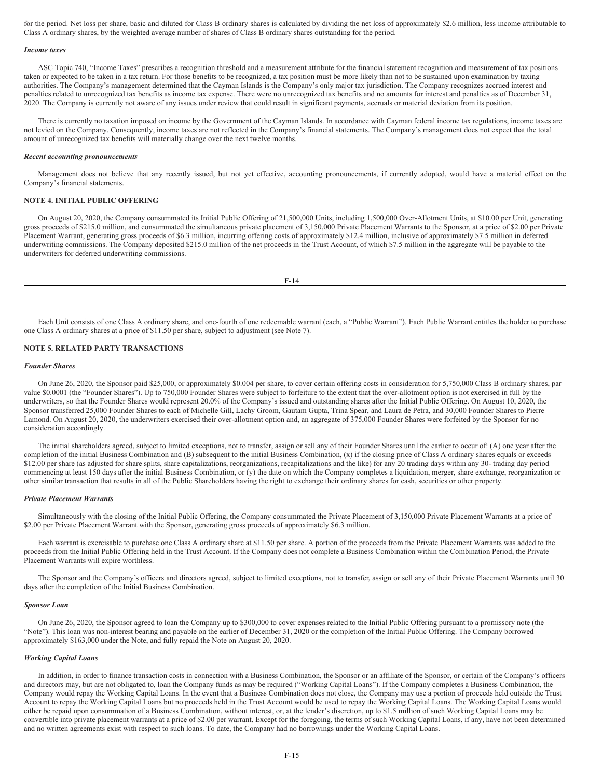for the period. Net loss per share, basic and diluted for Class B ordinary shares is calculated by dividing the net loss of approximately \$2.6 million, less income attributable to Class A ordinary shares, by the weighted average number of shares of Class B ordinary shares outstanding for the period.

#### *Income taxes*

ASC Topic 740, "Income Taxes" prescribes a recognition threshold and a measurement attribute for the financial statement recognition and measurement of tax positions taken or expected to be taken in a tax return. For those benefits to be recognized, a tax position must be more likely than not to be sustained upon examination by taxing authorities. The Company's management determined that the Cayman Islands is the Company's only major tax jurisdiction. The Company recognizes accrued interest and penalties related to unrecognized tax benefits as income tax expense. There were no unrecognized tax benefits and no amounts for interest and penalties as of December 31, 2020. The Company is currently not aware of any issues under review that could result in significant payments, accruals or material deviation from its position.

There is currently no taxation imposed on income by the Government of the Cayman Islands. In accordance with Cayman federal income tax regulations, income taxes are not levied on the Company. Consequently, income taxes are not reflected in the Company's financial statements. The Company's management does not expect that the total amount of unrecognized tax benefits will materially change over the next twelve months.

#### *Recent accounting pronouncements*

Management does not believe that any recently issued, but not yet effective, accounting pronouncements, if currently adopted, would have a material effect on the Company's financial statements.

### **NOTE 4. INITIAL PUBLIC OFFERING**

On August 20, 2020, the Company consummated its Initial Public Offering of 21,500,000 Units, including 1,500,000 Over-Allotment Units, at \$10.00 per Unit, generating gross proceeds of \$215.0 million, and consummated the simultaneous private placement of 3,150,000 Private Placement Warrants to the Sponsor, at a price of \$2.00 per Private Placement Warrant, generating gross proceeds of \$6.3 million, incurring offering costs of approximately \$12.4 million, inclusive of approximately \$7.5 million in deferred underwriting commissions. The Company deposited \$215.0 million of the net proceeds in the Trust Account, of which \$7.5 million in the aggregate will be payable to the underwriters for deferred underwriting commissions.

F-14

Each Unit consists of one Class A ordinary share, and one-fourth of one redeemable warrant (each, a "Public Warrant"). Each Public Warrant entitles the holder to purchase one Class A ordinary shares at a price of \$11.50 per share, subject to adjustment (see Note 7).

### **NOTE 5. RELATED PARTY TRANSACTIONS**

### *Founder Shares*

On June 26, 2020, the Sponsor paid \$25,000, or approximately \$0.004 per share, to cover certain offering costs in consideration for 5,750,000 Class B ordinary shares, par value \$0.0001 (the "Founder Shares"). Up to 750,000 Founder Shares were subject to forfeiture to the extent that the over-allotment option is not exercised in full by the underwriters, so that the Founder Shares would represent 20.0% of the Company's issued and outstanding shares after the Initial Public Offering. On August 10, 2020, the Sponsor transferred 25,000 Founder Shares to each of Michelle Gill, Lachy Groom, Gautam Gupta, Trina Spear, and Laura de Petra, and 30,000 Founder Shares to Pierre Lamond. On August 20, 2020, the underwriters exercised their over-allotment option and, an aggregate of 375,000 Founder Shares were forfeited by the Sponsor for no consideration accordingly.

The initial shareholders agreed, subject to limited exceptions, not to transfer, assign or sell any of their Founder Shares until the earlier to occur of: (A) one year after the completion of the initial Business Combination and (B) subsequent to the initial Business Combination, (x) if the closing price of Class A ordinary shares equals or exceeds \$12.00 per share (as adjusted for share splits, share capitalizations, reorganizations, recapitalizations and the like) for any 20 trading days within any 30- trading day period commencing at least 150 days after the initial Business Combination, or (y) the date on which the Company completes a liquidation, merger, share exchange, reorganization or other similar transaction that results in all of the Public Shareholders having the right to exchange their ordinary shares for cash, securities or other property.

# *Private Placement Warrants*

Simultaneously with the closing of the Initial Public Offering, the Company consummated the Private Placement of 3,150,000 Private Placement Warrants at a price of \$2.00 per Private Placement Warrant with the Sponsor, generating gross proceeds of approximately \$6.3 million.

Each warrant is exercisable to purchase one Class A ordinary share at \$11.50 per share. A portion of the proceeds from the Private Placement Warrants was added to the proceeds from the Initial Public Offering held in the Trust Account. If the Company does not complete a Business Combination within the Combination Period, the Private Placement Warrants will expire worthless.

The Sponsor and the Company's officers and directors agreed, subject to limited exceptions, not to transfer, assign or sell any of their Private Placement Warrants until 30 days after the completion of the Initial Business Combination.

### *Sponsor Loan*

On June 26, 2020, the Sponsor agreed to loan the Company up to \$300,000 to cover expenses related to the Initial Public Offering pursuant to a promissory note (the "Note"). This loan was non-interest bearing and payable on the earlier of December 31, 2020 or the completion of the Initial Public Offering. The Company borrowed approximately \$163,000 under the Note, and fully repaid the Note on August 20, 2020.

#### *Working Capital Loans*

In addition, in order to finance transaction costs in connection with a Business Combination, the Sponsor or an affiliate of the Sponsor, or certain of the Company's officers and directors may, but are not obligated to, loan the Company funds as may be required ("Working Capital Loans"). If the Company completes a Business Combination, the Company would repay the Working Capital Loans. In the event that a Business Combination does not close, the Company may use a portion of proceeds held outside the Trust Account to repay the Working Capital Loans but no proceeds held in the Trust Account would be used to repay the Working Capital Loans. The Working Capital Loans would either be repaid upon consummation of a Business Combination, without interest, or, at the lender's discretion, up to \$1.5 million of such Working Capital Loans may be convertible into private placement warrants at a price of \$2.00 per warrant. Except for the foregoing, the terms of such Working Capital Loans, if any, have not been determined and no written agreements exist with respect to such loans. To date, the Company had no borrowings under the Working Capital Loans.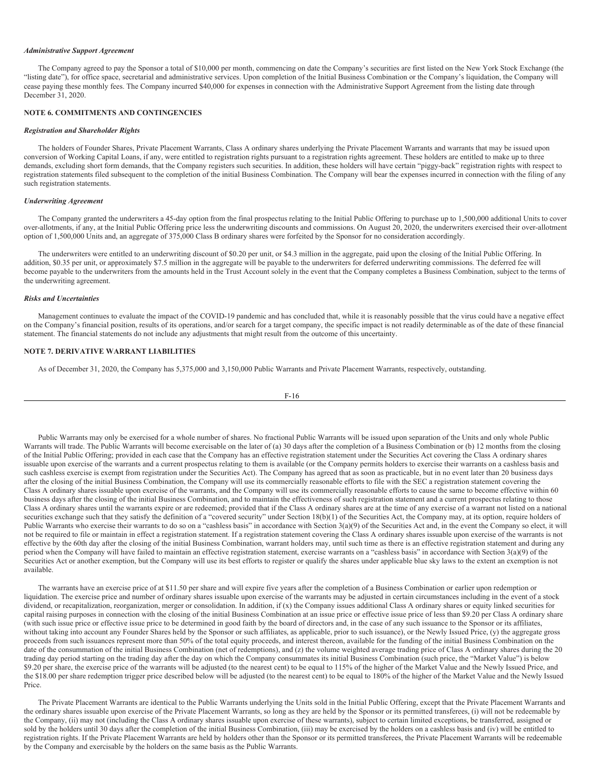#### *Administrative Support Agreement*

The Company agreed to pay the Sponsor a total of \$10,000 per month, commencing on date the Company's securities are first listed on the New York Stock Exchange (the "listing date"), for office space, secretarial and administrative services. Upon completion of the Initial Business Combination or the Company's liquidation, the Company will cease paying these monthly fees. The Company incurred \$40,000 for expenses in connection with the Administrative Support Agreement from the listing date through December 31, 2020.

### **NOTE 6. COMMITMENTS AND CONTINGENCIES**

### *Registration and Shareholder Rights*

The holders of Founder Shares, Private Placement Warrants, Class A ordinary shares underlying the Private Placement Warrants and warrants that may be issued upon conversion of Working Capital Loans, if any, were entitled to registration rights pursuant to a registration rights agreement. These holders are entitled to make up to three demands, excluding short form demands, that the Company registers such securities. In addition, these holders will have certain "piggy-back" registration rights with respect to registration statements filed subsequent to the completion of the initial Business Combination. The Company will bear the expenses incurred in connection with the filing of any such registration statements.

### *Underwriting Agreement*

The Company granted the underwriters a 45-day option from the final prospectus relating to the Initial Public Offering to purchase up to 1,500,000 additional Units to cover over-allotments, if any, at the Initial Public Offering price less the underwriting discounts and commissions. On August 20, 2020, the underwriters exercised their over-allotment option of 1,500,000 Units and, an aggregate of 375,000 Class B ordinary shares were forfeited by the Sponsor for no consideration accordingly.

The underwriters were entitled to an underwriting discount of \$0.20 per unit, or \$4.3 million in the aggregate, paid upon the closing of the Initial Public Offering. In addition, \$0.35 per unit, or approximately \$7.5 million in the aggregate will be payable to the underwriters for deferred underwriting commissions. The deferred fee will become payable to the underwriters from the amounts held in the Trust Account solely in the event that the Company completes a Business Combination, subject to the terms of the underwriting agreement.

### *Risks and Uncertainties*

Management continues to evaluate the impact of the COVID-19 pandemic and has concluded that, while it is reasonably possible that the virus could have a negative effect on the Company's financial position, results of its operations, and/or search for a target company, the specific impact is not readily determinable as of the date of these financial statement. The financial statements do not include any adjustments that might result from the outcome of this uncertainty.

# **NOTE 7. DERIVATIVE WARRANT LIABILITIES**

As of December 31, 2020, the Company has 5,375,000 and 3,150,000 Public Warrants and Private Placement Warrants, respectively, outstanding.

$$
F-16
$$

Public Warrants may only be exercised for a whole number of shares. No fractional Public Warrants will be issued upon separation of the Units and only whole Public Warrants will trade. The Public Warrants will become exercisable on the later of (a) 30 days after the completion of a Business Combination or (b) 12 months from the closing of the Initial Public Offering; provided in each case that the Company has an effective registration statement under the Securities Act covering the Class A ordinary shares issuable upon exercise of the warrants and a current prospectus relating to them is available (or the Company permits holders to exercise their warrants on a cashless basis and such cashless exercise is exempt from registration under the Securities Act). The Company has agreed that as soon as practicable, but in no event later than 20 business days after the closing of the initial Business Combination, the Company will use its commercially reasonable efforts to file with the SEC a registration statement covering the Class A ordinary shares issuable upon exercise of the warrants, and the Company will use its commercially reasonable efforts to cause the same to become effective within 60 business days after the closing of the initial Business Combination, and to maintain the effectiveness of such registration statement and a current prospectus relating to those Class A ordinary shares until the warrants expire or are redeemed; provided that if the Class A ordinary shares are at the time of any exercise of a warrant not listed on a national securities exchange such that they satisfy the definition of a "covered security" under Section 18(b)(1) of the Securities Act, the Company may, at its option, require holders of Public Warrants who exercise their warrants to do so on a "cashless basis" in accordance with Section 3(a)(9) of the Securities Act and, in the event the Company so elect, it will not be required to file or maintain in effect a registration statement. If a registration statement covering the Class A ordinary shares issuable upon exercise of the warrants is not effective by the 60th day after the closing of the initial Business Combination, warrant holders may, until such time as there is an effective registration statement and during any period when the Company will have failed to maintain an effective registration statement, exercise warrants on a "cashless basis" in accordance with Section 3(a)(9) of the Securities Act or another exemption, but the Company will use its best efforts to register or qualify the shares under applicable blue sky laws to the extent an exemption is not available.

The warrants have an exercise price of at \$11.50 per share and will expire five years after the completion of a Business Combination or earlier upon redemption or liquidation. The exercise price and number of ordinary shares issuable upon exercise of the warrants may be adjusted in certain circumstances including in the event of a stock dividend, or recapitalization, reorganization, merger or consolidation. In addition, if (x) the Company issues additional Class A ordinary shares or equity linked securities for capital raising purposes in connection with the closing of the initial Business Combination at an issue price or effective issue price of less than \$9.20 per Class A ordinary share (with such issue price or effective issue price to be determined in good faith by the board of directors and, in the case of any such issuance to the Sponsor or its affiliates, without taking into account any Founder Shares held by the Sponsor or such affiliates, as applicable, prior to such issuance), or the Newly Issued Price, (y) the aggregate gross proceeds from such issuances represent more than 50% of the total equity proceeds, and interest thereon, available for the funding of the initial Business Combination on the date of the consummation of the initial Business Combination (net of redemptions), and (z) the volume weighted average trading price of Class A ordinary shares during the 20 trading day period starting on the trading day after the day on which the Company consummates its initial Business Combination (such price, the "Market Value") is below \$9.20 per share, the exercise price of the warrants will be adjusted (to the nearest cent) to be equal to 115% of the higher of the Market Value and the Newly Issued Price, and the \$18.00 per share redemption trigger price described below will be adjusted (to the nearest cent) to be equal to 180% of the higher of the Market Value and the Newly Issued Price.

The Private Placement Warrants are identical to the Public Warrants underlying the Units sold in the Initial Public Offering, except that the Private Placement Warrants and the ordinary shares issuable upon exercise of the Private Placement Warrants, so long as they are held by the Sponsor or its permitted transferees, (i) will not be redeemable by the Company, (ii) may not (including the Class A ordinary shares issuable upon exercise of these warrants), subject to certain limited exceptions, be transferred, assigned or sold by the holders until 30 days after the completion of the initial Business Combination, (iii) may be exercised by the holders on a cashless basis and (iv) will be entitled to registration rights. If the Private Placement Warrants are held by holders other than the Sponsor or its permitted transferees, the Private Placement Warrants will be redeemable by the Company and exercisable by the holders on the same basis as the Public Warrants.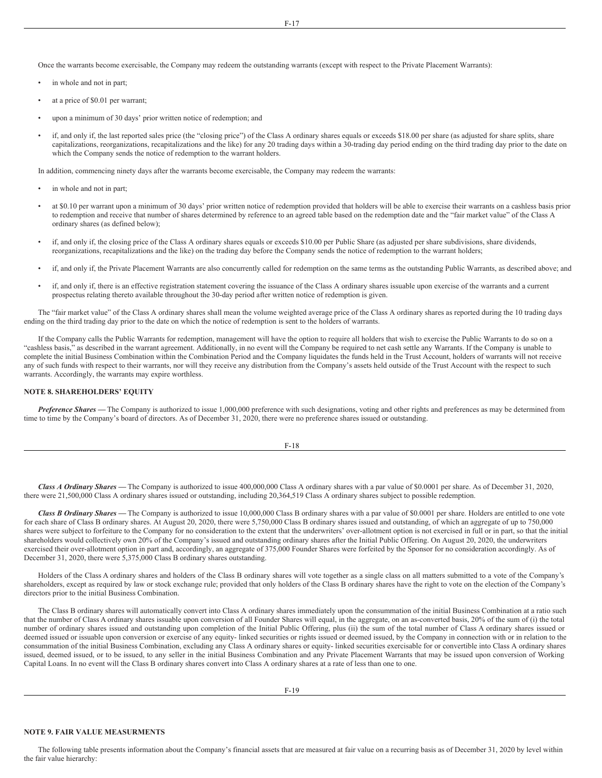Once the warrants become exercisable, the Company may redeem the outstanding warrants (except with respect to the Private Placement Warrants):

- in whole and not in part;
- at a price of \$0.01 per warrant;
- upon a minimum of 30 days' prior written notice of redemption; and
- if, and only if, the last reported sales price (the "closing price") of the Class A ordinary shares equals or exceeds \$18.00 per share (as adjusted for share splits, share capitalizations, reorganizations, recapitalizations and the like) for any 20 trading days within a 30-trading day period ending on the third trading day prior to the date on which the Company sends the notice of redemption to the warrant holders.

In addition, commencing ninety days after the warrants become exercisable, the Company may redeem the warrants:

- in whole and not in part;
- at \$0.10 per warrant upon a minimum of 30 days' prior written notice of redemption provided that holders will be able to exercise their warrants on a cashless basis prior to redemption and receive that number of shares determined by reference to an agreed table based on the redemption date and the "fair market value" of the Class A ordinary shares (as defined below);
- if, and only if, the closing price of the Class A ordinary shares equals or exceeds \$10.00 per Public Share (as adjusted per share subdivisions, share dividends, reorganizations, recapitalizations and the like) on the trading day before the Company sends the notice of redemption to the warrant holders;
- if, and only if, the Private Placement Warrants are also concurrently called for redemption on the same terms as the outstanding Public Warrants, as described above; and
- if, and only if, there is an effective registration statement covering the issuance of the Class A ordinary shares issuable upon exercise of the warrants and a current prospectus relating thereto available throughout the 30-day period after written notice of redemption is given.

The "fair market value" of the Class A ordinary shares shall mean the volume weighted average price of the Class A ordinary shares as reported during the 10 trading days ending on the third trading day prior to the date on which the notice of redemption is sent to the holders of warrants.

If the Company calls the Public Warrants for redemption, management will have the option to require all holders that wish to exercise the Public Warrants to do so on a "cashless basis," as described in the warrant agreement. Additionally, in no event will the Company be required to net cash settle any Warrants. If the Company is unable to complete the initial Business Combination within the Combination Period and the Company liquidates the funds held in the Trust Account, holders of warrants will not receive any of such funds with respect to their warrants, nor will they receive any distribution from the Company's assets held outside of the Trust Account with the respect to such warrants. Accordingly, the warrants may expire worthless.

### **NOTE 8. SHAREHOLDERS' EQUITY**

*Preference* Shares — The Company is authorized to issue 1,000,000 preference with such designations, voting and other rights and preferences as may be determined from time to time by the Company's board of directors. As of December 31, 2020, there were no preference shares issued or outstanding.

#### F-18

*Class A Ordinary Shares —* The Company is authorized to issue 400,000,000 Class A ordinary shares with a par value of \$0.0001 per share. As of December 31, 2020, there were 21,500,000 Class A ordinary shares issued or outstanding, including 20,364,519 Class A ordinary shares subject to possible redemption.

Class B Ordinary Shares — The Company is authorized to issue 10,000,000 Class B ordinary shares with a par value of \$0.0001 per share. Holders are entitled to one vote for each share of Class B ordinary shares. At August 20, 2020, there were 5,750,000 Class B ordinary shares issued and outstanding, of which an aggregate of up to 750,000 shares were subject to forfeiture to the Company for no consideration to the extent that the underwriters' over-allotment option is not exercised in full or in part, so that the initial shareholders would collectively own 20% of the Company's issued and outstanding ordinary shares after the Initial Public Offering. On August 20, 2020, the underwriters exercised their over-allotment option in part and, accordingly, an aggregate of 375,000 Founder Shares were forfeited by the Sponsor for no consideration accordingly. As of December 31, 2020, there were 5,375,000 Class B ordinary shares outstanding.

Holders of the Class A ordinary shares and holders of the Class B ordinary shares will vote together as a single class on all matters submitted to a vote of the Company's shareholders, except as required by law or stock exchange rule; provided that only holders of the Class B ordinary shares have the right to vote on the election of the Company's directors prior to the initial Business Combination.

The Class B ordinary shares will automatically convert into Class A ordinary shares immediately upon the consummation of the initial Business Combination at a ratio such that the number of Class A ordinary shares issuable upon conversion of all Founder Shares will equal, in the aggregate, on an as-converted basis, 20% of the sum of (i) the total number of ordinary shares issued and outstanding upon completion of the Initial Public Offering, plus (ii) the sum of the total number of Class A ordinary shares issued or deemed issued or issuable upon conversion or exercise of any equity- linked securities or rights issued or deemed issued, by the Company in connection with or in relation to the consummation of the initial Business Combination, excluding any Class A ordinary shares or equity- linked securities exercisable for or convertible into Class A ordinary shares issued, deemed issued, or to be issued, to any seller in the initial Business Combination and any Private Placement Warrants that may be issued upon conversion of Working Capital Loans. In no event will the Class B ordinary shares convert into Class A ordinary shares at a rate of less than one to one.

#### **NOTE 9. FAIR VALUE MEASURMENTS**

The following table presents information about the Company's financial assets that are measured at fair value on a recurring basis as of December 31, 2020 by level within the fair value hierarchy: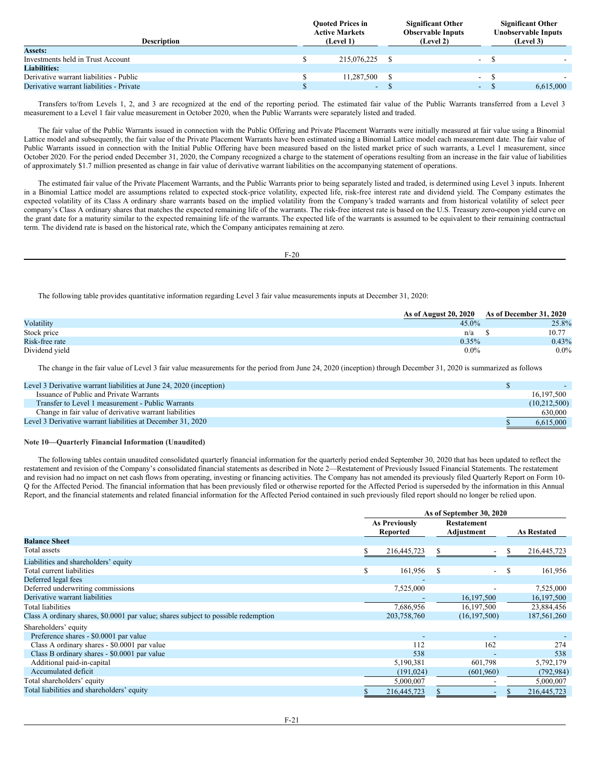| <b>Description</b>                       | <b>Ouoted Prices in</b><br><b>Active Markets</b><br>(Level 1) | <b>Significant Other</b><br><b>Observable Inputs</b><br>(Level 2) | <b>Significant Other</b><br>Unobservable Inputs<br>(Level 3) |
|------------------------------------------|---------------------------------------------------------------|-------------------------------------------------------------------|--------------------------------------------------------------|
| <b>Assets:</b>                           |                                                               |                                                                   |                                                              |
| Investments held in Trust Account        | 215,076,225                                                   | $\overline{\phantom{0}}$                                          |                                                              |
| <b>Liabilities:</b>                      |                                                               |                                                                   |                                                              |
| Derivative warrant liabilities - Public  | 11.287.500                                                    | $\overline{\phantom{a}}$                                          |                                                              |
| Derivative warrant liabilities - Private | $\overline{\phantom{a}}$                                      | $\sim$                                                            | 6.615.000                                                    |

Transfers to/from Levels 1, 2, and 3 are recognized at the end of the reporting period. The estimated fair value of the Public Warrants transferred from a Level 3 measurement to a Level 1 fair value measurement in October 2020, when the Public Warrants were separately listed and traded.

The fair value of the Public Warrants issued in connection with the Public Offering and Private Placement Warrants were initially measured at fair value using a Binomial Lattice model and subsequently, the fair value of the Private Placement Warrants have been estimated using a Binomial Lattice model each measurement date. The fair value of Public Warrants issued in connection with the Initial Public Offering have been measured based on the listed market price of such warrants, a Level 1 measurement, since October 2020. For the period ended December 31, 2020, the Company recognized a charge to the statement of operations resulting from an increase in the fair value of liabilities of approximately \$1.7 million presented as change in fair value of derivative warrant liabilities on the accompanying statement of operations.

The estimated fair value of the Private Placement Warrants, and the Public Warrants prior to being separately listed and traded, is determined using Level 3 inputs. Inherent in a Binomial Lattice model are assumptions related to expected stock-price volatility, expected life, risk-free interest rate and dividend yield. The Company estimates the expected volatility of its Class A ordinary share warrants based on the implied volatility from the Company's traded warrants and from historical volatility of select peer company's Class A ordinary shares that matches the expected remaining life of the warrants. The risk-free interest rate is based on the U.S. Treasury zero-coupon yield curve on the grant date for a maturity similar to the expected remaining life of the warrants. The expected life of the warrants is assumed to be equivalent to their remaining contractual term. The dividend rate is based on the historical rate, which the Company anticipates remaining at zero.

The following table provides quantitative information regarding Level 3 fair value measurements inputs at December 31, 2020:

|                | As of August 20, 2020 | As of December 31, 2020 |
|----------------|-----------------------|-------------------------|
| Volatility     | 45.0%                 | 25.8%                   |
| Stock price    | n/a                   | 10.77                   |
| Risk-free rate | $0.35\%$              | 0.43%                   |
| Dividend yield | $0.0\%$               | $0.0\%$                 |

The change in the fair value of Level 3 fair value measurements for the period from June 24, 2020 (inception) through December 31, 2020 is summarized as follows

| 16.197.500   |
|--------------|
| (10,212,500) |
| 630,000      |
| 6.615,000    |
|              |

# **Note 10—Quarterly Financial Information (Unaudited)**

The following tables contain unaudited consolidated quarterly financial information for the quarterly period ended September 30, 2020 that has been updated to reflect the restatement and revision of the Company's consolidated financial statements as described in Note 2—Restatement of Previously Issued Financial Statements. The restatement and revision had no impact on net cash flows from operating, investing or financing activities. The Company has not amended its previously filed Quarterly Report on Form 10-Q for the Affected Period. The financial information that has been previously filed or otherwise reported for the Affected Period is superseded by the information in this Annual Report, and the financial statements and related financial information for the Affected Period contained in such previously filed report should no longer be relied upon.

|                                                                                    |   | As of September 30, 2020                |                                  |                          |                    |             |
|------------------------------------------------------------------------------------|---|-----------------------------------------|----------------------------------|--------------------------|--------------------|-------------|
|                                                                                    |   | <b>As Previously</b><br><b>Reported</b> | <b>Restatement</b><br>Adjustment |                          | <b>As Restated</b> |             |
| <b>Balance Sheet</b>                                                               |   |                                         |                                  |                          |                    |             |
| Total assets                                                                       |   | 216,445,723                             |                                  | $\blacksquare$           | S                  | 216,445,723 |
| Liabilities and shareholders' equity                                               |   |                                         |                                  |                          |                    |             |
| Total current liabilities                                                          | S | 161,956                                 |                                  | $\overline{\phantom{0}}$ | S                  | 161,956     |
| Deferred legal fees                                                                |   |                                         |                                  |                          |                    |             |
| Deferred underwriting commissions                                                  |   | 7,525,000                               |                                  |                          |                    | 7,525,000   |
| Derivative warrant liabilities                                                     |   |                                         |                                  | 16,197,500               |                    | 16,197,500  |
| Total liabilities                                                                  |   | 7,686,956                               |                                  | 16,197,500               |                    | 23,884,456  |
| Class A ordinary shares, \$0,0001 par value; shares subject to possible redemption |   | 203,758,760                             |                                  | (16, 197, 500)           |                    | 187,561,260 |
| Shareholders' equity                                                               |   |                                         |                                  |                          |                    |             |
| Preference shares - \$0.0001 par value                                             |   |                                         |                                  |                          |                    |             |
| Class A ordinary shares - \$0.0001 par value                                       |   | 112                                     |                                  | 162                      |                    | 274         |
| Class B ordinary shares - \$0.0001 par value                                       |   | 538                                     |                                  |                          |                    | 538         |
| Additional paid-in-capital                                                         |   | 5,190,381                               |                                  | 601,798                  |                    | 5,792,179   |
| Accumulated deficit                                                                |   | (191, 024)                              |                                  | (601,960)                |                    | (792, 984)  |
| Total shareholders' equity                                                         |   | 5,000,007                               |                                  |                          |                    | 5,000,007   |
| Total liabilities and shareholders' equity                                         | ъ | 216,445,723                             |                                  |                          | Ъ.                 | 216,445,723 |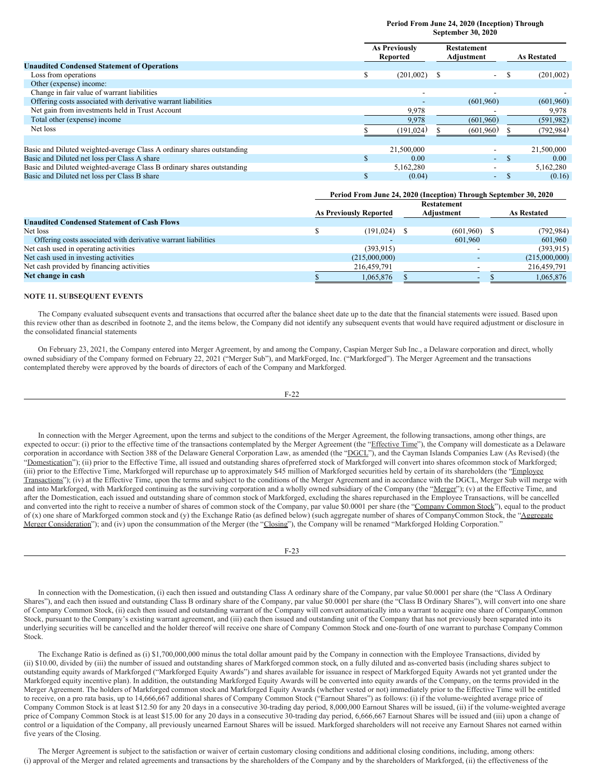**Period From June 24, 2020 (Inception) Through September 30, 2020**

|                                                                        |   | <b>As Previously</b><br>Reported | Restatement<br>Adjustment |    | <b>As Restated</b> |  |
|------------------------------------------------------------------------|---|----------------------------------|---------------------------|----|--------------------|--|
| <b>Unaudited Condensed Statement of Operations</b>                     |   |                                  |                           |    |                    |  |
| Loss from operations                                                   | S | (201,002)                        | $\overline{\phantom{a}}$  | S  | (201,002)          |  |
| Other (expense) income:                                                |   |                                  |                           |    |                    |  |
| Change in fair value of warrant liabilities                            |   |                                  | -                         |    |                    |  |
| Offering costs associated with derivative warrant liabilities          |   |                                  | (601,960)                 |    | (601,960)          |  |
| Net gain from investments held in Trust Account                        |   | 9,978                            |                           |    | 9,978              |  |
| Total other (expense) income                                           |   | 9,978                            | (601,960)                 |    | (591, 982)         |  |
| Net loss                                                               |   | (191, 024)                       | (601,960)                 |    | (792, 984)         |  |
|                                                                        |   |                                  |                           |    |                    |  |
| Basic and Diluted weighted-average Class A ordinary shares outstanding |   | 21,500,000                       | $\overline{\phantom{0}}$  |    | 21,500,000         |  |
| Basic and Diluted net loss per Class A share                           |   | 0.00                             | $\sim 100$                | -S | 0.00               |  |
| Basic and Diluted weighted-average Class B ordinary shares outstanding |   | 5,162,280                        |                           |    | 5,162,280          |  |
| Basic and Diluted net loss per Class B share                           |   | (0.04)                           | $\sim$                    |    | (0.16)             |  |

**Period From June 24, 2020 (Inception) Through September 30, 2020**

|                                                               | <b>Restatement</b>            |               |            |                          |  |                    |
|---------------------------------------------------------------|-------------------------------|---------------|------------|--------------------------|--|--------------------|
|                                                               | <b>As Previously Reported</b> |               | Adiustment |                          |  | <b>As Restated</b> |
| <b>Unaudited Condensed Statement of Cash Flows</b>            |                               |               |            |                          |  |                    |
| Net loss                                                      |                               | (191, 024)    |            | (601,960)                |  | (792, 984)         |
| Offering costs associated with derivative warrant liabilities |                               |               |            | 601,960                  |  | 601,960            |
| Net cash used in operating activities                         |                               | (393.915)     |            |                          |  | (393, 915)         |
| Net cash used in investing activities                         |                               | (215,000,000) |            |                          |  | (215,000,000)      |
| Net cash provided by financing activities                     |                               | 216,459,791   |            |                          |  | 216,459,791        |
| Net change in cash                                            |                               | 1.065.876     |            | $\overline{\phantom{0}}$ |  | 1,065,876          |

# **NOTE 11. SUBSEQUENT EVENTS**

The Company evaluated subsequent events and transactions that occurred after the balance sheet date up to the date that the financial statements were issued. Based upon this review other than as described in footnote 2, and the items below, the Company did not identify any subsequent events that would have required adjustment or disclosure in the consolidated financial statements

On February 23, 2021, the Company entered into Merger Agreement, by and among the Company, Caspian Merger Sub Inc., a Delaware corporation and direct, wholly owned subsidiary of the Company formed on February 22, 2021 ("Merger Sub"), and MarkForged, Inc. ("Markforged"). The Merger Agreement and the transactions contemplated thereby were approved by the boards of directors of each of the Company and Markforged.

In connection with the Merger Agreement, upon the terms and subject to the conditions of the Merger Agreement, the following transactions, among other things, are expected to occur: (i) prior to the effective time of the transactions contemplated by the Merger Agreement (the "Effective Time"), the Company will domesticate as a Delaware corporation in accordance with Section 388 of the Delaware General Corporation Law, as amended (the "DGCL"), and the Cayman Islands Companies Law (As Revised) (the "Domestication"); (ii) prior to the Effective Time, all issued and outstanding shares ofpreferred stock of Markforged will convert into shares ofcommon stock of Markforged; (iii) prior to the Effective Time, Markforged will repurchase up to approximately \$45 million of Markforged securities held by certain of its shareholders (the "Employee Transactions"); (iv) at the Effective Time, upon the terms and subject to the conditions of the Merger Agreement and in accordance with the DGCL, Merger Sub will merge with and into Markforged, with Markforged continuing as the surviving corporation and a wholly owned subsidiary of the Company (the "Merger"); (v) at the Effective Time, and after the Domestication, each issued and outstanding share of common stock of Markforged, excluding the shares repurchased in the Employee Transactions, will be cancelled and converted into the right to receive a number of shares of common stock of the Company, par value \$0.0001 per share (the "Company Common Stock"), equal to the product of (x) one share of Markforged common stock and (y) the Exchange Ratio (as defined below) (such aggregate number of shares of CompanyCommon Stock, the "Aggregate Merger Consideration"); and (iv) upon the consummation of the Merger (the "Closing"), the Company will be renamed "Markforged Holding Corporation."

F-23

In connection with the Domestication, (i) each then issued and outstanding Class A ordinary share of the Company, par value \$0.0001 per share (the "Class A Ordinary Shares"), and each then issued and outstanding Class B ordinary share of the Company, par value \$0.0001 per share (the "Class B Ordinary Shares"), will convert into one share of Company Common Stock, (ii) each then issued and outstanding warrant of the Company will convert automatically into a warrant to acquire one share of CompanyCommon Stock, pursuant to the Company's existing warrant agreement, and (iii) each then issued and outstanding unit of the Company that has not previously been separated into its underlying securities will be cancelled and the holder thereof will receive one share of Company Common Stock and one-fourth of one warrant to purchase Company Common Stock.

The Exchange Ratio is defined as (i) \$1,700,000,000 minus the total dollar amount paid by the Company in connection with the Employee Transactions, divided by (ii) \$10.00, divided by (iii) the number of issued and outstanding shares of Markforged common stock, on a fully diluted and as-converted basis (including shares subject to outstanding equity awards of Markforged ("Markforged Equity Awards") and shares available for issuance in respect of Markforged Equity Awards not yet granted under the Markforged equity incentive plan). In addition, the outstanding Markforged Equity Awards will be converted into equity awards of the Company, on the terms provided in the Merger Agreement. The holders of Markforged common stock and Markforged Equity Awards (whether vested or not) immediately prior to the Effective Time will be entitled to receive, on a pro rata basis, up to 14,666,667 additional shares of Company Common Stock ("Earnout Shares") as follows: (i) if the volume-weighted average price of Company Common Stock is at least \$12.50 for any 20 days in a consecutive 30-trading day period, 8,000,000 Earnout Shares will be issued, (ii) if the volume-weighted average price of Company Common Stock is at least \$15.00 for any 20 days in a consecutive 30-trading day period, 6,666,667 Earnout Shares will be issued and (iii) upon a change of control or a liquidation of the Company, all previously unearned Earnout Shares will be issued. Markforged shareholders will not receive any Earnout Shares not earned within five years of the Closing.

The Merger Agreement is subject to the satisfaction or waiver of certain customary closing conditions and additional closing conditions, including, among others: (i) approval of the Merger and related agreements and transactions by the shareholders of the Company and by the shareholders of Markforged, (ii) the effectiveness of the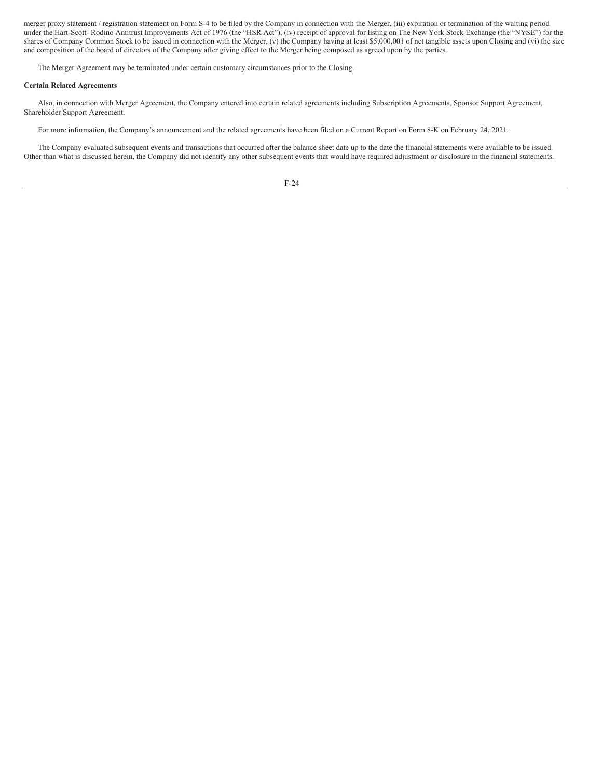merger proxy statement / registration statement on Form S-4 to be filed by the Company in connection with the Merger, (iii) expiration or termination of the waiting period under the Hart-Scott- Rodino Antitrust Improvements Act of 1976 (the "HSR Act"), (iv) receipt of approval for listing on The New York Stock Exchange (the "NYSE") for the shares of Company Common Stock to be issued in connection with the Merger, (v) the Company having at least \$5,000,001 of net tangible assets upon Closing and (vi) the size and composition of the board of directors of the Company after giving effect to the Merger being composed as agreed upon by the parties.

The Merger Agreement may be terminated under certain customary circumstances prior to the Closing.

### **Certain Related Agreements**

Also, in connection with Merger Agreement, the Company entered into certain related agreements including Subscription Agreements, Sponsor Support Agreement, Shareholder Support Agreement.

For more information, the Company's announcement and the related agreements have been filed on a Current Report on Form 8-K on February 24, 2021.

The Company evaluated subsequent events and transactions that occurred after the balance sheet date up to the date the financial statements were available to be issued. Other than what is discussed herein, the Company did not identify any other subsequent events that would have required adjustment or disclosure in the financial statements.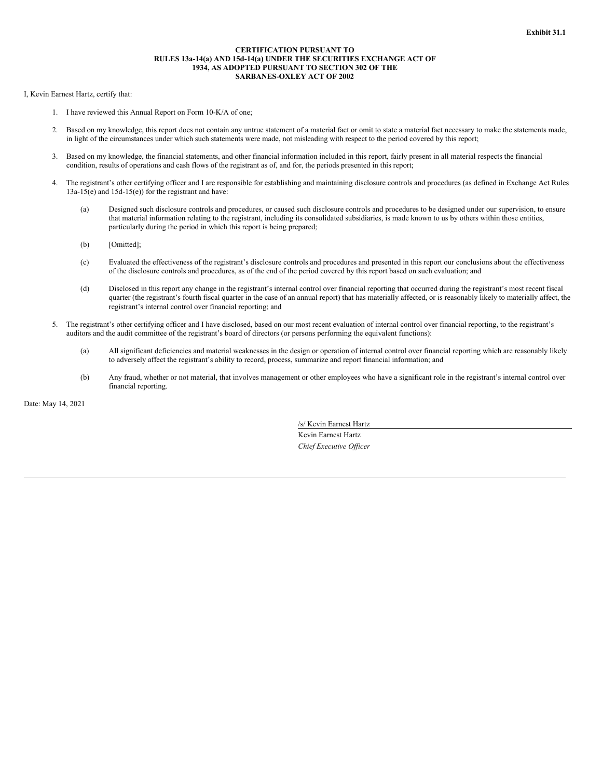### **CERTIFICATION PURSUANT TO RULES 13a-14(a) AND 15d-14(a) UNDER THE SECURITIES EXCHANGE ACT OF 1934, AS ADOPTED PURSUANT TO SECTION 302 OF THE SARBANES-OXLEY ACT OF 2002**

#### <span id="page-54-0"></span>I, Kevin Earnest Hartz, certify that:

- 1. I have reviewed this Annual Report on Form 10-K/A of one;
- 2. Based on my knowledge, this report does not contain any untrue statement of a material fact or omit to state a material fact necessary to make the statements made, in light of the circumstances under which such statements were made, not misleading with respect to the period covered by this report;
- 3. Based on my knowledge, the financial statements, and other financial information included in this report, fairly present in all material respects the financial condition, results of operations and cash flows of the registrant as of, and for, the periods presented in this report;
- 4. The registrant's other certifying officer and I are responsible for establishing and maintaining disclosure controls and procedures (as defined in Exchange Act Rules 13a-15(e) and 15d-15(e)) for the registrant and have:
	- (a) Designed such disclosure controls and procedures, or caused such disclosure controls and procedures to be designed under our supervision, to ensure that material information relating to the registrant, including its consolidated subsidiaries, is made known to us by others within those entities, particularly during the period in which this report is being prepared;
	- (b) [Omitted];
	- (c) Evaluated the effectiveness of the registrant's disclosure controls and procedures and presented in this report our conclusions about the effectiveness of the disclosure controls and procedures, as of the end of the period covered by this report based on such evaluation; and
	- (d) Disclosed in this report any change in the registrant's internal control over financial reporting that occurred during the registrant's most recent fiscal quarter (the registrant's fourth fiscal quarter in the case of an annual report) that has materially affected, or is reasonably likely to materially affect, the registrant's internal control over financial reporting; and
- 5. The registrant's other certifying officer and I have disclosed, based on our most recent evaluation of internal control over financial reporting, to the registrant's auditors and the audit committee of the registrant's board of directors (or persons performing the equivalent functions):
	- (a) All significant deficiencies and material weaknesses in the design or operation of internal control over financial reporting which are reasonably likely to adversely affect the registrant's ability to record, process, summarize and report financial information; and
	- (b) Any fraud, whether or not material, that involves management or other employees who have a significant role in the registrant's internal control over financial reporting.

Date: May 14, 2021

/s/ Kevin Earnest Hartz Kevin Earnest Hartz *Chief Executive Of icer*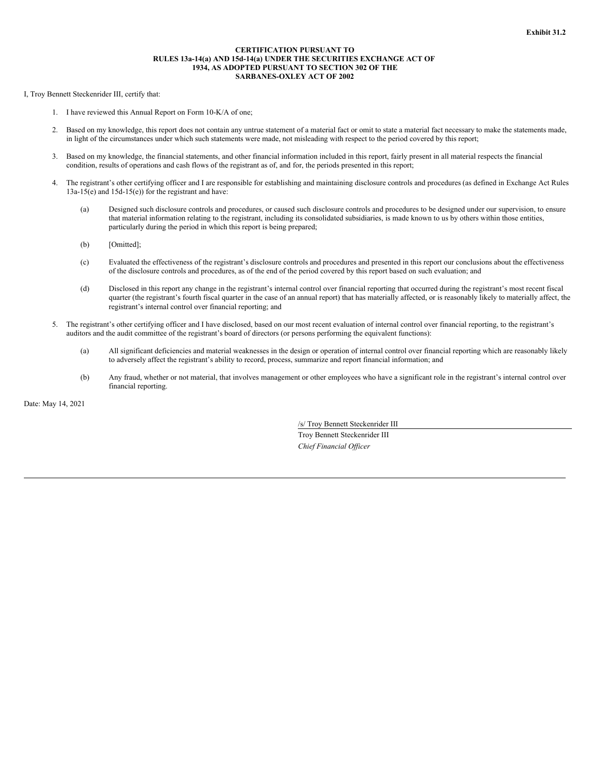### **CERTIFICATION PURSUANT TO RULES 13a-14(a) AND 15d-14(a) UNDER THE SECURITIES EXCHANGE ACT OF 1934, AS ADOPTED PURSUANT TO SECTION 302 OF THE SARBANES-OXLEY ACT OF 2002**

<span id="page-55-0"></span>I, Troy Bennett Steckenrider III, certify that:

- 1. I have reviewed this Annual Report on Form 10-K/A of one;
- 2. Based on my knowledge, this report does not contain any untrue statement of a material fact or omit to state a material fact necessary to make the statements made, in light of the circumstances under which such statements were made, not misleading with respect to the period covered by this report;
- 3. Based on my knowledge, the financial statements, and other financial information included in this report, fairly present in all material respects the financial condition, results of operations and cash flows of the registrant as of, and for, the periods presented in this report;
- 4. The registrant's other certifying officer and I are responsible for establishing and maintaining disclosure controls and procedures (as defined in Exchange Act Rules 13a-15(e) and 15d-15(e)) for the registrant and have:
	- (a) Designed such disclosure controls and procedures, or caused such disclosure controls and procedures to be designed under our supervision, to ensure that material information relating to the registrant, including its consolidated subsidiaries, is made known to us by others within those entities, particularly during the period in which this report is being prepared;
	- (b) [Omitted];
	- (c) Evaluated the effectiveness of the registrant's disclosure controls and procedures and presented in this report our conclusions about the effectiveness of the disclosure controls and procedures, as of the end of the period covered by this report based on such evaluation; and
	- (d) Disclosed in this report any change in the registrant's internal control over financial reporting that occurred during the registrant's most recent fiscal quarter (the registrant's fourth fiscal quarter in the case of an annual report) that has materially affected, or is reasonably likely to materially affect, the registrant's internal control over financial reporting; and
- 5. The registrant's other certifying officer and I have disclosed, based on our most recent evaluation of internal control over financial reporting, to the registrant's auditors and the audit committee of the registrant's board of directors (or persons performing the equivalent functions):
	- (a) All significant deficiencies and material weaknesses in the design or operation of internal control over financial reporting which are reasonably likely to adversely affect the registrant's ability to record, process, summarize and report financial information; and
	- (b) Any fraud, whether or not material, that involves management or other employees who have a significant role in the registrant's internal control over financial reporting.

Date: May 14, 2021

/s/ Troy Bennett Steckenrider III Troy Bennett Steckenrider III *Chief Financial Of icer*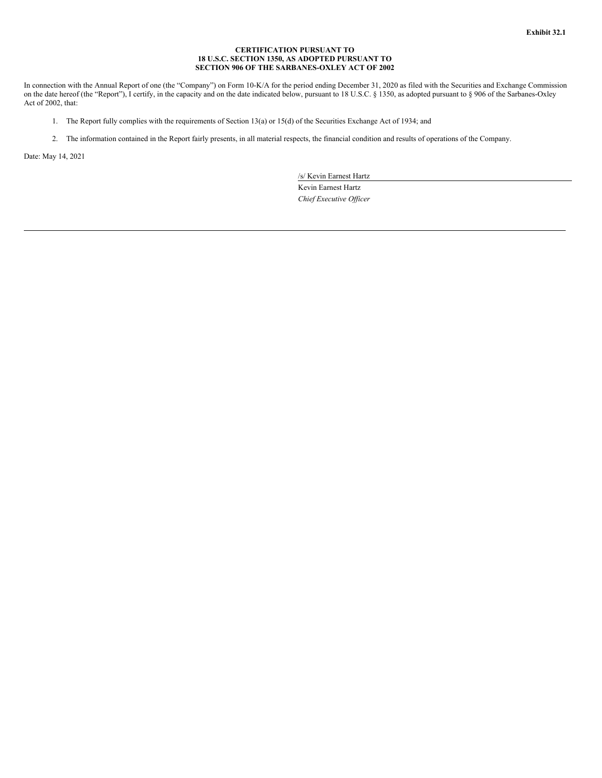### **CERTIFICATION PURSUANT TO 18 U.S.C. SECTION 1350, AS ADOPTED PURSUANT TO SECTION 906 OF THE SARBANES-OXLEY ACT OF 2002**

<span id="page-56-0"></span>In connection with the Annual Report of one (the "Company") on Form 10-K/A for the period ending December 31, 2020 as filed with the Securities and Exchange Commission on the date hereof (the "Report"), I certify, in the capacity and on the date indicated below, pursuant to 18 U.S.C. § 1350, as adopted pursuant to § 906 of the Sarbanes-Oxley Act of 2002, that:

- 1. The Report fully complies with the requirements of Section 13(a) or 15(d) of the Securities Exchange Act of 1934; and
- 2. The information contained in the Report fairly presents, in all material respects, the financial condition and results of operations of the Company.

Date: May 14, 2021

/s/ Kevin Earnest Hartz

Kevin Earnest Hartz *Chief Executive Of icer*